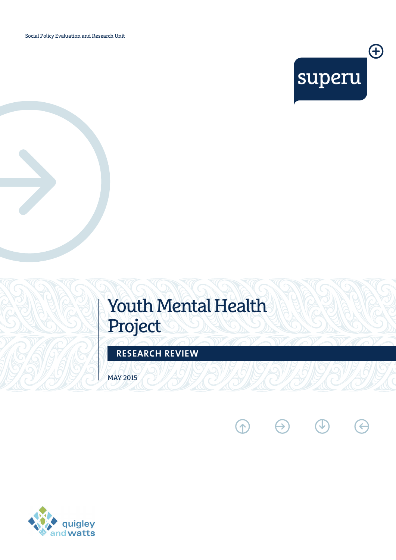Social Policy Evaluation and Research Unit



# Youth Mental Health Project

 $\odot$   $\ominus$ 

 $\bigcirc$ 

E

**RESEARCH REVIEW**

MAY 2015

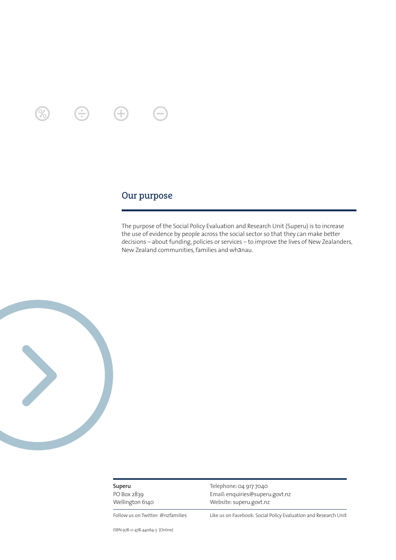÷

### Our purpose

The purpose of the Social Policy Evaluation and Research Unit (Superu) is to increase the use of evidence by people across the social sector so that they can make better decisions – about funding, policies or services – to improve the lives of New Zealanders, New Zealand communities, families and whanau.



**Superu** PO Box 2839

Wellington 6140

**Telephone:**04 917 7040 **Email:** enquiries@superu.govt.nz **Website:** superu.govt.nz

**Follow us on Twitter:** @nzfamilies **Like us on Facebook:** Social Policy Evaluation and Research Unit

ISBN 978-0-478-44064-5 (Online)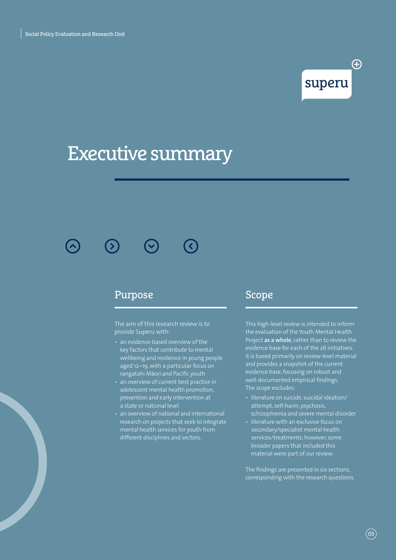## <sup>4</sup> superu

# Executive summary

 $\blacktriangle$ 

### Purpose

The aim of this research review is to provide Superu with:

- an evidence-based overview of the key factors that contribute to mental wellbeing and resilience in young people aged 12–19, with a particular focus on rangatahi Māori and Pacific youth
- an overview of current best practice in adolescent mental health promotion, prevention and early intervention at a state or national level
- an overview of national and international research on projects that seek to integrate mental health services for youth from different disciplines and sectors.

### Scope

This high-level review is intended to inform the evaluation of the Youth Mental Health Project **as a whole**, rather than to review the evidence base for each of the 26 initiatives. It is based primarily on review-level material and provides a snapshot of the current evidence base, focusing on robust and well-documented empirical findings. The scope excludes:

- literature on suicide, suicidal ideation/ attempt, self-harm, psychosis, schizophrenia and severe mental disorder
- literature with an exclusive focus on secondary/specialist mental health services/treatments; however, some broader papers that included this material were part of our review.

The findings are presented in six sections, corresponding with the research questions.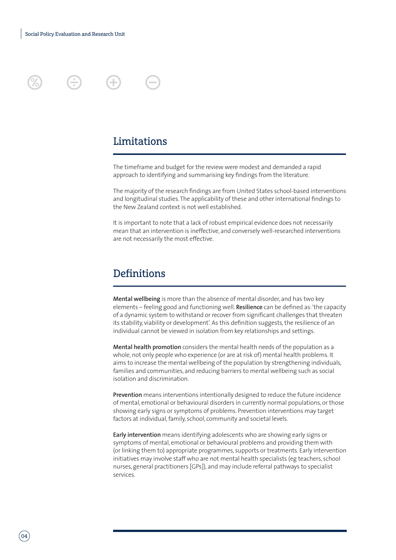

### Limitations

The timeframe and budget for the review were modest and demanded a rapid approach to identifying and summarising key findings from the literature.

The majority of the research findings are from United States school-based interventions and longitudinal studies. The applicability of these and other international findings to the New Zealand context is not well established.

It is important to note that a lack of robust empirical evidence does not necessarily mean that an intervention is ineffective, and conversely well-researched interventions are not necessarily the most effective.

### **Definitions**

**Mental wellbeing** is more than the absence of mental disorder, and has two key elements – feeling good and functioning well. **Resilience** can be defined as: 'the capacity of a dynamic system to withstand or recover from significant challenges that threaten its stability, viability or development'. As this definition suggests, the resilience of an individual cannot be viewed in isolation from key relationships and settings.

**Mental health promotion** considers the mental health needs of the population as a whole, not only people who experience (or are at risk of) mental health problems. It aims to increase the mental wellbeing of the population by strengthening individuals, families and communities, and reducing barriers to mental wellbeing such as social isolation and discrimination.

**Prevention** means interventions intentionally designed to reduce the future incidence of mental, emotional or behavioural disorders in currently normal populations, or those showing early signs or symptoms of problems. Prevention interventions may target factors at individual, family, school, community and societal levels.

**Early intervention** means identifying adolescents who are showing early signs or symptoms of mental, emotional or behavioural problems and providing them with (or linking them to) appropriate programmes, supports or treatments. Early intervention initiatives may involve staff who are not mental health specialists (eg teachers, school nurses, general practitioners [GPs]), and may include referral pathways to specialist services.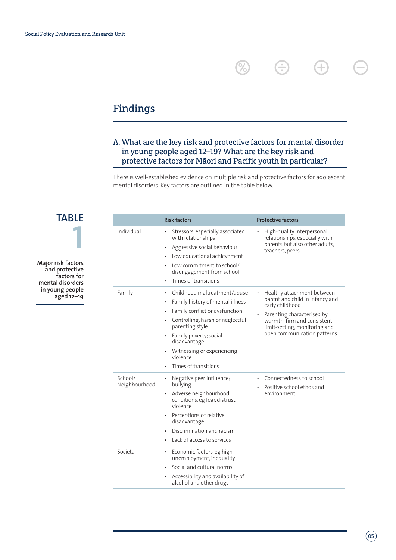## Findings

### A. What are the key risk and protective factors for mental disorder in young people aged 12–19? What are the key risk and protective factors for Māori and Pacific youth in particular?

%

**e** 

 $\bigoplus$ 

There is well-established evidence on multiple risk and protective factors for adolescent mental disorders. Key factors are outlined in the table below.

**Major risk factors and protective factors for mental disorders in young people aged 12–19 1**

**TABLE**

|                          | <b>Risk factors</b>                                                                                                                                                                                                                                                                | <b>Protective factors</b>                                                                                                                                                                                                       |
|--------------------------|------------------------------------------------------------------------------------------------------------------------------------------------------------------------------------------------------------------------------------------------------------------------------------|---------------------------------------------------------------------------------------------------------------------------------------------------------------------------------------------------------------------------------|
| Individual               | Stressors, especially associated<br>with relationships<br>Aggressive social behaviour<br>Low educational achievement<br>Low commitment to school/<br>disengagement from school<br>Times of transitions                                                                             | High-quality interpersonal<br>relationships, especially with<br>parents but also other adults,<br>teachers, peers                                                                                                               |
| Family                   | Childhood maltreatment/abuse<br>$\bullet$<br>Family history of mental illness<br>Family conflict or dysfunction<br>Controlling, harsh or neglectful<br>parenting style<br>Family poverty; social<br>disadvantage<br>Witnessing or experiencing<br>violence<br>Times of transitions | Healthy attachment between<br>$\bullet$<br>parent and child in infancy and<br>early childhood<br>Parenting characterised by<br>٠<br>warmth, firm and consistent<br>limit-setting, monitoring and<br>open communication patterns |
| School/<br>Neighbourhood | Negative peer influence;<br>bullying<br>Adverse neighbourhood<br>conditions, eg fear, distrust,<br>violence<br>Perceptions of relative<br>disadvantage<br>Discrimination and racism<br>Lack of access to services<br>$\bullet$                                                     | Connectedness to school<br>٠<br>Positive school ethos and<br>environment                                                                                                                                                        |
| Societal                 | Economic factors, eg high<br>٠<br>unemployment, inequality<br>Social and cultural norms<br>Accessibility and availability of<br>alcohol and other drugs                                                                                                                            |                                                                                                                                                                                                                                 |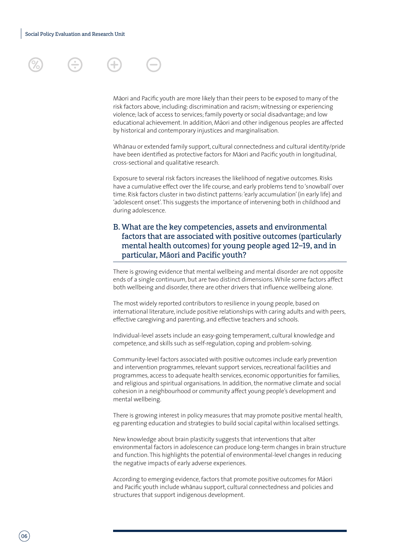Māori and Pacific youth are more likely than their peers to be exposed to many of the risk factors above, including: discrimination and racism; witnessing or experiencing violence; lack of access to services; family poverty or social disadvantage; and low educational achievement. In addition, Māori and other indigenous peoples are affected by historical and contemporary injustices and marginalisation.

Whanau or extended family support, cultural connectedness and cultural identity/pride have been identified as protective factors for Māori and Pacific youth in longitudinal, cross-sectional and qualitative research.

Exposure to several risk factors increases the likelihood of negative outcomes. Risks have a cumulative effect over the life course, and early problems tend to 'snowball' over time. Risk factors cluster in two distinct patterns: 'early accumulation' (in early life) and 'adolescent onset'. This suggests the importance of intervening both in childhood and during adolescence.

### B. What are the key competencies, assets and environmental factors that are associated with positive outcomes (particularly mental health outcomes) for young people aged 12–19, and in particular, Māori and Pacific youth?

There is growing evidence that mental wellbeing and mental disorder are not opposite ends of a single continuum, but are two distinct dimensions. While some factors affect both wellbeing and disorder, there are other drivers that influence wellbeing alone.

The most widely reported contributors to resilience in young people, based on international literature, include positive relationships with caring adults and with peers, effective caregiving and parenting, and effective teachers and schools.

Individual-level assets include an easy-going temperament, cultural knowledge and competence, and skills such as self-regulation, coping and problem-solving.

Community-level factors associated with positive outcomes include early prevention and intervention programmes, relevant support services, recreational facilities and programmes, access to adequate health services, economic opportunities for families, and religious and spiritual organisations. In addition, the normative climate and social cohesion in a neighbourhood or community affect young people's development and mental wellbeing.

There is growing interest in policy measures that may promote positive mental health, eg parenting education and strategies to build social capital within localised settings.

New knowledge about brain plasticity suggests that interventions that alter environmental factors in adolescence can produce long-term changes in brain structure and function. This highlights the potential of environmental-level changes in reducing the negative impacts of early adverse experiences.

According to emerging evidence, factors that promote positive outcomes for Māori and Pacific youth include whānau support, cultural connectedness and policies and structures that support indigenous development.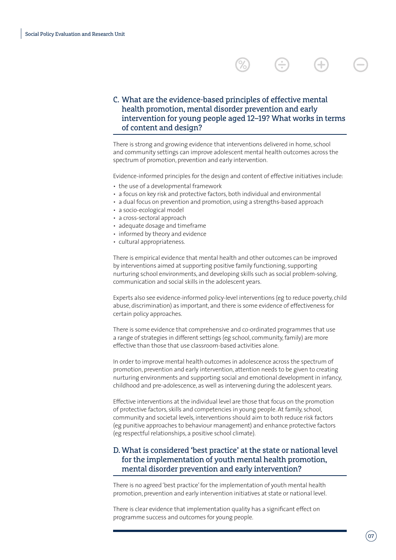

### C. What are the evidence-based principles of effective mental health promotion, mental disorder prevention and early intervention for young people aged 12–19? What works in terms of content and design?

There is strong and growing evidence that interventions delivered in home, school and community settings can improve adolescent mental health outcomes across the spectrum of promotion, prevention and early intervention.

Evidence-informed principles for the design and content of effective initiatives include:

- the use of a developmental framework
- a focus on key risk and protective factors, both individual and environmental
- a dual focus on prevention and promotion, using a strengths-based approach
- a socio-ecological model
- a cross-sectoral approach
- adequate dosage and timeframe
- informed by theory and evidence
- cultural appropriateness.

There is empirical evidence that mental health and other outcomes can be improved by interventions aimed at supporting positive family functioning, supporting nurturing school environments, and developing skills such as social problem-solving, communication and social skills in the adolescent years.

Experts also see evidence-informed policy-level interventions (eg to reduce poverty, child abuse, discrimination) as important, and there is some evidence of effectiveness for certain policy approaches.

There is some evidence that comprehensive and co-ordinated programmes that use a range of strategies in different settings (eg school, community, family) are more effective than those that use classroom-based activities alone.

In order to improve mental health outcomes in adolescence across the spectrum of promotion, prevention and early intervention, attention needs to be given to creating nurturing environments and supporting social and emotional development in infancy, childhood and pre-adolescence, as well as intervening during the adolescent years.

Effective interventions at the individual level are those that focus on the promotion of protective factors, skills and competencies in young people. At family, school, community and societal levels, interventions should aim to both reduce risk factors (eg punitive approaches to behaviour management) and enhance protective factors (eg respectful relationships, a positive school climate).

### D. What is considered 'best practice' at the state or national level for the implementation of youth mental health promotion, mental disorder prevention and early intervention?

There is no agreed 'best practice' for the implementation of youth mental health promotion, prevention and early intervention initiatives at state or national level.

There is clear evidence that implementation quality has a significant effect on programme success and outcomes for young people.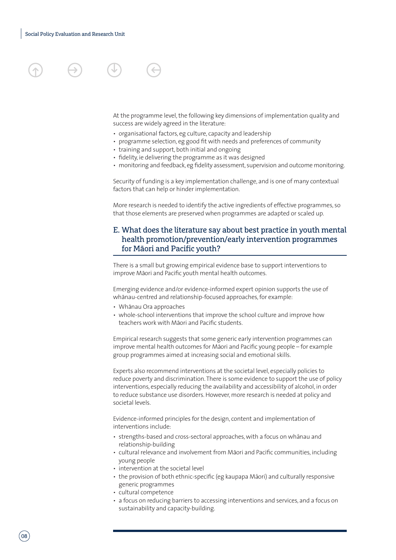At the programme level, the following key dimensions of implementation quality and success are widely agreed in the literature:

- organisational factors, eg culture, capacity and leadership
- programme selection, eg good fit with needs and preferences of community
- training and support, both initial and ongoing
- fidelity, ie delivering the programme as it was designed
- monitoring and feedback, eg fidelity assessment, supervision and outcome monitoring.

Security of funding is a key implementation challenge, and is one of many contextual factors that can help or hinder implementation.

More research is needed to identify the active ingredients of effective programmes, so that those elements are preserved when programmes are adapted or scaled up.

### E. What does the literature say about best practice in youth mental health promotion/prevention/early intervention programmes for Māori and Pacific youth?

There is a small but growing empirical evidence base to support interventions to improve Māori and Pacific youth mental health outcomes.

Emerging evidence and/or evidence-informed expert opinion supports the use of whānau-centred and relationship-focused approaches, for example:

- Whānau Ora approaches
- whole-school interventions that improve the school culture and improve how teachers work with Māori and Pacific students.

Empirical research suggests that some generic early intervention programmes can improve mental health outcomes for Māori and Pacific young people – for example group programmes aimed at increasing social and emotional skills.

Experts also recommend interventions at the societal level, especially policies to reduce poverty and discrimination. There is some evidence to support the use of policy interventions, especially reducing the availability and accessibility of alcohol, in order to reduce substance use disorders. However, more research is needed at policy and societal levels.

Evidence-informed principles for the design, content and implementation of interventions include:

- strengths-based and cross-sectoral approaches, with a focus on whanau and relationship-building
- cultural relevance and involvement from Māori and Pacific communities, including young people
- intervention at the societal level
- the provision of both ethnic-specific (eg kaupapa Māori) and culturally responsive generic programmes
- cultural competence
- a focus on reducing barriers to accessing interventions and services, and a focus on sustainability and capacity-building.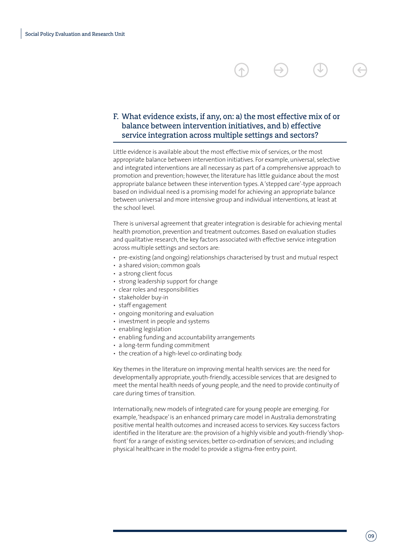### F. What evidence exists, if any, on: a) the most effective mix of or balance between intervention initiatives, and b) effective service integration across multiple settings and sectors?

Little evidence is available about the most effective mix of services, or the most appropriate balance between intervention initiatives. For example, universal, selective and integrated interventions are all necessary as part of a comprehensive approach to promotion and prevention; however, the literature has little guidance about the most appropriate balance between these intervention types. A 'stepped care'-type approach based on individual need is a promising model for achieving an appropriate balance between universal and more intensive group and individual interventions, at least at the school level.

There is universal agreement that greater integration is desirable for achieving mental health promotion, prevention and treatment outcomes. Based on evaluation studies and qualitative research, the key factors associated with effective service integration across multiple settings and sectors are:

- pre-existing (and ongoing) relationships characterised by trust and mutual respect
- a shared vision; common goals
- a strong client focus
- strong leadership support for change
- clear roles and responsibilities
- stakeholder buy-in
- staff engagement
- ongoing monitoring and evaluation
- investment in people and systems
- enabling legislation
- enabling funding and accountability arrangements
- a long-term funding commitment
- the creation of a high-level co-ordinating body.

Key themes in the literature on improving mental health services are: the need for developmentally appropriate, youth-friendly, accessible services that are designed to meet the mental health needs of young people, and the need to provide continuity of care during times of transition.

Internationally, new models of integrated care for young people are emerging. For example, 'headspace' is an enhanced primary care model in Australia demonstrating positive mental health outcomes and increased access to services. Key success factors identified in the literature are: the provision of a highly visible and youth-friendly 'shopfront' for a range of existing services; better co-ordination of services; and including physical healthcare in the model to provide a stigma-free entry point.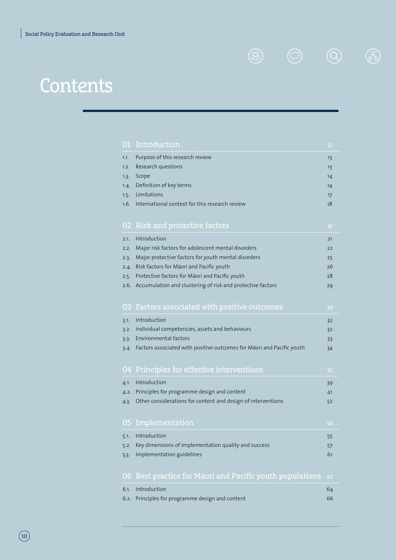Contents

| 01   | Introduction                                                          | 12 |
|------|-----------------------------------------------------------------------|----|
| 1.1. | Purpose of this research review                                       | 13 |
| 1.2. | Research questions                                                    | 13 |
| 1.3. | Scope                                                                 | 14 |
| 1.4. | Definition of key terms                                               | 14 |
| 1.5. | Limitations                                                           | 17 |
| 1.6. | International context for this research review                        | 18 |
|      |                                                                       |    |
|      | 02 Risk and protective factors                                        | 19 |
| 2.1. | Introduction                                                          | 21 |
| 2.2. | Major risk factors for adolescent mental disorders                    | 22 |
| 2.3. | Major protective factors for youth mental disorders                   | 25 |
| 2.4. | Risk factors for Māori and Pacific youth                              | 26 |
| 2.5. | Protective factors for Māori and Pacific youth                        | 28 |
| 2.6. | Accumulation and clustering of risk and protective factors            | 29 |
|      |                                                                       |    |
| 03.  | Factors associated with positive outcomes                             | 30 |
| 3.1. | Introduction                                                          | 32 |
| 3.2. | Individual competencies, assets and behaviours                        | 32 |
| 3.3. | <b>Environmental factors</b>                                          | 33 |
| 3.4. | Factors associated with positive outcomes for Māori and Pacific youth | 34 |
|      |                                                                       |    |
|      | 04 Principles for effective interventions                             | 37 |
| 4.1. | Introduction                                                          | 39 |
| 4.2. | Principles for programme design and content                           | 41 |
| 4.3. | Other considerations for content and design of interventions          | 52 |
|      |                                                                       |    |
| 05   | Implementation                                                        | 54 |
| 5.1. | Introduction                                                          | 55 |
| 5.2. | Key dimensions of implementation quality and success                  | 57 |
| 5.3. | Implementation guidelines                                             | 61 |
|      |                                                                       |    |
|      | 06 Best practice for Māori and Pacific youth populations              | 62 |
| 6.1. | Introduction                                                          | 64 |
| 6.2. | Principles for programme design and content                           | 66 |
|      |                                                                       |    |

 $\circledR \quad \circledR \quad \circledR$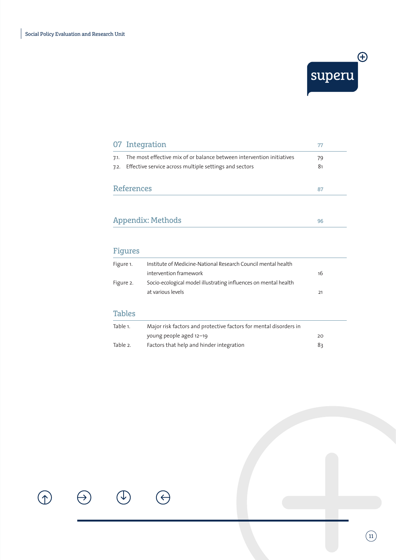

 $\boxed{1}$ 

|                         | 07 Integration                                                                                                                       | 77       |
|-------------------------|--------------------------------------------------------------------------------------------------------------------------------------|----------|
| 7.1.                    | The most effective mix of or balance between intervention initiatives<br>7.2. Effective service across multiple settings and sectors | 79<br>81 |
| <b>References</b><br>87 |                                                                                                                                      |          |
|                         |                                                                                                                                      |          |

### Appendix: Methods <sup>96</sup>

### Figures

 $\bigcirc$ 

 $(\leftarrow$ 

| Figure 1.                                                                                         | Institute of Medicine-National Research Council mental health<br>intervention framework<br>16 |    |
|---------------------------------------------------------------------------------------------------|-----------------------------------------------------------------------------------------------|----|
| Socio-ecological model illustrating influences on mental health<br>Figure 2.<br>at various levels |                                                                                               | 21 |
| <b>Tables</b>                                                                                     |                                                                                               |    |
| Table 1.                                                                                          | Major risk factors and protective factors for mental disorders in                             |    |
|                                                                                                   | young people aged 12-19                                                                       | 20 |
| Table 2.                                                                                          | Factors that help and hinder integration<br>83                                                |    |

 $\bigcirc$ 

 $\bigoplus$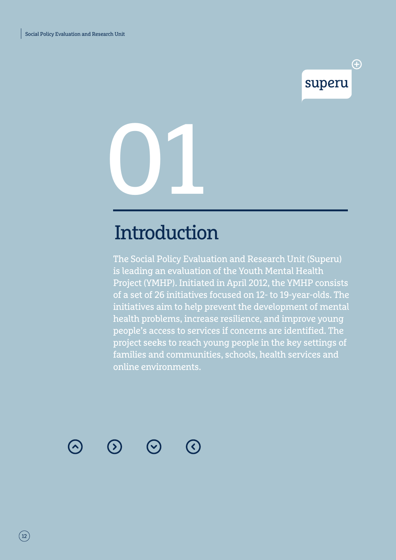## superu

<sup>(+)</sup>

01

# **Introduction**

The Social Policy Evaluation and Research Unit (Superu) is leading an evaluation of the Youth Mental Health Project (YMHP). Initiated in April 2012, the YMHP consists of a set of 26 initiatives focused on 12- to 19-year-olds. The initiatives aim to help prevent the development of mental health problems, increase resilience, and improve young people's access to services if concerns are identified. The project seeks to reach young people in the key settings of families and communities, schools, health services and online environments.



 $(\mathbf{y})$ 



**C**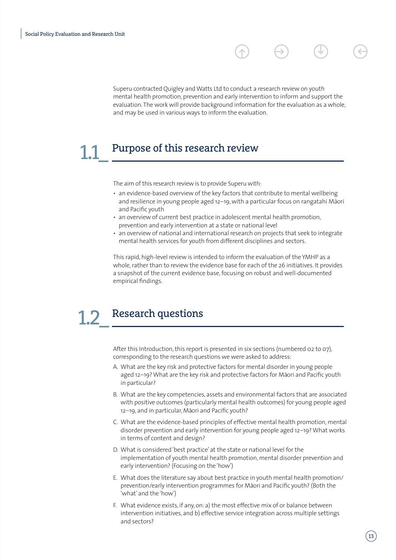Superu contracted Quigley and Watts Ltd to conduct a research review on youth mental health promotion, prevention and early intervention to inform and support the evaluation. The work will provide background information for the evaluation as a whole, and may be used in various ways to inform the evaluation.

### Purpose of this research review 1.1\_

The aim of this research review is to provide Superu with:

- an evidence-based overview of the key factors that contribute to mental wellbeing and resilience in young people aged 12–19, with a particular focus on rangatahi Māori and Pacific youth
- an overview of current best practice in adolescent mental health promotion, prevention and early intervention at a state or national level
- an overview of national and international research on projects that seek to integrate mental health services for youth from different disciplines and sectors.

This rapid, high-level review is intended to inform the evaluation of the YMHP as a whole, rather than to review the evidence base for each of the 26 initiatives. It provides a snapshot of the current evidence base, focusing on robust and well-documented empirical findings.

### Research questions 1.2\_

After this Introduction, this report is presented in six sections (numbered 02 to 07), corresponding to the research questions we were asked to address:

- A. What are the key risk and protective factors for mental disorder in young people aged 12-19? What are the key risk and protective factors for Māori and Pacific youth in particular?
- B. What are the key competencies, assets and environmental factors that are associated with positive outcomes (particularly mental health outcomes) for young people aged 12-19, and in particular, Māori and Pacific youth?
- C. What are the evidence-based principles of effective mental health promotion, mental disorder prevention and early intervention for young people aged 12–19? What works in terms of content and design?
- D. What is considered 'best practice' at the state or national level for the implementation of youth mental health promotion, mental disorder prevention and early intervention? (Focusing on the 'how')
- E. What does the literature say about best practice in youth mental health promotion/ prevention/early intervention programmes for Māori and Pacific youth? (Both the 'what' and the 'how')
- F. What evidence exists, if any, on: a) the most effective mix of or balance between intervention initiatives, and b) effective service integration across multiple settings and sectors?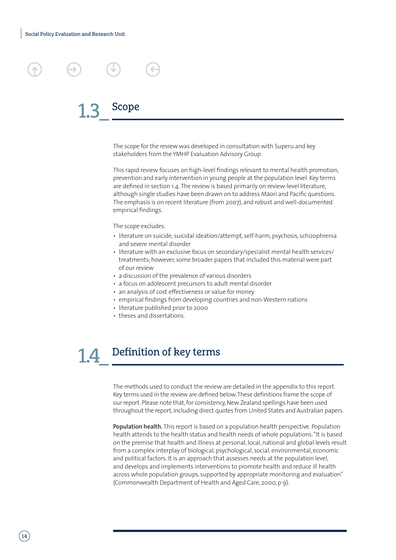### Scope 1.3\_

The scope for the review was developed in consultation with Superu and key stakeholders from the YMHP Evaluation Advisory Group.

This rapid review focuses on high-level findings relevant to mental health promotion, prevention and early intervention in young people at the population level. Key terms are defined in section 1.4. The review is based primarily on review-level literature, although single studies have been drawn on to address Māori and Pacific questions. The emphasis is on recent literature (from 2007), and robust and well-documented empirical findings.

The scope excludes:

- literature on suicide, suicidal ideation/attempt, self-harm, psychosis, schizophrenia and severe mental disorder
- literature with an exclusive focus on secondary/specialist mental health services/ treatments; however, some broader papers that included this material were part of our review
- a discussion of the prevalence of various disorders
- a focus on adolescent precursors to adult mental disorder
- an analysis of cost effectiveness or value for money
- empirical findings from developing countries and non-Western nations
- literature published prior to 2000
- theses and dissertations.

### Definition of key terms 1.4\_

The methods used to conduct the review are detailed in the appendix to this report. Key terms used in the review are defined below. These definitions frame the scope of our report. Please note that, for consistency, New Zealand spellings have been used throughout the report, including direct quotes from United States and Australian papers.

**Population health.** This report is based on a population health perspective. Population health attends to the health status and health needs of whole populations. "It is based on the premise that health and illness at personal, local, national and global levels result from a complex interplay of biological, psychological, social, environmental, economic and political factors. It is an approach that assesses needs at the population level, and develops and implements interventions to promote health and reduce ill health across whole population groups, supported by appropriate monitoring and evaluation" (Commonwealth Department of Health and Aged Care, 2000, p 9).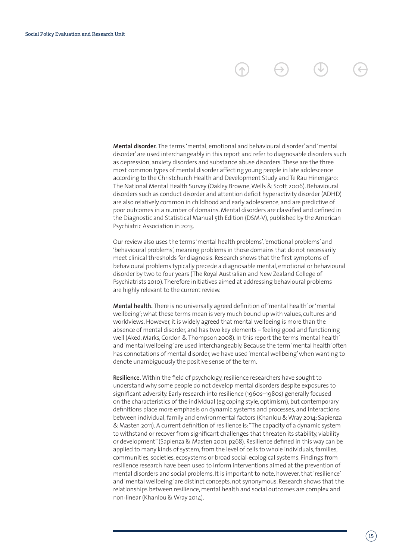**Mental disorder.** The terms 'mental, emotional and behavioural disorder' and 'mental disorder' are used interchangeably in this report and refer to diagnosable disorders such as depression, anxiety disorders and substance abuse disorders. These are the three most common types of mental disorder affecting young people in late adolescence according to the Christchurch Health and Development Study and Te Rau Hinengaro: The National Mental Health Survey (Oakley Browne, Wells & Scott 2006). Behavioural disorders such as conduct disorder and attention deficit hyperactivity disorder (ADHD) are also relatively common in childhood and early adolescence, and are predictive of poor outcomes in a number of domains. Mental disorders are classified and defined in the Diagnostic and Statistical Manual 5th Edition (DSM-V), published by the American Psychiatric Association in 2013.

Our review also uses the terms 'mental health problems', 'emotional problems' and 'behavioural problems', meaning problems in those domains that do not necessarily meet clinical thresholds for diagnosis. Research shows that the first symptoms of behavioural problems typically precede a diagnosable mental, emotional or behavioural disorder by two to four years (The Royal Australian and New Zealand College of Psychiatrists 2010). Therefore initiatives aimed at addressing behavioural problems are highly relevant to the current review.

**Mental health.** There is no universally agreed definition of 'mental health' or 'mental wellbeing'; what these terms mean is very much bound up with values, cultures and worldviews. However, it is widely agreed that mental wellbeing is more than the absence of mental disorder, and has two key elements – feeling good and functioning well (Aked, Marks, Cordon & Thompson 2008). In this report the terms 'mental health' and 'mental wellbeing' are used interchangeably. Because the term 'mental health' often has connotations of mental disorder, we have used 'mental wellbeing' when wanting to denote unambiguously the positive sense of the term.

**Resilience.** Within the field of psychology, resilience researchers have sought to understand why some people do not develop mental disorders despite exposures to significant adversity. Early research into resilience (1960s–1980s) generally focused on the characteristics of the individual (eg coping style, optimism), but contemporary definitions place more emphasis on dynamic systems and processes, and interactions between individual, family and environmental factors (Khanlou & Wray 2014; Sapienza & Masten 2011). A current definition of resilience is: "The capacity of a dynamic system to withstand or recover from significant challenges that threaten its stability, viability or development" (Sapienza & Masten 2001, p268). Resilience defined in this way can be applied to many kinds of system, from the level of cells to whole individuals, families, communities, societies, ecosystems or broad social-ecological systems. Findings from resilience research have been used to inform interventions aimed at the prevention of mental disorders and social problems. It is important to note, however, that 'resilience' and 'mental wellbeing' are distinct concepts, not synonymous. Research shows that the relationships between resilience, mental health and social outcomes are complex and non-linear (Khanlou & Wray 2014).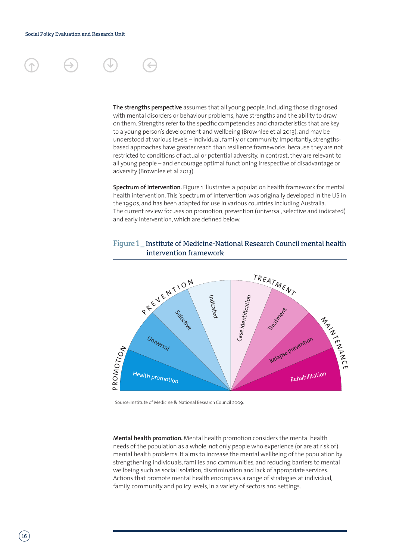**The strengths perspective** assumes that all young people, including those diagnosed with mental disorders or behaviour problems, have strengths and the ability to draw on them. Strengths refer to the specific competencies and characteristics that are key to a young person's development and wellbeing (Brownlee et al 2013), and may be understood at various levels – individual, family or community. Importantly, strengthsbased approaches have greater reach than resilience frameworks, because they are not restricted to conditions of actual or potential adversity. In contrast, they are relevant to all young people – and encourage optimal functioning irrespective of disadvantage or adversity (Brownlee et al 2013).

**Spectrum of intervention.** Figure 1 illustrates a population health framework for mental health intervention. This 'spectrum of intervention' was originally developed in the US in the 1990s, and has been adapted for use in various countries including Australia. The current review focuses on promotion, prevention (universal, selective and indicated) and early intervention, which are defined below.

### Figure 1 \_ Institute of Medicine-National Research Council mental health intervention framework



Source: Institute of Medicine & National Research Council 2009.

**Mental health promotion.** Mental health promotion considers the mental health needs of the population as a whole, not only people who experience (or are at risk of) mental health problems. It aims to increase the mental wellbeing of the population by strengthening individuals, families and communities, and reducing barriers to mental wellbeing such as social isolation, discrimination and lack of appropriate services. Actions that promote mental health encompass a range of strategies at individual, family, community and policy levels, in a variety of sectors and settings.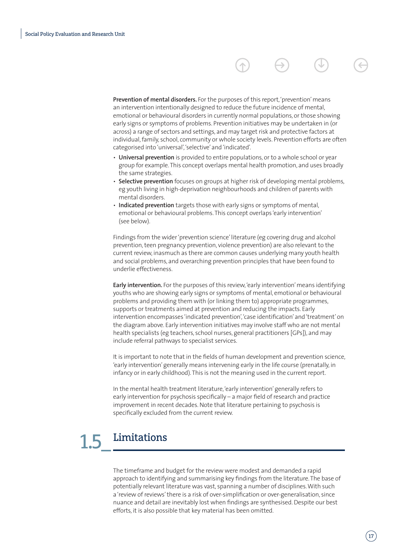**Prevention of mental disorders.** For the purposes of this report, 'prevention' means an intervention intentionally designed to reduce the future incidence of mental, emotional or behavioural disorders in currently normal populations, or those showing early signs or symptoms of problems. Prevention initiatives may be undertaken in (or across) a range of sectors and settings, and may target risk and protective factors at individual, family, school, community or whole society levels. Prevention efforts are often categorised into 'universal', 'selective' and 'indicated'.

- **Universal prevention** is provided to entire populations, or to a whole school or year group for example. This concept overlaps mental health promotion, and uses broadly the same strategies.
- **Selective prevention** focuses on groups at higher risk of developing mental problems, eg youth living in high-deprivation neighbourhoods and children of parents with mental disorders.
- **Indicated prevention** targets those with early signs or symptoms of mental, emotional or behavioural problems. This concept overlaps 'early intervention' (see below).

Findings from the wider 'prevention science' literature (eg covering drug and alcohol prevention, teen pregnancy prevention, violence prevention) are also relevant to the current review, inasmuch as there are common causes underlying many youth health and social problems, and overarching prevention principles that have been found to underlie effectiveness.

**Early intervention.** For the purposes of this review, 'early intervention' means identifying youths who are showing early signs or symptoms of mental, emotional or behavioural problems and providing them with (or linking them to) appropriate programmes, supports or treatments aimed at prevention and reducing the impacts. Early intervention encompasses 'indicated prevention', 'case identification' and 'treatment' on the diagram above. Early intervention initiatives may involve staff who are not mental health specialists (eg teachers, school nurses, general practitioners [GPs]), and may include referral pathways to specialist services.

It is important to note that in the fields of human development and prevention science, 'early intervention' generally means intervening early in the life course (prenatally, in infancy or in early childhood). This is not the meaning used in the current report.

In the mental health treatment literature, 'early intervention' generally refers to early intervention for psychosis specifically – a major field of research and practice improvement in recent decades. Note that literature pertaining to psychosis is specifically excluded from the current review.

# Limitations

The timeframe and budget for the review were modest and demanded a rapid approach to identifying and summarising key findings from the literature. The base of potentially relevant literature was vast, spanning a number of disciplines. With such a 'review of reviews' there is a risk of over-simplification or over-generalisation, since nuance and detail are inevitably lost when findings are synthesised. Despite our best efforts, it is also possible that key material has been omitted.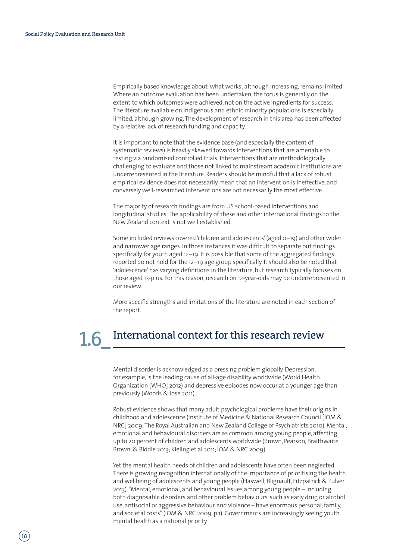Empirically based knowledge about 'what works', although increasing, remains limited. Where an outcome evaluation has been undertaken, the focus is generally on the extent to which outcomes were achieved, not on the active ingredients for success. The literature available on indigenous and ethnic minority populations is especially limited, although growing. The development of research in this area has been affected by a relative lack of research funding and capacity.

It is important to note that the evidence base (and especially the content of systematic reviews) is heavily skewed towards interventions that are amenable to testing via randomised controlled trials. Interventions that are methodologically challenging to evaluate and those not linked to mainstream academic institutions are underrepresented in the literature. Readers should be mindful that a lack of robust empirical evidence does not necessarily mean that an intervention is ineffective, and conversely well-researched interventions are not necessarily the most effective.

The majority of research findings are from US school-based interventions and longitudinal studies. The applicability of these and other international findings to the New Zealand context is not well established.

Some included reviews covered 'children and adolescents' (aged 0–19) and other wider and narrower age ranges. In those instances it was difficult to separate out findings specifically for youth aged 12–19. It is possible that some of the aggregated findings reported do not hold for the 12–19 age group specifically. It should also be noted that 'adolescence' has varying definitions in the literature, but research typically focuses on those aged 13-plus. For this reason, research on 12-year-olds may be underrepresented in our review.

More specific strengths and limitations of the literature are noted in each section of the report.

# 1.6 International context for this research review

Mental disorder is acknowledged as a pressing problem globally. Depression, for example, is the leading cause of all-age disability worldwide (World Health Organization [WHO] 2012) and depressive episodes now occur at a younger age than previously (Woods & Jose 2011).

Robust evidence shows that many adult psychological problems have their origins in childhood and adolescence (Institute of Medicine & National Research Council [IOM & NRC] 2009; The Royal Australian and New Zealand College of Psychiatrists 2010). Mental, emotional and behavioural disorders are as common among young people, affecting up to 20 percent of children and adolescents worldwide (Brown, Pearson, Braithwaite, Brown, & Biddle 2013; Kieling et al 2011; IOM & NRC 2009).

Yet the mental health needs of children and adolescents have often been neglected. There is growing recognition internationally of the importance of prioritising the health and wellbeing of adolescents and young people (Haswell, Blignault, Fitzpatrick & Pulver 2013). "Mental, emotional, and behavioural issues among young people – including both diagnosable disorders and other problem behaviours, such as early drug or alcohol use, antisocial or aggressive behaviour, and violence – have enormous personal, family, and societal costs" (IOM & NRC 2009, p 1). Governments are increasingly seeing youth mental health as a national priority.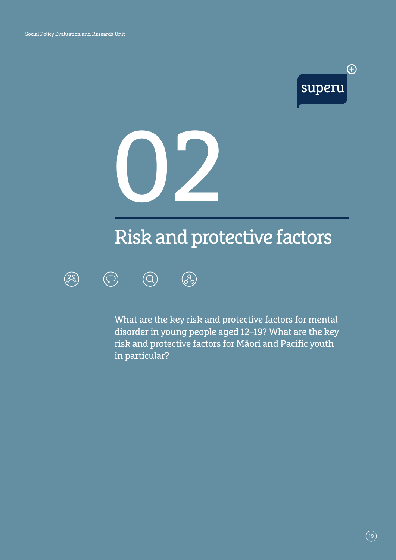



# Risk and protective factors



 $\circledcirc$ 



What are the key risk and protective factors for mental disorder in young people aged 12–19? What are the key risk and protective factors for Māori and Pacific youth in particular?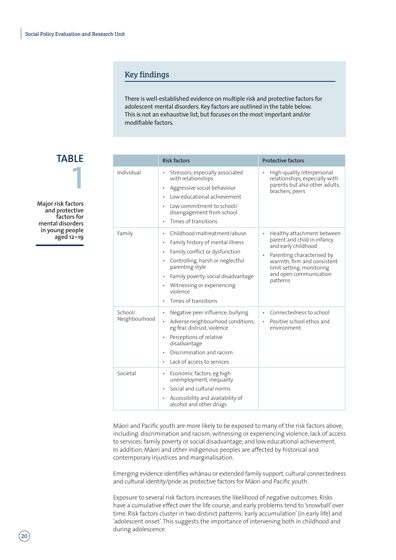#### Key findings

There is well-established evidence on multiple risk and protective factors for adolescent mental disorders. Key factors are outlined in the table below. This is not an exhaustive list, but focuses on the most important and/or modifiable factors.

**TABLE 1**

**Major risk factors and protective factors for mental disorders in young people aged 12–19** 

|                          | <b>Risk factors</b>                                                                                                                                                                                                                                                                            | <b>Protective factors</b>                                                                                                                                                                                        |
|--------------------------|------------------------------------------------------------------------------------------------------------------------------------------------------------------------------------------------------------------------------------------------------------------------------------------------|------------------------------------------------------------------------------------------------------------------------------------------------------------------------------------------------------------------|
| Individual               | Stressors, especially associated<br>with relationships<br>Aggressive social behaviour<br>٠<br>Low educational achievement<br>Low commitment to school/<br>disengagement from school<br>Times of transitions<br>$\bullet$                                                                       | High-quality interpersonal<br>relationships, especially with<br>parents but also other adults,<br>teachers, peers                                                                                                |
| Family                   | Childhood maltreatment/abuse<br>٠<br>Family history of mental illness<br>$\bullet$<br>Family conflict or dysfunction<br>Controlling, harsh or neglectful<br>٠<br>parenting style<br>Family poverty; social disadvantage<br>Witnessing or experiencing<br>٠<br>violence<br>Times of transitions | Healthy attachment between<br>parent and child in infancy<br>and early childhood<br>Parenting characterised by<br>warmth, firm and consistent<br>limit-setting, monitoring<br>and open communication<br>patterns |
| School/<br>Neighbourhood | Negative peer influence; bullying<br>٠<br>Adverse neighbourhood conditions,<br>eg fear, distrust, violence<br>Perceptions of relative<br>٠<br>disadvantage<br>Discrimination and racism<br>Lack of access to services                                                                          | Connectedness to school<br>$\bullet$<br>Positive school ethos and<br>environment                                                                                                                                 |
| Societal                 | Economic factors, eg high<br>٠<br>unemployment, inequality<br>Social and cultural norms<br>Accessibility and availability of<br>alcohol and other drugs                                                                                                                                        |                                                                                                                                                                                                                  |

Māori and Pacific youth are more likely to be exposed to many of the risk factors above, including: discrimination and racism; witnessing or experiencing violence; lack of access to services; family poverty or social disadvantage; and low educational achievement. In addition, Māori and other indigenous peoples are affected by historical and contemporary injustices and marginalisation.

Emerging evidence identifies whānau or extended family support, cultural connectedness and cultural identity/pride as protective factors for Māori and Pacific youth.

Exposure to several risk factors increases the likelihood of negative outcomes. Risks have a cumulative effect over the life course, and early problems tend to 'snowball' over time. Risk factors cluster in two distinct patterns: 'early accumulation' (in early life) and 'adolescent onset'. This suggests the importance of intervening both in childhood and during adolescence.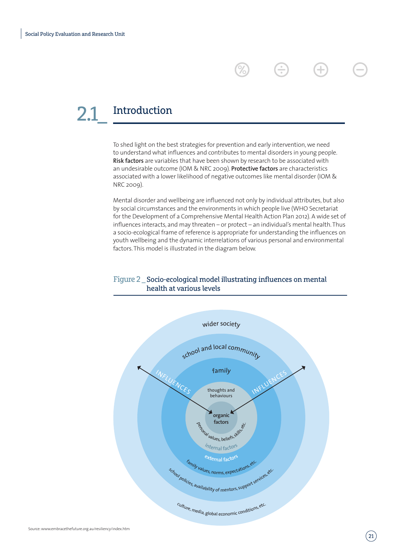# Introduction

To shed light on the best strategies for prevention and early intervention, we need to understand what influences and contributes to mental disorders in young people. **Risk factors** are variables that have been shown by research to be associated with an undesirable outcome (IOM & NRC 2009). **Protective factors** are characteristics associated with a lower likelihood of negative outcomes like mental disorder (IOM & NRC 2009).

3

(+

Mental disorder and wellbeing are influenced not only by individual attributes, but also by social circumstances and the environments in which people live (WHO Secretariat for the Development of a Comprehensive Mental Health Action Plan 2012). A wide set of influences interacts, and may threaten – or protect – an individual's mental health. Thus a socio-ecological frame of reference is appropriate for understanding the influences on youth wellbeing and the dynamic interrelations of various personal and environmental factors. This model is illustrated in the diagram below.

### Figure 2 \_ Socio-ecological model illustrating influences on mental health at various levels

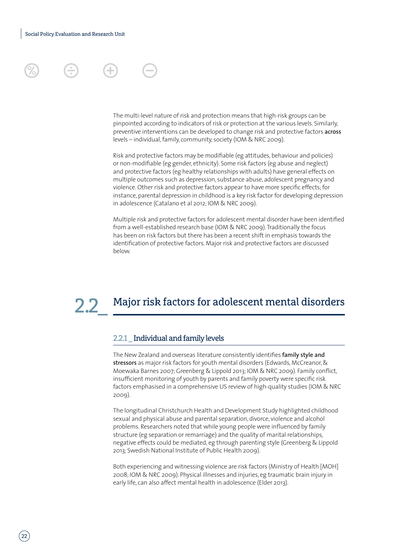### The multi-level nature of risk and protection means that high-risk groups can be pinpointed according to indicators of risk or protection at the various levels. Similarly, preventive interventions can be developed to change risk and protective factors **across** levels – individual, family, community, society (IOM & NRC 2009).

Risk and protective factors may be modifiable (eg attitudes, behaviour and policies) or non-modifiable (eg gender, ethnicity). Some risk factors (eg abuse and neglect) and protective factors (eg healthy relationships with adults) have general effects on multiple outcomes such as depression, substance abuse, adolescent pregnancy and violence. Other risk and protective factors appear to have more specific effects; for instance, parental depression in childhood is a key risk factor for developing depression in adolescence (Catalano et al 2012; IOM & NRC 2009).

Multiple risk and protective factors for adolescent mental disorder have been identified from a well-established research base (IOM & NRC 2009). Traditionally the focus has been on risk factors but there has been a recent shift in emphasis towards the identification of protective factors. Major risk and protective factors are discussed below.

# 2.2 Major risk factors for adolescent mental disorders

### 2.2.1 \_ Individual and family levels

The New Zealand and overseas literature consistently identifies **family style and stressors** as major risk factors for youth mental disorders (Edwards, McCreanor, & Moewaka Barnes 2007; Greenberg & Lippold 2013; IOM & NRC 2009). Family conflict, insufficient monitoring of youth by parents and family poverty were specific risk factors emphasised in a comprehensive US review of high-quality studies (IOM & NRC 2009).

The longitudinal Christchurch Health and Development Study highlighted childhood sexual and physical abuse and parental separation, divorce, violence and alcohol problems. Researchers noted that while young people were influenced by family structure (eg separation or remarriage) and the quality of marital relationships, negative effects could be mediated, eg through parenting style (Greenberg & Lippold 2013; Swedish National Institute of Public Health 2009).

Both experiencing and witnessing violence are risk factors (Ministry of Health [MOH] 2008; IOM & NRC 2009). Physical illnesses and injuries, eg traumatic brain injury in early life, can also affect mental health in adolescence (Elder 2013).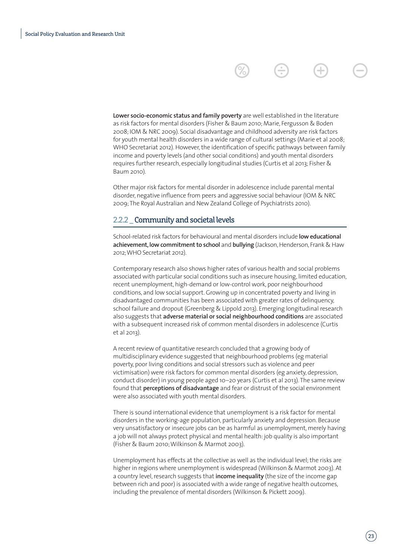**Lower socio-economic status and family poverty** are well established in the literature as risk factors for mental disorders (Fisher & Baum 2010; Marie, Fergusson & Boden 2008; IOM & NRC 2009). Social disadvantage and childhood adversity are risk factors for youth mental health disorders in a wide range of cultural settings (Marie et al 2008; WHO Secretariat 2012). However, the identification of specific pathways between family income and poverty levels (and other social conditions) and youth mental disorders requires further research, especially longitudinal studies (Curtis et al 2013; Fisher & Baum 2010).

Other major risk factors for mental disorder in adolescence include parental mental disorder, negative influence from peers and aggressive social behaviour (IOM & NRC 2009; The Royal Australian and New Zealand College of Psychiatrists 2010).

#### 2.2.2 \_Community and societal levels

School-related risk factors for behavioural and mental disorders include **low educational achievement, low commitment to school** and **bullying** (Jackson, Henderson, Frank & Haw 2012; WHO Secretariat 2012).

Contemporary research also shows higher rates of various health and social problems associated with particular social conditions such as insecure housing, limited education, recent unemployment, high-demand or low-control work, poor neighbourhood conditions, and low social support. Growing up in concentrated poverty and living in disadvantaged communities has been associated with greater rates of delinquency, school failure and dropout (Greenberg & Lippold 2013). Emerging longitudinal research also suggests that **adverse material or social neighbourhood conditions** are associated with a subsequent increased risk of common mental disorders in adolescence (Curtis et al 2013).

A recent review of quantitative research concluded that a growing body of multidisciplinary evidence suggested that neighbourhood problems (eg material poverty, poor living conditions and social stressors such as violence and peer victimisation) were risk factors for common mental disorders (eg anxiety, depression, conduct disorder) in young people aged 10–20 years (Curtis et al 2013). The same review found that **perceptions of disadvantage** and fear or distrust of the social environment were also associated with youth mental disorders.

There is sound international evidence that unemployment is a risk factor for mental disorders in the working-age population, particularly anxiety and depression. Because very unsatisfactory or insecure jobs can be as harmful as unemployment, merely having a job will not always protect physical and mental health: job quality is also important (Fisher & Baum 2010; Wilkinson & Marmot 2003).

Unemployment has effects at the collective as well as the individual level; the risks are higher in regions where unemployment is widespread (Wilkinson & Marmot 2003). At a country level, research suggests that **income inequality** (the size of the income gap between rich and poor) is associated with a wide range of negative health outcomes, including the prevalence of mental disorders (Wilkinson & Pickett 2009).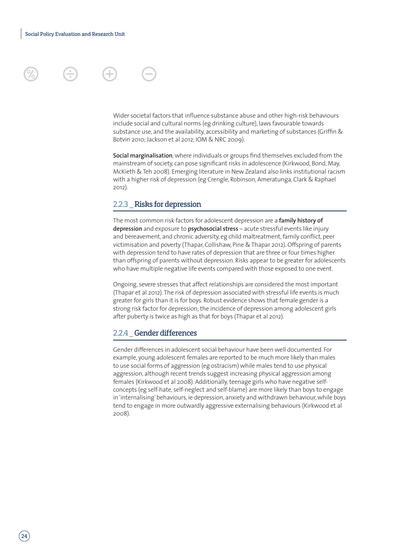

Wider societal factors that influence substance abuse and other high-risk behaviours include social and cultural norms (eg drinking culture), laws favourable towards substance use, and the availability, accessibility and marketing of substances (Griffin & Botvin 2010; Jackson et al 2012; IOM & NRC 2009).

**Social marginalisation**, where individuals or groups find themselves excluded from the mainstream of society, can pose significant risks in adolescence (Kirkwood, Bond, May, McKieth & Teh 2008). Emerging literature in New Zealand also links institutional racism with a higher risk of depression (eg Crengle, Robinson, Ameratunga, Clark & Raphael 2012).

#### 2.2.3 \_ Risks for depression

The most common risk factors for adolescent depression are a **family history of depression** and exposure to **psychosocial stress** – acute stressful events like injury and bereavement, and chronic adversity, eg child maltreatment, family conflict, peer victimisation and poverty (Thapar, Collishaw, Pine & Thapar 2012). Offspring of parents with depression tend to have rates of depression that are three or four times higher than offspring of parents without depression. Risks appear to be greater for adolescents who have multiple negative life events compared with those exposed to one event.

Ongoing, severe stresses that affect relationships are considered the most important (Thapar et al 2012). The risk of depression associated with stressful life events is much greater for girls than it is for boys. Robust evidence shows that female gender is a strong risk factor for depression; the incidence of depression among adolescent girls after puberty is twice as high as that for boys (Thapar et al 2012).

#### 2.2.4 \_ Gender differences

Gender differences in adolescent social behaviour have been well documented. For example, young adolescent females are reported to be much more likely than males to use social forms of aggression (eg ostracism) while males tend to use physical aggression, although recent trends suggest increasing physical aggression among females (Kirkwood et al 2008). Additionally, teenage girls who have negative selfconcepts (eg self-hate, self-neglect and self-blame) are more likely than boys to engage in 'internalising' behaviours, ie depression, anxiety and withdrawn behaviour, while boys tend to engage in more outwardly aggressive externalising behaviours (Kirkwood et al 2008).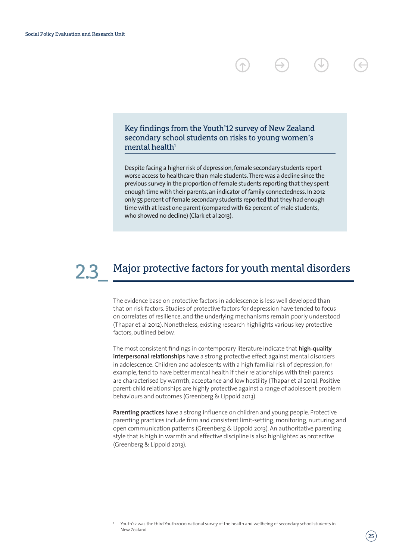Key findings from the Youth'12 survey of New Zealand secondary school students on risks to young women's mental health $1$ 

Despite facing a higher risk of depression, female secondary students report worse access to healthcare than male students. There was a decline since the previous survey in the proportion of female students reporting that they spent enough time with their parents, an indicator of family connectedness. In 2012 only 55 percent of female secondary students reported that they had enough time with at least one parent (compared with 62 percent of male students, who showed no decline) (Clark et al 2013).

# Major protective factors for youth mental disorders

The evidence base on protective factors in adolescence is less well developed than that on risk factors. Studies of protective factors for depression have tended to focus on correlates of resilience, and the underlying mechanisms remain poorly understood (Thapar et al 2012). Nonetheless, existing research highlights various key protective factors, outlined below.

The most consistent findings in contemporary literature indicate that **high-quality interpersonal relationships** have a strong protective effect against mental disorders in adolescence. Children and adolescents with a high familial risk of depression, for example, tend to have better mental health if their relationships with their parents are characterised by warmth, acceptance and low hostility (Thapar et al 2012). Positive parent-child relationships are highly protective against a range of adolescent problem behaviours and outcomes (Greenberg & Lippold 2013).

**Parenting practices** have a strong influence on children and young people. Protective parenting practices include firm and consistent limit-setting, monitoring, nurturing and open communication patterns (Greenberg & Lippold 2013). An authoritative parenting style that is high in warmth and effective discipline is also highlighted as protective (Greenberg & Lippold 2013).

Youth'12 was the third Youth2000 national survey of the health and wellbeing of secondary school students in New Zealand.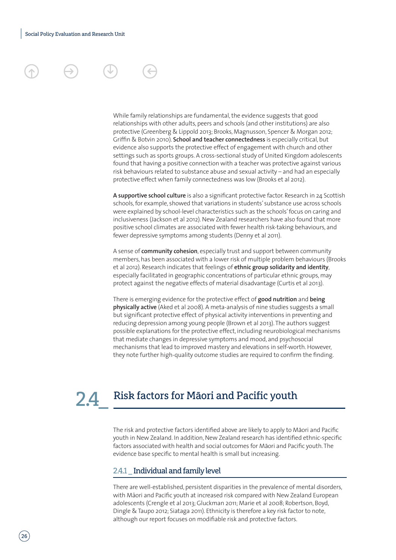#### While family relationships are fundamental, the evidence suggests that good relationships with other adults, peers and schools (and other institutions) are also protective (Greenberg & Lippold 2013; Brooks, Magnusson, Spencer & Morgan 2012; Griffin & Botvin 2010). **School and teacher connectedness** is especially critical, but evidence also supports the protective effect of engagement with church and other settings such as sports groups. A cross-sectional study of United Kingdom adolescents found that having a positive connection with a teacher was protective against various risk behaviours related to substance abuse and sexual activity – and had an especially protective effect when family connectedness was low (Brooks et al 2012).

**A supportive school culture** is also a significant protective factor. Research in 24 Scottish schools, for example, showed that variations in students' substance use across schools were explained by school-level characteristics such as the schools' focus on caring and inclusiveness (Jackson et al 2012). New Zealand researchers have also found that more positive school climates are associated with fewer health risk-taking behaviours, and fewer depressive symptoms among students (Denny et al 2011).

A sense of **community cohesion**, especially trust and support between community members, has been associated with a lower risk of multiple problem behaviours (Brooks et al 2012). Research indicates that feelings of **ethnic group solidarity and identity**, especially facilitated in geographic concentrations of particular ethnic groups, may protect against the negative effects of material disadvantage (Curtis et al 2013).

There is emerging evidence for the protective effect of **good nutrition** and **being physically active** (Aked et al 2008). A meta-analysis of nine studies suggests a small but significant protective effect of physical activity interventions in preventing and reducing depression among young people (Brown et al 2013). The authors suggest possible explanations for the protective effect, including neurobiological mechanisms that mediate changes in depressive symptoms and mood, and psychosocial mechanisms that lead to improved mastery and elevations in self-worth. However, they note further high-quality outcome studies are required to confirm the finding.

# **24** Risk factors for Māori and Pacific youth

The risk and protective factors identified above are likely to apply to Māori and Pacific youth in New Zealand. In addition, New Zealand research has identified ethnic-specific factors associated with health and social outcomes for Māori and Pacific youth. The evidence base specific to mental health is small but increasing.

#### 2.4.1 \_ Individual and family level

There are well-established, persistent disparities in the prevalence of mental disorders, with Māori and Pacific youth at increased risk compared with New Zealand European adolescents (Crengle et al 2013; Gluckman 2011; Marie et al 2008; Robertson, Boyd, Dingle & Taupo 2012; Siataga 2011). Ethnicity is therefore a key risk factor to note, although our report focuses on modifiable risk and protective factors.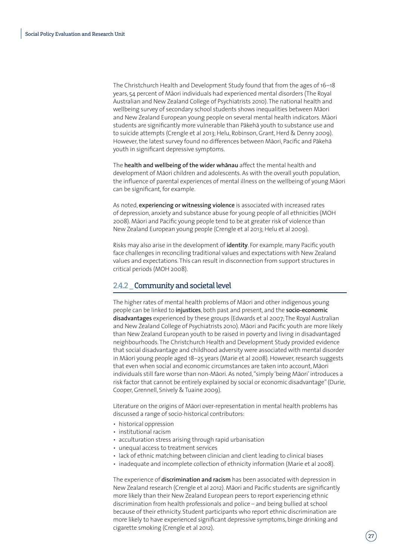The Christchurch Health and Development Study found that from the ages of 16–18 years, 54 percent of Māori individuals had experienced mental disorders (The Royal Australian and New Zealand College of Psychiatrists 2010). The national health and wellbeing survey of secondary school students shows inequalities between Māori and New Zealand European young people on several mental health indicators. Māori students are significantly more vulnerable than Pākehā youth to substance use and to suicide attempts (Crengle et al 2013; Helu, Robinson, Grant, Herd & Denny 2009). However, the latest survey found no differences between Māori, Pacific and Pākehā youth in significant depressive symptoms.

The **health and wellbeing of the wider whanau** affect the mental health and development of Māori children and adolescents. As with the overall youth population, the influence of parental experiences of mental illness on the wellbeing of young Māori can be significant, for example.

As noted, **experiencing or witnessing violence** is associated with increased rates of depression, anxiety and substance abuse for young people of all ethnicities (MOH 2008). Māori and Pacific young people tend to be at greater risk of violence than New Zealand European young people (Crengle et al 2013; Helu et al 2009).

Risks may also arise in the development of **identity**. For example, many Pacific youth face challenges in reconciling traditional values and expectations with New Zealand values and expectations. This can result in disconnection from support structures in critical periods (MOH 2008).

#### 2.4.2 \_ Community and societal level

The higher rates of mental health problems of Māori and other indigenous young people can be linked to **injustices**, both past and present, and the **socio-economic disadvantages** experienced by these groups (Edwards et al 2007; The Royal Australian and New Zealand College of Psychiatrists 2010). Māori and Pacific youth are more likely than New Zealand European youth to be raised in poverty and living in disadvantaged neighbourhoods. The Christchurch Health and Development Study provided evidence that social disadvantage and childhood adversity were associated with mental disorder in Māori young people aged 18–25 years (Marie et al 2008). However, research suggests that even when social and economic circumstances are taken into account, Māori individuals still fare worse than non-Māori. As noted, "simply 'being Māori' introduces a risk factor that cannot be entirely explained by social or economic disadvantage" (Durie, Cooper, Grennell, Snively & Tuaine 2009).

Literature on the origins of Maori over-representation in mental health problems has discussed a range of socio-historical contributors:

- historical oppression
- institutional racism
- acculturation stress arising through rapid urbanisation
- unequal access to treatment services
- lack of ethnic matching between clinician and client leading to clinical biases
- inadequate and incomplete collection of ethnicity information (Marie et al 2008).

The experience of **discrimination and racism** has been associated with depression in New Zealand research (Crengle et al 2012). Māori and Pacific students are significantly more likely than their New Zealand European peers to report experiencing ethnic discrimination from health professionals and police – and being bullied at school because of their ethnicity. Student participants who report ethnic discrimination are more likely to have experienced significant depressive symptoms, binge drinking and cigarette smoking (Crengle et al 2012).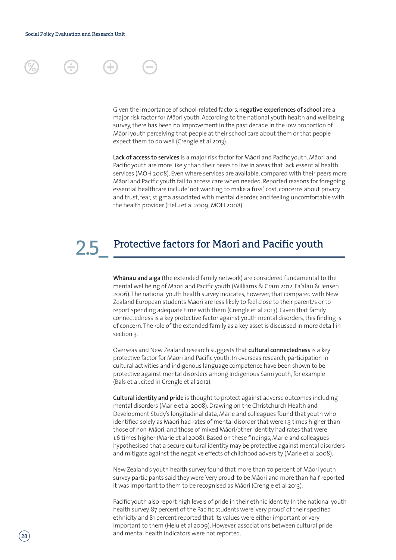#### Given the importance of school-related factors, **negative experiences of school** are a major risk factor for Māori youth. According to the national youth health and wellbeing survey, there has been no improvement in the past decade in the low proportion of Māori youth perceiving that people at their school care about them or that people expect them to do well (Crengle et al 2013).

Lack of access to services is a major risk factor for Māori and Pacific youth. Māori and Pacific youth are more likely than their peers to live in areas that lack essential health services (MOH 2008). Even where services are available, compared with their peers more Māori and Pacific youth fail to access care when needed. Reported reasons for foregoing essential healthcare include 'not wanting to make a fuss', cost, concerns about privacy and trust, fear, stigma associated with mental disorder, and feeling uncomfortable with the health provider (Helu et al 2009; MOH 2008).

# Protective factors for Māori and Pacific youth

Whanau and aiga (the extended family network) are considered fundamental to the mental wellbeing of Māori and Pacific youth (Williams & Cram 2012; Fa'alau & Jensen 2006). The national youth health survey indicates, however, that compared with New Zealand European students Māori are less likely to feel close to their parent/s or to report spending adequate time with them (Crengle et al 2013). Given that family connectedness is a key protective factor against youth mental disorders, this finding is of concern. The role of the extended family as a key asset is discussed in more detail in section 3.

Overseas and New Zealand research suggests that **cultural connectedness** is a key protective factor for Māori and Pacific youth. In overseas research, participation in cultural activities and indigenous language competence have been shown to be protective against mental disorders among Indigenous Sami youth, for example (Bals et al, cited in Crengle et al 2012).

**Cultural identity and pride** is thought to protect against adverse outcomes including mental disorders (Marie et al 2008). Drawing on the Christchurch Health and Development Study's longitudinal data, Marie and colleagues found that youth who identified solely as Māori had rates of mental disorder that were 1.3 times higher than those of non-Māori, and those of mixed Māori/other identity had rates that were 1.6 times higher (Marie et al 2008). Based on these findings, Marie and colleagues hypothesised that a secure cultural identity may be protective against mental disorders and mitigate against the negative effects of childhood adversity (Marie et al 2008).

New Zealand's youth health survey found that more than 70 percent of Māori youth survey participants said they were 'very proud' to be Māori and more than half reported it was important to them to be recognised as Māori (Crengle et al 2013).

Pacific youth also report high levels of pride in their ethnic identity. In the national youth health survey, 87 percent of the Pacific students were 'very proud' of their specified ethnicity and 81 percent reported that its values were either important or very important to them (Helu et al 2009). However, associations between cultural pride and mental health indicators were not reported.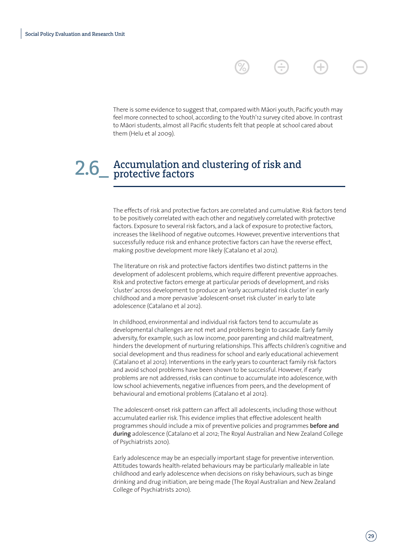There is some evidence to suggest that, compared with Māori youth, Pacific youth may feel more connected to school, according to the Youth'12 survey cited above. In contrast to Māori students, almost all Pacific students felt that people at school cared about them (Helu et al 2009).

# 2.6\_ Accumulation and clustering of risk and<br>Protective factors

The effects of risk and protective factors are correlated and cumulative. Risk factors tend to be positively correlated with each other and negatively correlated with protective factors. Exposure to several risk factors, and a lack of exposure to protective factors, increases the likelihood of negative outcomes. However, preventive interventions that successfully reduce risk and enhance protective factors can have the reverse effect, making positive development more likely (Catalano et al 2012).

The literature on risk and protective factors identifies two distinct patterns in the development of adolescent problems, which require different preventive approaches. Risk and protective factors emerge at particular periods of development, and risks 'cluster' across development to produce an 'early accumulated risk cluster' in early childhood and a more pervasive 'adolescent-onset risk cluster' in early to late adolescence (Catalano et al 2012).

In childhood, environmental and individual risk factors tend to accumulate as developmental challenges are not met and problems begin to cascade. Early family adversity, for example, such as low income, poor parenting and child maltreatment, hinders the development of nurturing relationships. This affects children's cognitive and social development and thus readiness for school and early educational achievement (Catalano et al 2012). Interventions in the early years to counteract family risk factors and avoid school problems have been shown to be successful. However, if early problems are not addressed, risks can continue to accumulate into adolescence, with low school achievements, negative influences from peers, and the development of behavioural and emotional problems (Catalano et al 2012).

The adolescent-onset risk pattern can affect all adolescents, including those without accumulated earlier risk. This evidence implies that effective adolescent health programmes should include a mix of preventive policies and programmes **before and during** adolescence (Catalano et al 2012; The Royal Australian and New Zealand College of Psychiatrists 2010).

Early adolescence may be an especially important stage for preventive intervention. Attitudes towards health-related behaviours may be particularly malleable in late childhood and early adolescence when decisions on risky behaviours, such as binge drinking and drug initiation, are being made (The Royal Australian and New Zealand College of Psychiatrists 2010).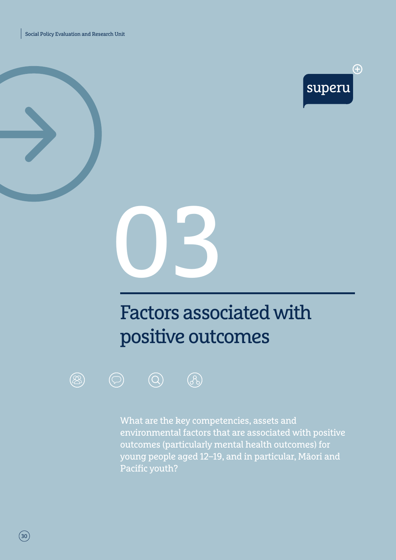Social Policy Evaluation and Research Unit





# Factors associated with positive outcomes





What are the key competencies, assets and environmental factors that are associated with positive outcomes (particularly mental health outcomes) for young people aged 12–19, and in particular, Māori and Pacific youth?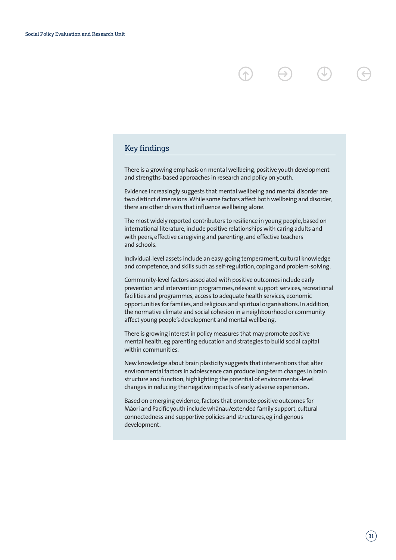#### Key findings

There is a growing emphasis on mental wellbeing, positive youth development and strengths-based approaches in research and policy on youth.

Evidence increasingly suggests that mental wellbeing and mental disorder are two distinct dimensions. While some factors affect both wellbeing and disorder, there are other drivers that influence wellbeing alone.

The most widely reported contributors to resilience in young people, based on international literature, include positive relationships with caring adults and with peers, effective caregiving and parenting, and effective teachers and schools.

Individual-level assets include an easy-going temperament, cultural knowledge and competence, and skills such as self-regulation, coping and problem-solving.

Community-level factors associated with positive outcomes include early prevention and intervention programmes, relevant support services, recreational facilities and programmes, access to adequate health services, economic opportunities for families, and religious and spiritual organisations. In addition, the normative climate and social cohesion in a neighbourhood or community affect young people's development and mental wellbeing.

There is growing interest in policy measures that may promote positive mental health, eg parenting education and strategies to build social capital within communities.

New knowledge about brain plasticity suggests that interventions that alter environmental factors in adolescence can produce long-term changes in brain structure and function, highlighting the potential of environmental-level changes in reducing the negative impacts of early adverse experiences.

Based on emerging evidence, factors that promote positive outcomes for Māori and Pacific youth include whānau/extended family support, cultural connectedness and supportive policies and structures, eg indigenous development.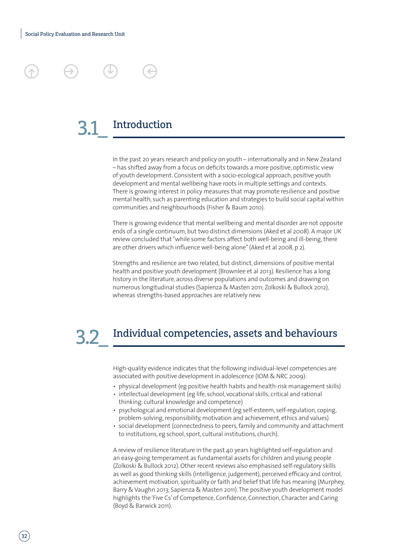

In the past 20 years research and policy on youth – internationally and in New Zealand – has shifted away from a focus on deficits towards a more positive, optimistic view of youth development. Consistent with a socio-ecological approach, positive youth development and mental wellbeing have roots in multiple settings and contexts. There is growing interest in policy measures that may promote resilience and positive mental health, such as parenting education and strategies to build social capital within communities and neighbourhoods (Fisher & Baum 2010).

There is growing evidence that mental wellbeing and mental disorder are not opposite ends of a single continuum, but two distinct dimensions (Aked et al 2008). A major UK review concluded that "while some factors affect both well-being and ill-being, there are other drivers which influence well-being alone" (Aked et al 2008, p 2).

Strengths and resilience are two related, but distinct, dimensions of positive mental health and positive youth development (Brownlee et al 2013). Resilience has a long history in the literature, across diverse populations and outcomes and drawing on numerous longitudinal studies (Sapienza & Masten 2011; Zolkoski & Bullock 2012), whereas strengths-based approaches are relatively new.

### Individual competencies, assets and behaviours 3.2\_

High-quality evidence indicates that the following individual-level competencies are associated with positive development in adolescence (IOM & NRC 2009):

- physical development (eg positive health habits and health-risk management skills)
- intellectual development (eg life, school, vocational skills; critical and rational thinking; cultural knowledge and competence)
- psychological and emotional development (eg self-esteem, self-regulation, coping, problem-solving, responsibility, motivation and achievement, ethics and values)
- social development (connectedness to peers, family and community and attachment to institutions, eg school, sport, cultural institutions, church).

A review of resilience literature in the past 40 years highlighted self-regulation and an easy-going temperament as fundamental assets for children and young people (Zolkoski & Bullock 2012). Other recent reviews also emphasised self-regulatory skills as well as good thinking skills (intelligence, judgement), perceived efficacy and control, achievement motivation, spirituality or faith and belief that life has meaning (Murphey, Barry & Vaughn 2013; Sapienza & Masten 2011). The positive youth development model highlights the 'Five Cs' of Competence, Confidence, Connection, Character and Caring (Boyd & Barwick 2011).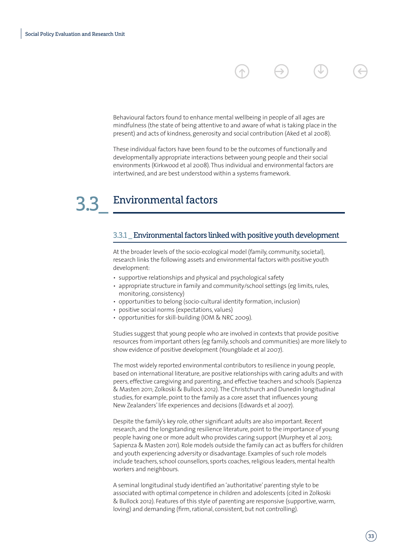Behavioural factors found to enhance mental wellbeing in people of all ages are mindfulness (the state of being attentive to and aware of what is taking place in the present) and acts of kindness, generosity and social contribution (Aked et al 2008).

These individual factors have been found to be the outcomes of functionally and developmentally appropriate interactions between young people and their social environments (Kirkwood et al 2008). Thus individual and environmental factors are intertwined, and are best understood within a systems framework.

# Environmental factors 3.3\_

#### 3.3.1 \_ Environmental factors linked with positive youth development

At the broader levels of the socio-ecological model (family, community, societal), research links the following assets and environmental factors with positive youth development:

- supportive relationships and physical and psychological safety
- appropriate structure in family and community/school settings (eg limits, rules, monitoring, consistency)
- opportunities to belong (socio-cultural identity formation, inclusion)
- positive social norms (expectations, values)
- opportunities for skill-building (IOM & NRC 2009).

Studies suggest that young people who are involved in contexts that provide positive resources from important others (eg family, schools and communities) are more likely to show evidence of positive development (Youngblade et al 2007).

The most widely reported environmental contributors to resilience in young people, based on international literature, are positive relationships with caring adults and with peers, effective caregiving and parenting, and effective teachers and schools (Sapienza & Masten 2011; Zolkoski & Bullock 2012). The Christchurch and Dunedin longitudinal studies, for example, point to the family as a core asset that influences young New Zealanders' life experiences and decisions (Edwards et al 2007).

Despite the family's key role, other significant adults are also important. Recent research, and the longstanding resilience literature, point to the importance of young people having one or more adult who provides caring support (Murphey et al 2013; Sapienza & Masten 2011). Role models outside the family can act as buffers for children and youth experiencing adversity or disadvantage. Examples of such role models include teachers, school counsellors, sports coaches, religious leaders, mental health workers and neighbours.

A seminal longitudinal study identified an 'authoritative' parenting style to be associated with optimal competence in children and adolescents (cited in Zolkoski & Bullock 2012). Features of this style of parenting are responsive (supportive, warm, loving) and demanding (firm, rational, consistent, but not controlling).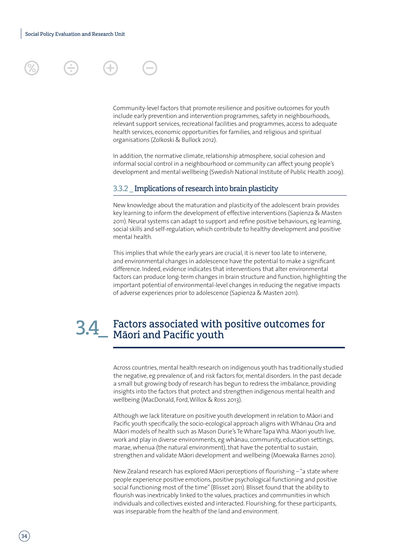Community-level factors that promote resilience and positive outcomes for youth include early prevention and intervention programmes, safety in neighbourhoods, relevant support services, recreational facilities and programmes, access to adequate health services, economic opportunities for families, and religious and spiritual organisations (Zolkoski & Bullock 2012).

In addition, the normative climate, relationship atmosphere, social cohesion and informal social control in a neighbourhood or community can affect young people's development and mental wellbeing (Swedish National Institute of Public Health 2009).

### 3.3.2 \_ Implications of research into brain plasticity

New knowledge about the maturation and plasticity of the adolescent brain provides key learning to inform the development of effective interventions (Sapienza & Masten 2011). Neural systems can adapt to support and refine positive behaviours, eg learning, social skills and self-regulation, which contribute to healthy development and positive mental health.

This implies that while the early years are crucial, it is never too late to intervene, and environmental changes in adolescence have the potential to make a significant difference. Indeed, evidence indicates that interventions that alter environmental factors can produce long-term changes in brain structure and function, highlighting the important potential of environmental-level changes in reducing the negative impacts of adverse experiences prior to adolescence (Sapienza & Masten 2011).

## Factors associated with positive outcomes for 3.4\_ Factors associated.<br>Māori and Pacific youth

Across countries, mental health research on indigenous youth has traditionally studied the negative, eg prevalence of, and risk factors for, mental disorders. In the past decade a small but growing body of research has begun to redress the imbalance, providing insights into the factors that protect and strengthen indigenous mental health and wellbeing (MacDonald, Ford, Willox & Ross 2013).

Although we lack literature on positive youth development in relation to Māori and Pacific youth specifically, the socio-ecological approach aligns with Whānau Ora and Māori models of health such as Mason Durie's Te Whare Tapa Whā. Māori youth live, work and play in diverse environments, eg whānau, community, education settings, marae, whenua (the natural environment), that have the potential to sustain, strengthen and validate Māori development and wellbeing (Moewaka Barnes 2010).

New Zealand research has explored Māori perceptions of flourishing – "a state where people experience positive emotions, positive psychological functioning and positive social functioning most of the time" (Blisset 2011). Blisset found that the ability to flourish was inextricably linked to the values, practices and communities in which individuals and collectives existed and interacted. Flourishing, for these participants, was inseparable from the health of the land and environment.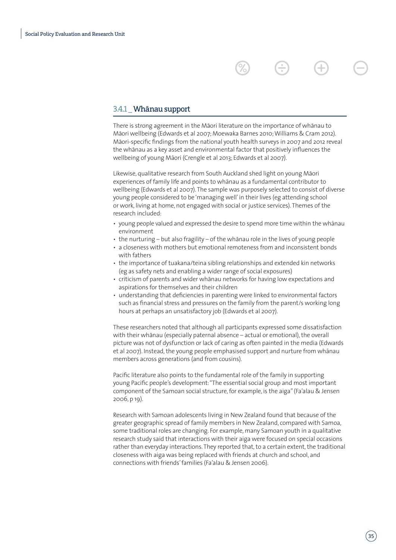#### 3.4.1 Whānau support

There is strong agreement in the Māori literature on the importance of whānau to Māori wellbeing (Edwards et al 2007; Moewaka Barnes 2010; Williams & Cram 2012). Māori-specific findings from the national youth health surveys in 2007 and 2012 reveal the whānau as a key asset and environmental factor that positively influences the wellbeing of young Māori (Crengle et al 2013; Edwards et al 2007).

Likewise, qualitative research from South Auckland shed light on young Ma-ori experiences of family life and points to whānau as a fundamental contributor to wellbeing (Edwards et al 2007). The sample was purposely selected to consist of diverse young people considered to be 'managing well' in their lives (eg attending school or work, living at home, not engaged with social or justice services). Themes of the research included:

- young people valued and expressed the desire to spend more time within the whanau environment
- $\cdot$  the nurturing but also fragility of the whanau role in the lives of young people
- a closeness with mothers but emotional remoteness from and inconsistent bonds with fathers
- the importance of tuakana/teina sibling relationships and extended kin networks (eg as safety nets and enabling a wider range of social exposures)
- criticism of parents and wider whanau networks for having low expectations and aspirations for themselves and their children
- understanding that deficiencies in parenting were linked to environmental factors such as financial stress and pressures on the family from the parent/s working long hours at perhaps an unsatisfactory job (Edwards et al 2007).

These researchers noted that although all participants expressed some dissatisfaction with their whānau (especially paternal absence – actual or emotional), the overall picture was not of dysfunction or lack of caring as often painted in the media (Edwards et al 2007). Instead, the young people emphasised support and nurture from whanau members across generations (and from cousins).

Pacific literature also points to the fundamental role of the family in supporting young Pacific people's development: "The essential social group and most important component of the Samoan social structure, for example, is the aiga" (Fa'alau & Jensen 2006, p 19).

Research with Samoan adolescents living in New Zealand found that because of the greater geographic spread of family members in New Zealand, compared with Samoa, some traditional roles are changing. For example, many Samoan youth in a qualitative research study said that interactions with their aiga were focused on special occasions rather than everyday interactions. They reported that, to a certain extent, the traditional closeness with aiga was being replaced with friends at church and school, and connections with friends' families (Fa'alau & Jensen 2006).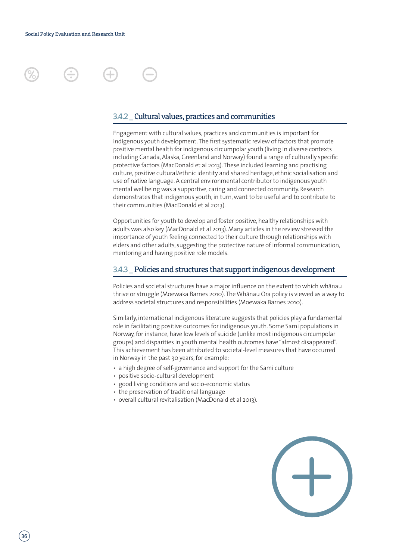

### 3.4.2 \_ Cultural values, practices and communities

Engagement with cultural values, practices and communities is important for indigenous youth development. The first systematic review of factors that promote positive mental health for indigenous circumpolar youth (living in diverse contexts including Canada, Alaska, Greenland and Norway) found a range of culturally specific protective factors (MacDonald et al 2013). These included learning and practising culture, positive cultural/ethnic identity and shared heritage, ethnic socialisation and use of native language. A central environmental contributor to indigenous youth mental wellbeing was a supportive, caring and connected community. Research demonstrates that indigenous youth, in turn, want to be useful and to contribute to their communities (MacDonald et al 2013).

Opportunities for youth to develop and foster positive, healthy relationships with adults was also key (MacDonald et al 2013). Many articles in the review stressed the importance of youth feeling connected to their culture through relationships with elders and other adults, suggesting the protective nature of informal communication, mentoring and having positive role models.

#### 3.4.3 \_ Policies and structures that support indigenous development

Policies and societal structures have a major influence on the extent to which whānau thrive or struggle (Moewaka Barnes 2010). The Whānau Ora policy is viewed as a way to address societal structures and responsibilities (Moewaka Barnes 2010).

Similarly, international indigenous literature suggests that policies play a fundamental role in facilitating positive outcomes for indigenous youth. Some Sami populations in Norway, for instance, have low levels of suicide (unlike most indigenous circumpolar groups) and disparities in youth mental health outcomes have "almost disappeared". This achievement has been attributed to societal-level measures that have occurred in Norway in the past 30 years, for example:

- a high degree of self-governance and support for the Sami culture
- positive socio-cultural development
- good living conditions and socio-economic status
- the preservation of traditional language
- overall cultural revitalisation (MacDonald et al 2013).

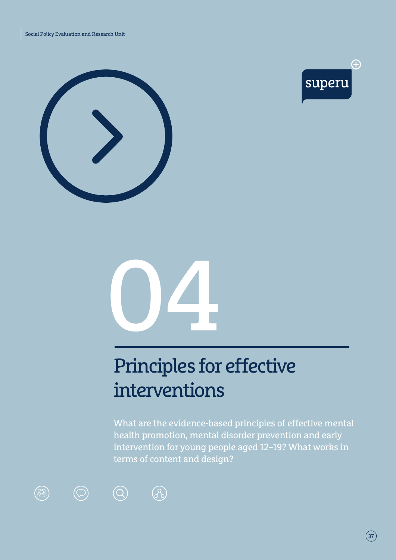





# Principles for effective interventions

What are the evidence-based principles of effective mental health promotion, mental disorder prevention and early intervention for young people aged 12–19? What works in terms of content and design?







 $\bigcirc$ 

 $\circledcirc$ 



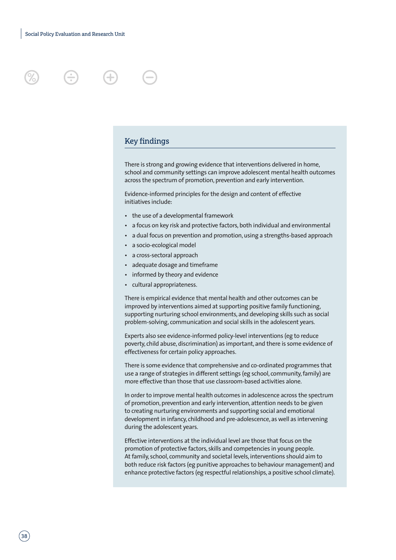



There is strong and growing evidence that interventions delivered in home, school and community settings can improve adolescent mental health outcomes across the spectrum of promotion, prevention and early intervention.

Evidence-informed principles for the design and content of effective initiatives include:

- the use of a developmental framework
- a focus on key risk and protective factors, both individual and environmental
- a dual focus on prevention and promotion, using a strengths-based approach
- a socio-ecological model
- a cross-sectoral approach
- adequate dosage and timeframe
- informed by theory and evidence
- cultural appropriateness.

There is empirical evidence that mental health and other outcomes can be improved by interventions aimed at supporting positive family functioning, supporting nurturing school environments, and developing skills such as social problem-solving, communication and social skills in the adolescent years.

Experts also see evidence-informed policy-level interventions (eg to reduce poverty, child abuse, discrimination) as important, and there is some evidence of effectiveness for certain policy approaches.

There is some evidence that comprehensive and co-ordinated programmes that use a range of strategies in different settings (eg school, community, family) are more effective than those that use classroom-based activities alone.

In order to improve mental health outcomes in adolescence across the spectrum of promotion, prevention and early intervention, attention needs to be given to creating nurturing environments and supporting social and emotional development in infancy, childhood and pre-adolescence, as well as intervening during the adolescent years.

Effective interventions at the individual level are those that focus on the promotion of protective factors, skills and competencies in young people. At family, school, community and societal levels, interventions should aim to both reduce risk factors (eg punitive approaches to behaviour management) and enhance protective factors (eg respectful relationships, a positive school climate).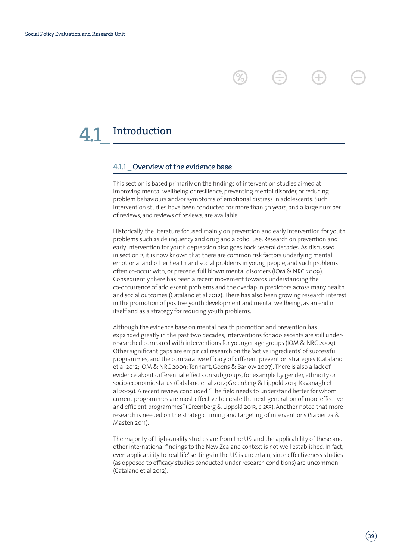### Introduction

### 4.1.1 \_ Overview of the evidence base

This section is based primarily on the findings of intervention studies aimed at improving mental wellbeing or resilience, preventing mental disorder, or reducing problem behaviours and/or symptoms of emotional distress in adolescents. Such intervention studies have been conducted for more than 50 years, and a large number of reviews, and reviews of reviews, are available.

Historically, the literature focused mainly on prevention and early intervention for youth problems such as delinquency and drug and alcohol use. Research on prevention and early intervention for youth depression also goes back several decades. As discussed in section 2, it is now known that there are common risk factors underlying mental, emotional and other health and social problems in young people, and such problems often co-occur with, or precede, full blown mental disorders (IOM & NRC 2009). Consequently there has been a recent movement towards understanding the co-occurrence of adolescent problems and the overlap in predictors across many health and social outcomes (Catalano et al 2012). There has also been growing research interest in the promotion of positive youth development and mental wellbeing, as an end in itself and as a strategy for reducing youth problems.

Although the evidence base on mental health promotion and prevention has expanded greatly in the past two decades, interventions for adolescents are still underresearched compared with interventions for younger age groups (IOM & NRC 2009). Other significant gaps are empirical research on the 'active ingredients' of successful programmes, and the comparative efficacy of different prevention strategies (Catalano et al 2012; IOM & NRC 2009; Tennant, Goens & Barlow 2007). There is also a lack of evidence about differential effects on subgroups, for example by gender, ethnicity or socio-economic status (Catalano et al 2012; Greenberg & Lippold 2013; Kavanagh et al 2009). A recent review concluded, "The field needs to understand better for whom current programmes are most effective to create the next generation of more effective and efficient programmes" (Greenberg & Lippold 2013, p 253). Another noted that more research is needed on the strategic timing and targeting of interventions (Sapienza & Masten 2011).

The majority of high-quality studies are from the US, and the applicability of these and other international findings to the New Zealand context is not well established. In fact, even applicability to 'real life' settings in the US is uncertain, since effectiveness studies (as opposed to efficacy studies conducted under research conditions) are uncommon (Catalano et al 2012).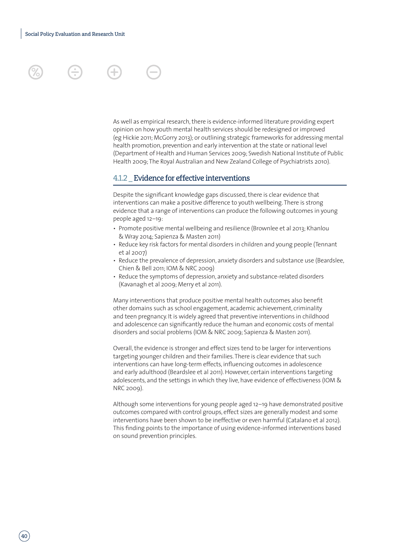

### 4.1.2 \_ Evidence for effective interventions

Despite the significant knowledge gaps discussed, there is clear evidence that interventions can make a positive difference to youth wellbeing. There is strong evidence that a range of interventions can produce the following outcomes in young people aged 12–19:

- Promote positive mental wellbeing and resilience (Brownlee et al 2013; Khanlou & Wray 2014; Sapienza & Masten 2011)
- Reduce key risk factors for mental disorders in children and young people (Tennant et al 2007)
- Reduce the prevalence of depression, anxiety disorders and substance use (Beardslee, Chien & Bell 2011; IOM & NRC 2009)
- Reduce the symptoms of depression, anxiety and substance-related disorders (Kavanagh et al 2009; Merry et al 2011).

Many interventions that produce positive mental health outcomes also benefit other domains such as school engagement, academic achievement, criminality and teen pregnancy. It is widely agreed that preventive interventions in childhood and adolescence can significantly reduce the human and economic costs of mental disorders and social problems (IOM & NRC 2009; Sapienza & Masten 2011).

Overall, the evidence is stronger and effect sizes tend to be larger for interventions targeting younger children and their families. There is clear evidence that such interventions can have long-term effects, influencing outcomes in adolescence and early adulthood (Beardslee et al 2011). However, certain interventions targeting adolescents, and the settings in which they live, have evidence of effectiveness (IOM & NRC 2009).

Although some interventions for young people aged 12–19 have demonstrated positive outcomes compared with control groups, effect sizes are generally modest and some interventions have been shown to be ineffective or even harmful (Catalano et al 2012). This finding points to the importance of using evidence-informed interventions based on sound prevention principles.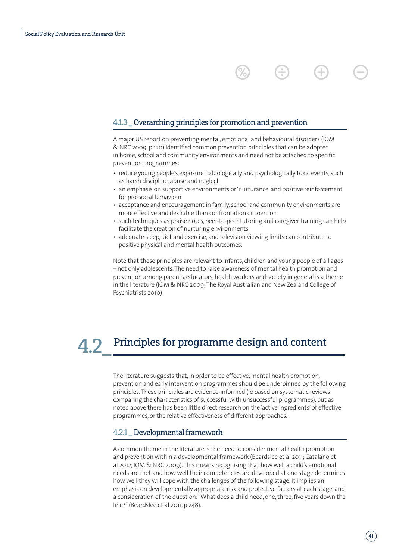### 4.1.3 \_ Overarching principles for promotion and prevention

A major US report on preventing mental, emotional and behavioural disorders (IOM & NRC 2009, p 120) identified common prevention principles that can be adopted in home, school and community environments and need not be attached to specific prevention programmes:

- reduce young people's exposure to biologically and psychologically toxic events, such as harsh discipline, abuse and neglect
- an emphasis on supportive environments or 'nurturance' and positive reinforcement for pro-social behaviour
- acceptance and encouragement in family, school and community environments are more effective and desirable than confrontation or coercion
- such techniques as praise notes, peer-to-peer tutoring and caregiver training can help facilitate the creation of nurturing environments
- adequate sleep, diet and exercise, and television viewing limits can contribute to positive physical and mental health outcomes.

Note that these principles are relevant to infants, children and young people of all ages – not only adolescents. The need to raise awareness of mental health promotion and prevention among parents, educators, health workers and society in general is a theme in the literature (IOM & NRC 2009; The Royal Australian and New Zealand College of Psychiatrists 2010)

### 4.2.2. Principles for programme design and content

The literature suggests that, in order to be effective, mental health promotion, prevention and early intervention programmes should be underpinned by the following principles. These principles are evidence-informed (ie based on systematic reviews comparing the characteristics of successful with unsuccessful programmes), but as noted above there has been little direct research on the 'active ingredients' of effective programmes, or the relative effectiveness of different approaches.

### 4.2.1 \_ Developmental framework

A common theme in the literature is the need to consider mental health promotion and prevention within a developmental framework (Beardslee et al 2011; Catalano et al 2012; IOM & NRC 2009). This means recognising that how well a child's emotional needs are met and how well their competencies are developed at one stage determines how well they will cope with the challenges of the following stage. It implies an emphasis on developmentally appropriate risk and protective factors at each stage, and a consideration of the question: "What does a child need, one, three, five years down the line?" (Beardslee et al 2011, p 248).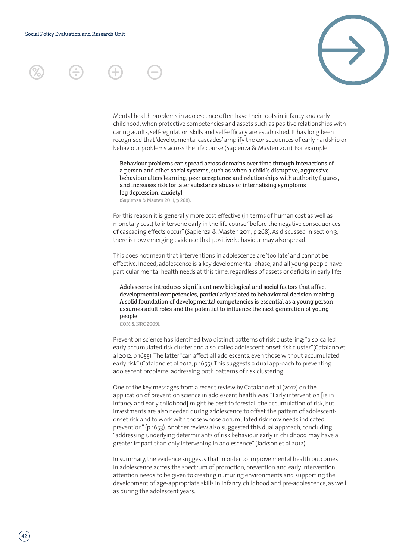

Mental health problems in adolescence often have their roots in infancy and early childhood, when protective competencies and assets such as positive relationships with caring adults, self-regulation skills and self-efficacy are established. It has long been recognised that 'developmental cascades' amplify the consequences of early hardship or behaviour problems across the life course (Sapienza & Masten 2011). For example:

Behaviour problems can spread across domains over time through interactions of a person and other social systems, such as when a child's disruptive, aggressive behaviour alters learning, peer acceptance and relationships with authority figures, and increases risk for later substance abuse or internalising symptoms [eg depression, anxiety]

(Sapienza & Masten 2011, p 268).

For this reason it is generally more cost effective (in terms of human cost as well as monetary cost) to intervene early in the life course "before the negative consequences of cascading effects occur" (Sapienza & Masten 2011, p 268). As discussed in section 3, there is now emerging evidence that positive behaviour may also spread.

This does not mean that interventions in adolescence are 'too late' and cannot be effective. Indeed, adolescence is a key developmental phase, and all young people have particular mental health needs at this time, regardless of assets or deficits in early life:

Adolescence introduces significant new biological and social factors that affect developmental competencies, particularly related to behavioural decision making. A solid foundation of developmental competencies is essential as a young person assumes adult roles and the potential to influence the next generation of young people

(IOM & NRC 2009).

Prevention science has identified two distinct patterns of risk clustering: "a so-called early accumulated risk cluster and a so-called adolescent-onset risk cluster"(Catalano et al 2012, p 1655). The latter "can affect all adolescents, even those without accumulated early risk" (Catalano et al 2012, p 1655). This suggests a dual approach to preventing adolescent problems, addressing both patterns of risk clustering.

One of the key messages from a recent review by Catalano et al (2012) on the application of prevention science in adolescent health was: "Early intervention [ie in infancy and early childhood] might be best to forestall the accumulation of risk, but investments are also needed during adolescence to offset the pattern of adolescentonset risk and to work with those whose accumulated risk now needs indicated prevention" (p 1653). Another review also suggested this dual approach, concluding "addressing underlying determinants of risk behaviour early in childhood may have a greater impact than only intervening in adolescence" (Jackson et al 2012).

In summary, the evidence suggests that in order to improve mental health outcomes in adolescence across the spectrum of promotion, prevention and early intervention, attention needs to be given to creating nurturing environments and supporting the development of age-appropriate skills in infancy, childhood and pre-adolescence, as well as during the adolescent years.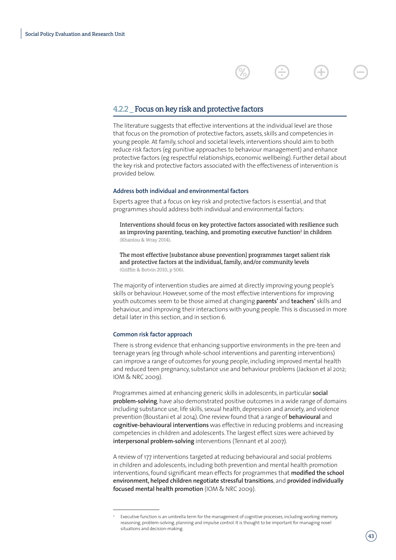### 4.2.2 \_ Focus on key risk and protective factors

The literature suggests that effective interventions at the individual level are those that focus on the promotion of protective factors, assets, skills and competencies in young people. At family, school and societal levels, interventions should aim to both reduce risk factors (eg punitive approaches to behaviour management) and enhance protective factors (eg respectful relationships, economic wellbeing). Further detail about the key risk and protective factors associated with the effectiveness of intervention is provided below.

### **Address both individual and environmental factors**

Experts agree that a focus on key risk and protective factors is essential, and that programmes should address both individual and environmental factors:

Interventions should focus on key protective factors associated with resilience such as improving parenting, teaching, and promoting executive function<sup>2</sup> in children (Khanlou & Wray 2014).

The most effective [substance abuse prevention] programmes target salient risk and protective factors at the individual, family, and/or community levels (Griffin & Botvin 2010, p 506).

The majority of intervention studies are aimed at directly improving young people's skills or behaviour. However, some of the most effective interventions for improving youth outcomes seem to be those aimed at changing **parents'** and **teachers'** skills and behaviour, and improving their interactions with young people. This is discussed in more detail later in this section, and in section 6.

#### **Common risk factor approach**

There is strong evidence that enhancing supportive environments in the pre-teen and teenage years (eg through whole-school interventions and parenting interventions) can improve a range of outcomes for young people, including improved mental health and reduced teen pregnancy, substance use and behaviour problems (Jackson et al 2012; IOM & NRC 2009).

Programmes aimed at enhancing generic skills in adolescents, in particular **social problem-solving**, have also demonstrated positive outcomes in a wide range of domains including substance use, life skills, sexual health, depression and anxiety, and violence prevention (Boustani et al 2014). One review found that a range of **behavioural** and **cognitive-behavioural interventions** was effective in reducing problems and increasing competencies in children and adolescents. The largest effect sizes were achieved by **interpersonal problem-solving** interventions (Tennant et al 2007).

A review of 177 interventions targeted at reducing behavioural and social problems in children and adolescents, including both prevention and mental health promotion interventions, found significant mean effects for programmes that **modified the school environment, helped children negotiate stressful transitions**, and **provided individually focused mental health promotion** (IOM & NRC 2009).

Executive function is an umbrella term for the management of cognitive processes, including working memory, reasoning, problem-solving, planning and impulse control. It is thought to be important for managing novel situations and decision-making.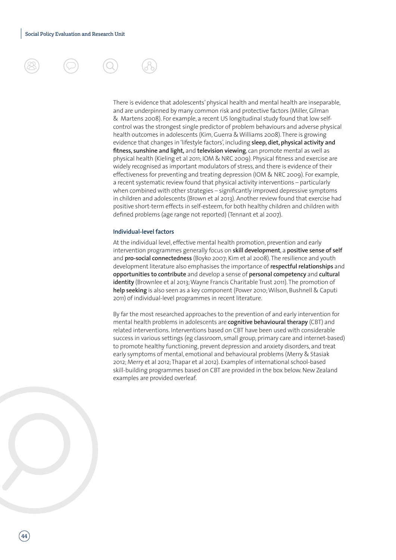

There is evidence that adolescents' physical health and mental health are inseparable, and are underpinned by many common risk and protective factors (Miller, Gilman & Martens 2008). For example, a recent US longitudinal study found that low selfcontrol was the strongest single predictor of problem behaviours and adverse physical health outcomes in adolescents (Kim, Guerra & Williams 2008). There is growing evidence that changes in 'lifestyle factors', including **sleep, diet, physical activity and fitness, sunshine and light,** and **television viewing**, can promote mental as well as physical health (Kieling et al 2011; IOM & NRC 2009). Physical fitness and exercise are widely recognised as important modulators of stress, and there is evidence of their effectiveness for preventing and treating depression (IOM & NRC 2009). For example, a recent systematic review found that physical activity interventions – particularly when combined with other strategies – significantly improved depressive symptoms in children and adolescents (Brown et al 2013). Another review found that exercise had positive short-term effects in self-esteem, for both healthy children and children with defined problems (age range not reported) (Tennant et al 2007).

### **Individual-level factors**

At the individual level, effective mental health promotion, prevention and early intervention programmes generally focus on **skill development**, a **positive sense of self** and **pro-social connectedness** (Boyko 2007; Kim et al 2008). The resilience and youth development literature also emphasises the importance of **respectful relationships** and **opportunities to contribute** and develop a sense of **personal competency** and **cultural identity** (Brownlee et al 2013; Wayne Francis Charitable Trust 2011). The promotion of **help seeking** is also seen as a key component (Power 2010; Wilson, Bushnell & Caputi 2011) of individual-level programmes in recent literature.

By far the most researched approaches to the prevention of and early intervention for mental health problems in adolescents are **cognitive behavioural therapy** (CBT) and related interventions. Interventions based on CBT have been used with considerable success in various settings (eg classroom, small group, primary care and internet-based) to promote healthy functioning, prevent depression and anxiety disorders, and treat early symptoms of mental, emotional and behavioural problems (Merry & Stasiak 2012; Merry et al 2012; Thapar et al 2012). Examples of international school-based skill-building programmes based on CBT are provided in the box below. New Zealand examples are provided overleaf.

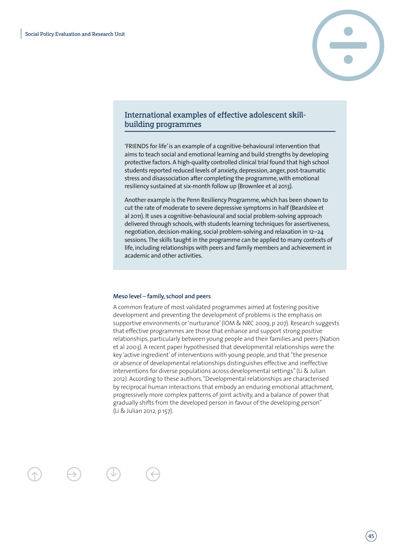

### International examples of effective adolescent skillbuilding programmes

'FRIENDS for life' is an example of a cognitive-behavioural intervention that aims to teach social and emotional learning and build strengths by developing protective factors. A high-quality controlled clinical trial found that high school students reported reduced levels of anxiety, depression, anger, post-traumatic stress and disassociation after completing the programme, with emotional resiliency sustained at six-month follow up (Brownlee et al 2013).

Another example is the Penn Resiliency Programme, which has been shown to cut the rate of moderate to severe depressive symptoms in half (Beardslee et al 2011). It uses a cognitive-behavioural and social problem-solving approach delivered through schools, with students learning techniques for assertiveness, negotiation, decision-making, social problem-solving and relaxation in 12–24 sessions. The skills taught in the programme can be applied to many contexts of life, including relationships with peers and family members and achievement in academic and other activities.

#### **Meso level** – **family, school and peers**

A common feature of most validated programmes aimed at fostering positive development and preventing the development of problems is the emphasis on supportive environments or 'nurturance' (IOM & NRC 2009, p 207). Research suggests that effective programmes are those that enhance and support strong positive relationships, particularly between young people and their families and peers (Nation et al 2003). A recent paper hypothesised that developmental relationships were the key 'active ingredient' of interventions with young people, and that "the presence or absence of developmental relationships distinguishes effective and ineffective interventions for diverse populations across developmental settings" (Li & Julian 2012). According to these authors, "Developmental relationships are characterised by reciprocal human interactions that embody an enduring emotional attachment, progressively more complex patterns of joint activity, and a balance of power that gradually shifts from the developed person in favour of the developing person" (Li & Julian 2012, p 157).

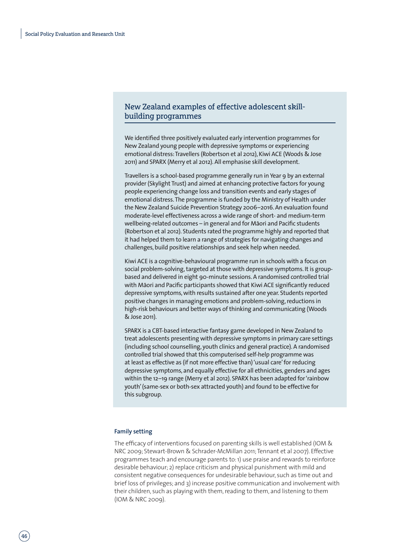### New Zealand examples of effective adolescent skillbuilding programmes

We identified three positively evaluated early intervention programmes for New Zealand young people with depressive symptoms or experiencing emotional distress: Travellers (Robertson et al 2012), Kiwi ACE (Woods & Jose 2011) and SPARX (Merry et al 2012). All emphasise skill development.

Travellers is a school-based programme generally run in Year 9 by an external provider (Skylight Trust) and aimed at enhancing protective factors for young people experiencing change loss and transition events and early stages of emotional distress. The programme is funded by the Ministry of Health under the New Zealand Suicide Prevention Strategy 2006–2016. An evaluation found moderate-level effectiveness across a wide range of short- and medium-term wellbeing-related outcomes – in general and for Maori and Pacific students (Robertson et al 2012). Students rated the programme highly and reported that it had helped them to learn a range of strategies for navigating changes and challenges, build positive relationships and seek help when needed.

Kiwi ACE is a cognitive-behavioural programme run in schools with a focus on social problem-solving, targeted at those with depressive symptoms. It is groupbased and delivered in eight 90-minute sessions. A randomised controlled trial with Māori and Pacific participants showed that Kiwi ACE significantly reduced depressive symptoms, with results sustained after one year. Students reported positive changes in managing emotions and problem-solving, reductions in high-risk behaviours and better ways of thinking and communicating (Woods & Jose 2011).

SPARX is a CBT-based interactive fantasy game developed in New Zealand to treat adolescents presenting with depressive symptoms in primary care settings (including school counselling, youth clinics and general practice). A randomised controlled trial showed that this computerised self-help programme was at least as effective as (if not more effective than) 'usual care' for reducing depressive symptoms, and equally effective for all ethnicities, genders and ages within the 12–19 range (Merry et al 2012). SPARX has been adapted for 'rainbow youth' (same-sex or both-sex attracted youth) and found to be effective for this subgroup.

#### **Family setting**

The efficacy of interventions focused on parenting skills is well established (IOM & NRC 2009; Stewart-Brown & Schrader-McMillan 2011; Tennant et al 2007). Effective programmes teach and encourage parents to: 1) use praise and rewards to reinforce desirable behaviour; 2) replace criticism and physical punishment with mild and consistent negative consequences for undesirable behaviour, such as time out and brief loss of privileges; and 3) increase positive communication and involvement with their children, such as playing with them, reading to them, and listening to them (IOM & NRC 2009).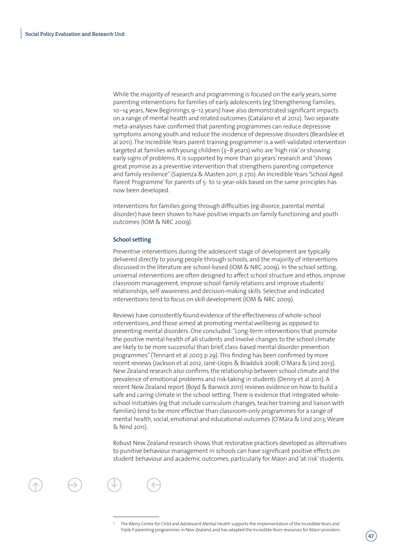While the majority of research and programming is focused on the early years, some parenting interventions for families of early adolescents (eg Strengthening Families, 10–14 years, New Beginnings, 9–12 years) have also demonstrated significant impacts on a range of mental health and related outcomes (Catalano et al 2012). Two separate meta-analyses have confirmed that parenting programmes can reduce depressive symptoms among youth and reduce the incidence of depressive disorders (Beardslee et al 2011). The Incredible Years parent training programme3 is a well-validated intervention targeted at families with young children (3–8 years) who are 'high risk' or showing early signs of problems. It is supported by more than 30 years' research and "shows great promise as a preventive intervention that strengthens parenting competence and family resilience" (Sapienza & Masten 2011, p 270). An Incredible Years 'School Aged Parent Programme' for parents of 5- to 12-year-olds based on the same principles has now been developed.

Interventions for families going through difficulties (eg divorce, parental mental disorder) have been shown to have positive impacts on family functioning and youth outcomes (IOM & NRC 2009).

#### **School setting**

Preventive interventions during the adolescent stage of development are typically delivered directly to young people through schools, and the majority of interventions discussed in the literature are school-based (IOM & NRC 2009). In the school setting, universal interventions are often designed to affect school structure and ethos, improve classroom management, improve school-family relations and improve students' relationships, self-awareness and decision-making skills. Selective and indicated interventions tend to focus on skill development (IOM & NRC 2009).

Reviews have consistently found evidence of the effectiveness of whole-school interventions, and those aimed at promoting mental wellbeing as opposed to preventing mental disorders. One concluded: "Long-term interventions that promote the positive mental health of all students and involve changes to the school climate are likely to be more successful than brief, class-based mental disorder prevention programmes" (Tennant et al 2007, p 29). This finding has been confirmed by more recent reviews (Jackson et al 2012; Jané-Llopis & Braddick 2008; O'Mara & Lind 2013). New Zealand research also confirms the relationship between school climate and the prevalence of emotional problems and risk-taking in students (Denny et al 2011). A recent New Zealand report (Boyd & Barwick 2011) reviews evidence on how to build a safe and caring climate in the school setting. There is evidence that integrated wholeschool initiatives (eg that include curriculum changes, teacher training and liaison with families) tend to be more effective than classroom-only programmes for a range of mental health, social, emotional and educational outcomes (O'Mara & Lind 2013; Weare & Nind 2011).

Robust New Zealand research shows that restorative practices developed as alternatives to punitive behaviour management in schools can have significant positive effects on student behaviour and academic outcomes, particularly for Māori and 'at-risk' students.



<sup>3</sup> The Werry Centre for Child and Adolescent Mental Health supports the implementation of the Incredible Years and Triple P parenting programmes in New Zealand, and has adapted the Incredible Years resources for Māori providers.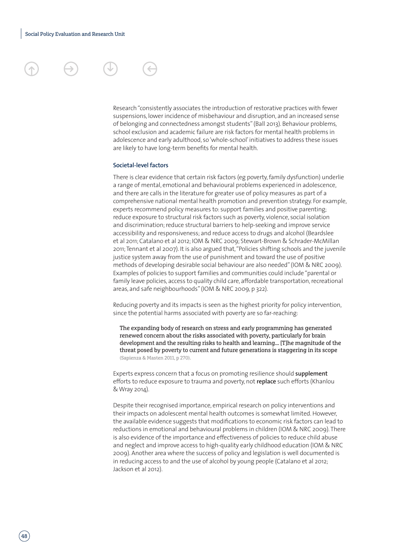### **Societal-level factors**

are likely to have long-term benefits for mental health.

There is clear evidence that certain risk factors (eg poverty, family dysfunction) underlie a range of mental, emotional and behavioural problems experienced in adolescence, and there are calls in the literature for greater use of policy measures as part of a comprehensive national mental health promotion and prevention strategy. For example, experts recommend policy measures to: support families and positive parenting; reduce exposure to structural risk factors such as poverty, violence, social isolation and discrimination; reduce structural barriers to help-seeking and improve service accessibility and responsiveness; and reduce access to drugs and alcohol (Beardslee et al 2011; Catalano et al 2012; IOM & NRC 2009; Stewart-Brown & Schrader-McMillan 2011; Tennant et al 2007). It is also argued that, "Policies shifting schools and the juvenile justice system away from the use of punishment and toward the use of positive methods of developing desirable social behaviour are also needed" (IOM & NRC 2009). Examples of policies to support families and communities could include "parental or family leave policies, access to quality child care, affordable transportation, recreational areas, and safe neighbourhoods" (IOM & NRC 2009, p 322).

Research "consistently associates the introduction of restorative practices with fewer suspensions, lower incidence of misbehaviour and disruption, and an increased sense of belonging and connectedness amongst students" (Ball 2013). Behaviour problems, school exclusion and academic failure are risk factors for mental health problems in adolescence and early adulthood, so 'whole-school' initiatives to address these issues

Reducing poverty and its impacts is seen as the highest priority for policy intervention, since the potential harms associated with poverty are so far-reaching:

The expanding body of research on stress and early programming has generated renewed concern about the risks associated with poverty, particularly for brain development and the resulting risks to health and learning… [T]he magnitude of the threat posed by poverty to current and future generations is staggering in its scope (Sapienza & Masten 2011, p 270).

Experts express concern that a focus on promoting resilience should **supplement** efforts to reduce exposure to trauma and poverty, not **replace** such efforts (Khanlou & Wray 2014).

Despite their recognised importance, empirical research on policy interventions and their impacts on adolescent mental health outcomes is somewhat limited. However, the available evidence suggests that modifications to economic risk factors can lead to reductions in emotional and behavioural problems in children (IOM & NRC 2009). There is also evidence of the importance and effectiveness of policies to reduce child abuse and neglect and improve access to high-quality early childhood education (IOM & NRC 2009). Another area where the success of policy and legislation is well documented is in reducing access to and the use of alcohol by young people (Catalano et al 2012; Jackson et al 2012).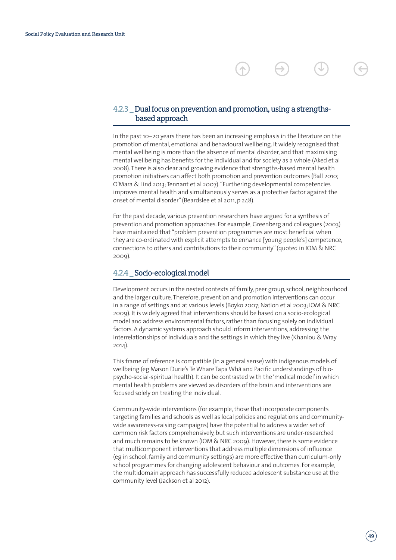### 4.2.3 \_ Dual focus on prevention and promotion, using a strengths based approach

In the past 10–20 years there has been an increasing emphasis in the literature on the promotion of mental, emotional and behavioural wellbeing. It widely recognised that mental wellbeing is more than the absence of mental disorder, and that maximising mental wellbeing has benefits for the individual and for society as a whole (Aked et al 2008). There is also clear and growing evidence that strengths-based mental health promotion initiatives can affect both promotion and prevention outcomes (Ball 2010; O'Mara & Lind 2013; Tennant et al 2007). "Furthering developmental competencies improves mental health and simultaneously serves as a protective factor against the onset of mental disorder" (Beardslee et al 2011, p 248).

For the past decade, various prevention researchers have argued for a synthesis of prevention and promotion approaches. For example, Greenberg and colleagues (2003) have maintained that "problem prevention programmes are most beneficial when they are co-ordinated with explicit attempts to enhance [young people's] competence, connections to others and contributions to their community" (quoted in IOM & NRC 2009).

### 4.2.4 \_ Socio-ecological model

Development occurs in the nested contexts of family, peer group, school, neighbourhood and the larger culture. Therefore, prevention and promotion interventions can occur in a range of settings and at various levels (Boyko 2007; Nation et al 2003; IOM & NRC 2009). It is widely agreed that interventions should be based on a socio-ecological model and address environmental factors, rather than focusing solely on individual factors. A dynamic systems approach should inform interventions, addressing the interrelationships of individuals and the settings in which they live (Khanlou & Wray 2014).

This frame of reference is compatible (in a general sense) with indigenous models of wellbeing (eg Mason Durie's Te Whare Tapa Wha and Pacific understandings of biopsycho-social-spiritual health). It can be contrasted with the 'medical model' in which mental health problems are viewed as disorders of the brain and interventions are focused solely on treating the individual.

Community-wide interventions (for example, those that incorporate components targeting families and schools as well as local policies and regulations and communitywide awareness-raising campaigns) have the potential to address a wider set of common risk factors comprehensively, but such interventions are under-researched and much remains to be known (IOM & NRC 2009). However, there is some evidence that multicomponent interventions that address multiple dimensions of influence (eg in school, family and community settings) are more effective than curriculum-only school programmes for changing adolescent behaviour and outcomes. For example, the multidomain approach has successfully reduced adolescent substance use at the community level (Jackson et al 2012).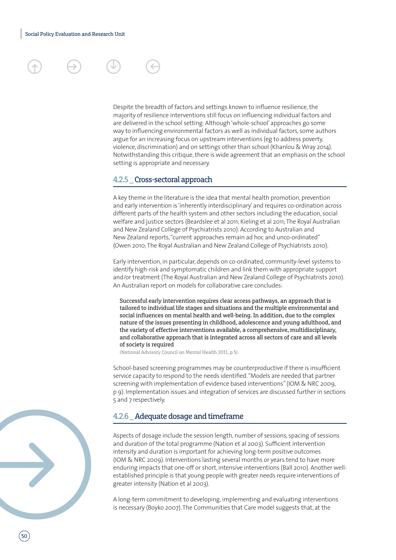

Despite the breadth of factors and settings known to influence resilience, the majority of resilience interventions still focus on influencing individual factors and are delivered in the school setting. Although 'whole-school' approaches go some way to influencing environmental factors as well as individual factors, some authors argue for an increasing focus on upstream interventions (eg to address poverty, violence, discrimination) and on settings other than school (Khanlou & Wray 2014). Notwithstanding this critique, there is wide agreement that an emphasis on the school setting is appropriate and necessary.

### 4.2.5 Cross-sectoral approach

A key theme in the literature is the idea that mental health promotion, prevention and early intervention is 'inherently interdisciplinary' and requires co-ordination across different parts of the health system and other sectors including the education, social welfare and justice sectors (Beardslee et al 2011; Kieling et al 2011; The Royal Australian and New Zealand College of Psychiatrists 2010). According to Australian and New Zealand reports, "current approaches remain ad hoc and unco-ordinated" (Owen 2010; The Royal Australian and New Zealand College of Psychiatrists 2010).

Early intervention, in particular, depends on co-ordinated, community-level systems to identify high-risk and symptomatic children and link them with appropriate support and/or treatment (The Royal Australian and New Zealand College of Psychiatrists 2010). An Australian report on models for collaborative care concludes:

Successful early intervention requires clear access pathways, an approach that is tailored to individual life stages and situations and the multiple environmental and social influences on mental health and well-being. In addition, due to the complex nature of the issues presenting in childhood, adolescence and young adulthood, and the variety of effective interventions available, a comprehensive, multidisciplinary, and collaborative approach that is integrated across all sectors of care and all levels of society is required

(National Advisory Council on Mental Health 2011, p 5).

School-based screening programmes may be counterproductive if there is insufficient service capacity to respond to the needs identified. "Models are needed that partner screening with implementation of evidence based interventions" (IOM & NRC 2009, p 9). Implementation issues and integration of services are discussed further in sections 5 and 7 respectively.

### 4.2.6 \_ Adequate dosage and timeframe

Aspects of dosage include the session length, number of sessions, spacing of sessions and duration of the total programme (Nation et al 2003). Sufficient intervention intensity and duration is important for achieving long-term positive outcomes (IOM & NRC 2009). Interventions lasting several months or years tend to have more enduring impacts that one-off or short, intensive interventions (Ball 2010). Another wellestablished principle is that young people with greater needs require interventions of greater intensity (Nation et al 2003).

A long-term commitment to developing, implementing and evaluating interventions is necessary (Boyko 2007). The Communities that Care model suggests that, at the

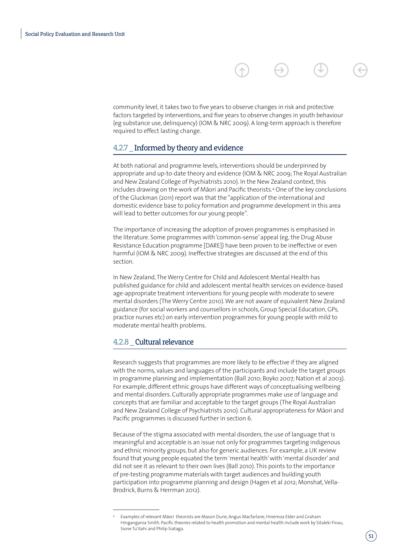community level, it takes two to five years to observe changes in risk and protective factors targeted by interventions, and five years to observe changes in youth behaviour (eg substance use, delinquency) (IOM & NRC 2009). A long-term approach is therefore required to effect lasting change.

### 4.2.7 \_ Informed by theory and evidence

At both national and programme levels, interventions should be underpinned by appropriate and up-to-date theory and evidence (IOM & NRC 2009; The Royal Australian and New Zealand College of Psychiatrists 2010). In the New Zealand context, this includes drawing on the work of Māori and Pacific theorists.<sup>4</sup> One of the key conclusions of the Gluckman (2011) report was that the "application of the international and domestic evidence base to policy formation and programme development in this area will lead to better outcomes for our young people".

The importance of increasing the adoption of proven programmes is emphasised in the literature. Some programmes with 'common-sense' appeal (eg, the Drug Abuse Resistance Education programme [DARE]) have been proven to be ineffective or even harmful (IOM & NRC 2009). Ineffective strategies are discussed at the end of this section.

In New Zealand, The Werry Centre for Child and Adolescent Mental Health has published guidance for child and adolescent mental health services on evidence-based age-appropriate treatment interventions for young people with moderate to severe mental disorders (The Werry Centre 2010). We are not aware of equivalent New Zealand guidance (for social workers and counsellors in schools, Group Special Education, GPs, practice nurses etc) on early intervention programmes for young people with mild to moderate mental health problems.

### 4.2.8 Cultural relevance

Research suggests that programmes are more likely to be effective if they are aligned with the norms, values and languages of the participants and include the target groups in programme planning and implementation (Ball 2010; Boyko 2007; Nation et al 2003). For example, different ethnic groups have different ways of conceptualising wellbeing and mental disorders. Culturally appropriate programmes make use of language and concepts that are familiar and acceptable to the target groups (The Royal Australian and New Zealand College of Psychiatrists 2010). Cultural appropriateness for Māori and Pacific programmes is discussed further in section 6.

Because of the stigma associated with mental disorders, the use of language that is meaningful and acceptable is an issue not only for programmes targeting indigenous and ethnic minority groups, but also for generic audiences. For example, a UK review found that young people equated the term 'mental health' with 'mental disorder' and did not see it as relevant to their own lives (Ball 2010). This points to the importance of pre-testing programme materials with target audiences and building youth participation into programme planning and design (Hagen et al 2012; Monshat, Vella-Brodrick, Burns & Herrman 2012).

Examples of relevant Māori theorists are Mason Durie, Angus Macfarlane, Hinemoa Elder and Graham Hingangaroa Smith. Pacific theories related to health promotion and mental health include work by Sitaleki Finau, Sione Tu'itahi and Philip Siataga.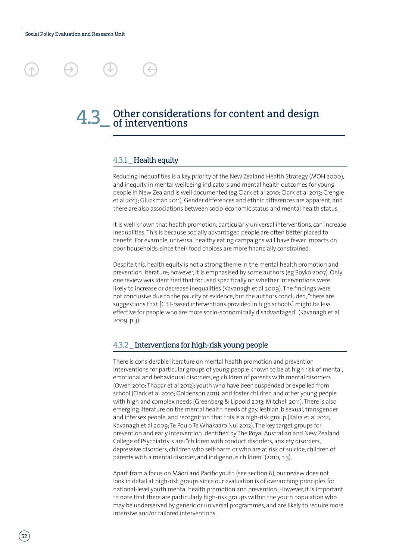## 4.3\_ Other considerations for content and design<br>design of interventions

### 4.3.1 Health equity

Reducing inequalities is a key priority of the New Zealand Health Strategy (MOH 2000), and inequity in mental wellbeing indicators and mental health outcomes for young people in New Zealand is well documented (eg Clark et al 2010; Clark et al 2013; Crengle et al 2013; Gluckman 2011). Gender differences and ethnic differences are apparent, and there are also associations between socio-economic status and mental health status.

It is well known that health promotion, particularly universal interventions, can increase inequalities. This is because socially advantaged people are often better placed to benefit. For example, universal healthy eating campaigns will have fewer impacts on poor households, since their food choices are more financially constrained.

Despite this, health equity is not a strong theme in the mental health promotion and prevention literature; however, it is emphasised by some authors (eg Boyko 2007). Only one review was identified that focused specifically on whether interventions were likely to increase or decrease inequalities (Kavanagh et al 2009). The findings were not conclusive due to the paucity of evidence, but the authors concluded, "there are suggestions that [CBT-based interventions provided in high schools] might be less effective for people who are more socio-economically disadvantaged" (Kavanagh et al 2009, p 3).

### 4.3.2 \_ Interventions for high-risk young people

There is considerable literature on mental health promotion and prevention interventions for particular groups of young people known to be at high risk of mental, emotional and behavioural disorders, eg children of parents with mental disorders (Owen 2010; Thapar et al 2012); youth who have been suspended or expelled from school (Clark et al 2010; Goldenson 2011); and foster children and other young people with high and complex needs (Greenberg & Lippold 2013; Mitchell 2011). There is also emerging literature on the mental health needs of gay, lesbian, bisexual, transgender and intersex people, and recognition that this is a high-risk group (Kalra et al 2012; Kavanagh et al 2009; Te Pou o Te Whakaaro Nui 2012). The key target groups for prevention and early intervention identified by The Royal Australian and New Zealand College of Psychiatrists are: "children with conduct disorders, anxiety disorders, depressive disorders, children who self-harm or who are at risk of suicide, children of parents with a mental disorder, and indigenous children" (2010, p 3).

Apart from a focus on Māori and Pacific youth (see section 6), our review does not look in detail at high-risk groups since our evaluation is of overarching principles for national-level youth mental health promotion and prevention. However, it is important to note that there are particularly high-risk groups within the youth population who may be underserved by generic or universal programmes, and are likely to require more intensive and/or tailored interventions.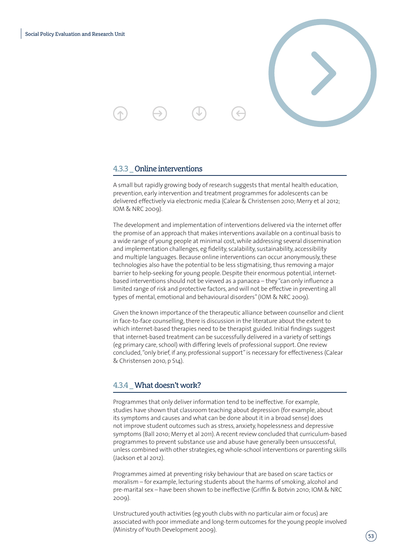

### 4.3.3 \_ Online interventions

A small but rapidly growing body of research suggests that mental health education, prevention, early intervention and treatment programmes for adolescents can be delivered effectively via electronic media (Calear & Christensen 2010; Merry et al 2012; IOM & NRC 2009).

The development and implementation of interventions delivered via the internet offer the promise of an approach that makes interventions available on a continual basis to a wide range of young people at minimal cost, while addressing several dissemination and implementation challenges, eg fidelity, scalability, sustainability, accessibility and multiple languages. Because online interventions can occur anonymously, these technologies also have the potential to be less stigmatising, thus removing a major barrier to help-seeking for young people. Despite their enormous potential, internetbased interventions should not be viewed as a panacea – they "can only influence a limited range of risk and protective factors, and will not be effective in preventing all types of mental, emotional and behavioural disorders" (IOM & NRC 2009).

Given the known importance of the therapeutic alliance between counsellor and client in face-to-face counselling, there is discussion in the literature about the extent to which internet-based therapies need to be therapist guided. Initial findings suggest that internet-based treatment can be successfully delivered in a variety of settings (eg primary care, school) with differing levels of professional support. One review concluded, "only brief, if any, professional support" is necessary for effectiveness (Calear & Christensen 2010, p S14).

### 4.3.4 \_ What doesn't work?

Programmes that only deliver information tend to be ineffective. For example, studies have shown that classroom teaching about depression (for example, about its symptoms and causes and what can be done about it in a broad sense) does not improve student outcomes such as stress, anxiety, hopelessness and depressive symptoms (Ball 2010; Merry et al 2011). A recent review concluded that curriculum-based programmes to prevent substance use and abuse have generally been unsuccessful, unless combined with other strategies, eg whole-school interventions or parenting skills (Jackson et al 2012).

Programmes aimed at preventing risky behaviour that are based on scare tactics or moralism – for example, lecturing students about the harms of smoking, alcohol and pre-marital sex – have been shown to be ineffective (Griffin & Botvin 2010; IOM & NRC 2009).

Unstructured youth activities (eg youth clubs with no particular aim or focus) are associated with poor immediate and long-term outcomes for the young people involved (Ministry of Youth Development 2009).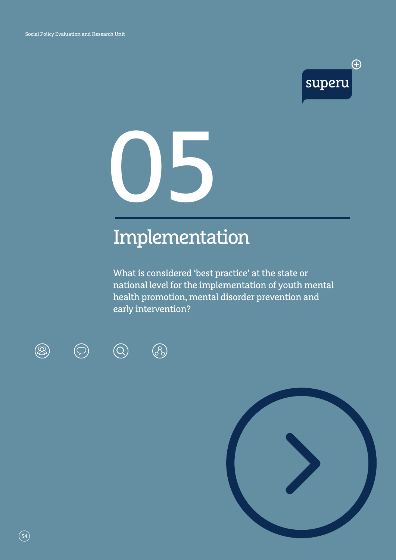

# 05

### Implementation

What is considered 'best practice' at the state or national level for the implementation of youth mental health promotion, mental disorder prevention and early intervention?





 $\bigcirc$ 

 $\circledcirc$ 



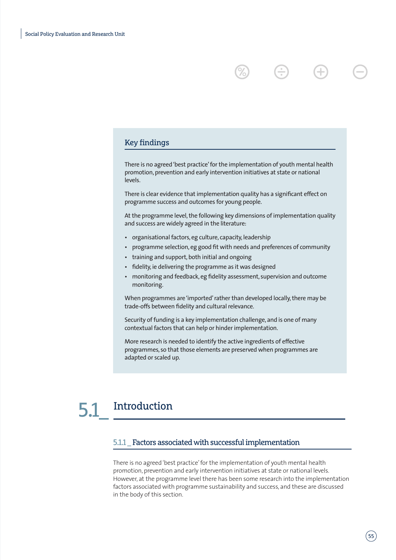### Key findings

There is no agreed 'best practice' for the implementation of youth mental health promotion, prevention and early intervention initiatives at state or national levels.

There is clear evidence that implementation quality has a significant effect on programme success and outcomes for young people.

At the programme level, the following key dimensions of implementation quality and success are widely agreed in the literature:

- organisational factors, eg culture, capacity, leadership
- programme selection, eg good fit with needs and preferences of community
- training and support, both initial and ongoing
- fidelity, ie delivering the programme as it was designed
- monitoring and feedback, eg fidelity assessment, supervision and outcome monitoring.

When programmes are 'imported' rather than developed locally, there may be trade-offs between fidelity and cultural relevance.

Security of funding is a key implementation challenge, and is one of many contextual factors that can help or hinder implementation.

More research is needed to identify the active ingredients of effective programmes, so that those elements are preserved when programmes are adapted or scaled up.

### **Introduction**

### 5.1.1 Factors associated with successful implementation

There is no agreed 'best practice' for the implementation of youth mental health promotion, prevention and early intervention initiatives at state or national levels. However, at the programme level there has been some research into the implementation factors associated with programme sustainability and success, and these are discussed in the body of this section.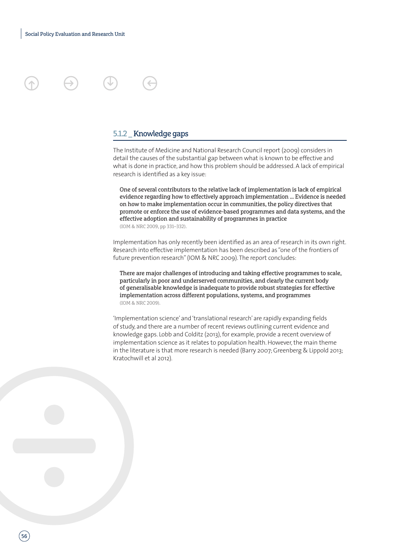### 5.1.2 \_ Knowledge gaps

The Institute of Medicine and National Research Council report (2009) considers in detail the causes of the substantial gap between what is known to be effective and what is done in practice, and how this problem should be addressed. A lack of empirical research is identified as a key issue:

One of several contributors to the relative lack of implementation is lack of empirical evidence regarding how to effectively approach implementation … Evidence is needed on how to make implementation occur in communities, the policy directives that promote or enforce the use of evidence-based programmes and data systems, and the effective adoption and sustainability of programmes in practice (IOM & NRC 2009, pp 331–332).

Implementation has only recently been identified as an area of research in its own right. Research into effective implementation has been described as "one of the frontiers of future prevention research" (IOM & NRC 2009). The report concludes:

There are major challenges of introducing and taking effective programmes to scale, particularly in poor and underserved communities, and clearly the current body of generalisable knowledge is inadequate to provide robust strategies for effective implementation across different populations, systems, and programmes (IOM & NRC 2009).

'Implementation science' and 'translational research' are rapidly expanding fields of study, and there are a number of recent reviews outlining current evidence and knowledge gaps. Lobb and Colditz (2013), for example, provide a recent overview of implementation science as it relates to population health. However, the main theme in the literature is that more research is needed (Barry 2007; Greenberg & Lippold 2013; Kratochwill et al 2012).

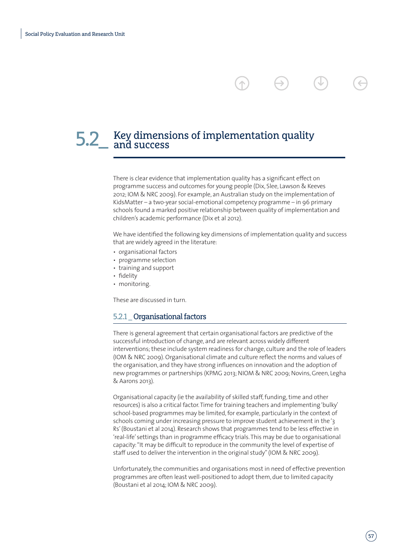### 5.2\_ Key dimensions of implementation quality<br>5.2\_ and success

There is clear evidence that implementation quality has a significant effect on programme success and outcomes for young people (Dix, Slee, Lawson & Keeves 2012; IOM & NRC 2009). For example, an Australian study on the implementation of KidsMatter – a two-year social-emotional competency programme – in 96 primary schools found a marked positive relationship between quality of implementation and children's academic performance (Dix et al 2012).

 $\rightarrow$ 

We have identified the following key dimensions of implementation quality and success that are widely agreed in the literature:

- organisational factors
- programme selection
- training and support
- fidelity
- monitoring.

These are discussed in turn.

### 5.2.1 \_ Organisational factors

There is general agreement that certain organisational factors are predictive of the successful introduction of change, and are relevant across widely different interventions; these include system readiness for change, culture and the role of leaders (IOM & NRC 2009). Organisational climate and culture reflect the norms and values of the organisation, and they have strong influences on innovation and the adoption of new programmes or partnerships (KPMG 2013; NIOM & NRC 2009; Novins, Green, Legha & Aarons 2013).

Organisational capacity (ie the availability of skilled staff, funding, time and other resources) is also a critical factor. Time for training teachers and implementing 'bulky' school-based programmes may be limited, for example, particularly in the context of schools coming under increasing pressure to improve student achievement in the '3 Rs' (Boustani et al 2014). Research shows that programmes tend to be less effective in 'real-life' settings than in programme efficacy trials. This may be due to organisational capacity: "It may be difficult to reproduce in the community the level of expertise of staff used to deliver the intervention in the original study" (IOM & NRC 2009).

Unfortunately, the communities and organisations most in need of effective prevention programmes are often least well-positioned to adopt them, due to limited capacity (Boustani et al 2014; IOM & NRC 2009).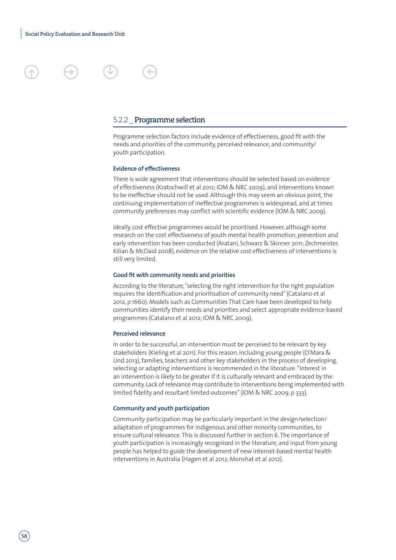### 5.2.2 \_ Programme selection

Programme selection factors include evidence of effectiveness, good fit with the needs and priorities of the community, perceived relevance, and community/ youth participation.

#### **Evidence of effectiveness**

There is wide agreement that interventions should be selected based on evidence of effectiveness (Kratochwill et al 2012; IOM & NRC 2009), and interventions known to be ineffective should not be used. Although this may seem an obvious point, the continuing implementation of ineffective programmes is widespread, and at times community preferences may conflict with scientific evidence (IOM & NRC 2009).

Ideally, cost effective programmes would be prioritised. However, although some research on the cost effectiveness of youth mental health promotion, prevention and early intervention has been conducted (Aratani, Schwarz & Skinner 2011; Zechmeister, Kilian & McDaid 2008), evidence on the relative cost effectiveness of interventions is still very limited.

#### **Good fit with community needs and priorities**

According to the literature, "selecting the right intervention for the right population requires the identification and prioritisation of community need" (Catalano et al 2012, p 1660). Models such as Communities That Care have been developed to help communities identify their needs and priorities and select appropriate evidence-based programmes (Catalano et al 2012; IOM & NRC 2009).

#### **Perceived relevance**

In order to be successful, an intervention must be perceived to be relevant by key stakeholders (Kieling et al 2011). For this reason, including young people (O'Mara & Lind 2013), families, teachers and other key stakeholders in the process of developing, selecting or adapting interventions is recommended in the literature. "Interest in an intervention is likely to be greater if it is culturally relevant and embraced by the community. Lack of relevance may contribute to interventions being implemented with limited fidelity and resultant limited outcomes" (IOM & NRC 2009, p 333).

#### **Community and youth participation**

Community participation may be particularly important in the design/selection/ adaptation of programmes for indigenous and other minority communities, to ensure cultural relevance. This is discussed further in section 6. The importance of youth participation is increasingly recognised in the literature, and input from young people has helped to guide the development of new internet-based mental health interventions in Australia (Hagen et al 2012; Monshat et al 2012).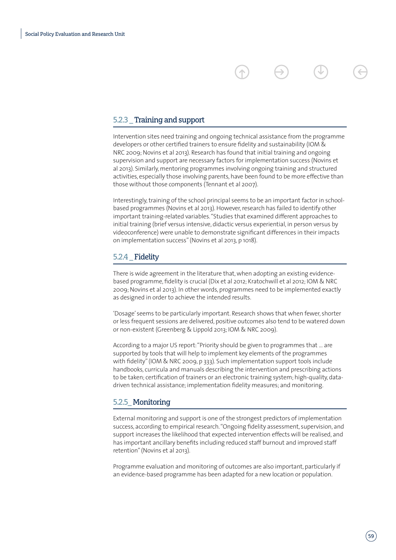### 5.2.3 \_ Training and support

Intervention sites need training and ongoing technical assistance from the programme developers or other certified trainers to ensure fidelity and sustainability (IOM & NRC 2009; Novins et al 2013). Research has found that initial training and ongoing supervision and support are necessary factors for implementation success (Novins et al 2013). Similarly, mentoring programmes involving ongoing training and structured activities, especially those involving parents, have been found to be more effective than those without those components (Tennant et al 2007).

Interestingly, training of the school principal seems to be an important factor in schoolbased programmes (Novins et al 2013). However, research has failed to identify other important training-related variables. "Studies that examined different approaches to initial training (brief versus intensive, didactic versus experiential, in person versus by videoconference) were unable to demonstrate significant differences in their impacts on implementation success" (Novins et al 2013, p 1018).

### 5.2.4 Fidelity

There is wide agreement in the literature that, when adopting an existing evidencebased programme, fidelity is crucial (Dix et al 2012; Kratochwill et al 2012; IOM & NRC 2009; Novins et al 2013). In other words, programmes need to be implemented exactly as designed in order to achieve the intended results.

'Dosage' seems to be particularly important. Research shows that when fewer, shorter or less frequent sessions are delivered, positive outcomes also tend to be watered down or non-existent (Greenberg & Lippold 2013; IOM & NRC 2009).

According to a major US report: "Priority should be given to programmes that … are supported by tools that will help to implement key elements of the programmes with fidelity" (IOM & NRC 2009, p 333). Such implementation support tools include handbooks, curricula and manuals describing the intervention and prescribing actions to be taken; certification of trainers or an electronic training system; high-quality, datadriven technical assistance; implementation fidelity measures; and monitoring.

### 5.2.5\_ Monitoring

External monitoring and support is one of the strongest predictors of implementation success, according to empirical research. "Ongoing fidelity assessment, supervision, and support increases the likelihood that expected intervention effects will be realised, and has important ancillary benefits including reduced staff burnout and improved staff retention" (Novins et al 2013).

Programme evaluation and monitoring of outcomes are also important, particularly if an evidence-based programme has been adapted for a new location or population.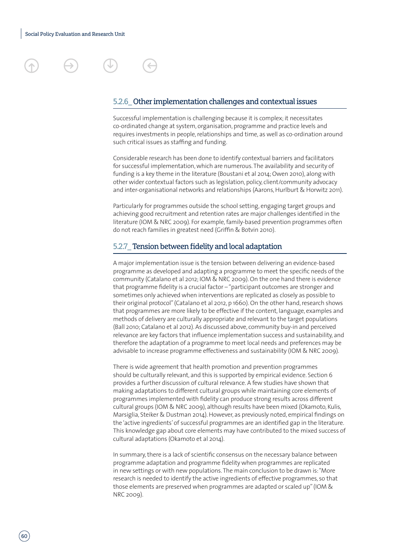

### 5.2.6\_ Other implementation challenges and contextual issues

Successful implementation is challenging because it is complex; it necessitates co-ordinated change at system, organisation, programme and practice levels and requires investments in people, relationships and time, as well as co-ordination around such critical issues as staffing and funding.

Considerable research has been done to identify contextual barriers and facilitators for successful implementation, which are numerous. The availability and security of funding is a key theme in the literature (Boustani et al 2014; Owen 2010), along with other wider contextual factors such as legislation, policy, client/community advocacy and inter-organisational networks and relationships (Aarons, Hurlburt & Horwitz 2011).

Particularly for programmes outside the school setting, engaging target groups and achieving good recruitment and retention rates are major challenges identified in the literature (IOM & NRC 2009). For example, family-based prevention programmes often do not reach families in greatest need (Griffin & Botvin 2010).

### 5.2.7\_ Tension between fidelity and local adaptation

A major implementation issue is the tension between delivering an evidence-based programme as developed and adapting a programme to meet the specific needs of the community (Catalano et al 2012; IOM & NRC 2009). On the one hand there is evidence that programme fidelity is a crucial factor – "participant outcomes are stronger and sometimes only achieved when interventions are replicated as closely as possible to their original protocol" (Catalano et al 2012, p 1660). On the other hand, research shows that programmes are more likely to be effective if the content, language, examples and methods of delivery are culturally appropriate and relevant to the target populations (Ball 2010; Catalano et al 2012). As discussed above, community buy-in and perceived relevance are key factors that influence implementation success and sustainability, and therefore the adaptation of a programme to meet local needs and preferences may be advisable to increase programme effectiveness and sustainability (IOM & NRC 2009).

There is wide agreement that health promotion and prevention programmes should be culturally relevant, and this is supported by empirical evidence. Section 6 provides a further discussion of cultural relevance. A few studies have shown that making adaptations to different cultural groups while maintaining core elements of programmes implemented with fidelity can produce strong results across different cultural groups (IOM & NRC 2009), although results have been mixed (Okamoto, Kulis, Marsiglia, Steiker & Dustman 2014). However, as previously noted, empirical findings on the 'active ingredients' of successful programmes are an identified gap in the literature. This knowledge gap about core elements may have contributed to the mixed success of cultural adaptations (Okamoto et al 2014).

In summary, there is a lack of scientific consensus on the necessary balance between programme adaptation and programme fidelity when programmes are replicated in new settings or with new populations. The main conclusion to be drawn is: "More research is needed to identify the active ingredients of effective programmes, so that those elements are preserved when programmes are adapted or scaled up" (IOM & NRC 2009).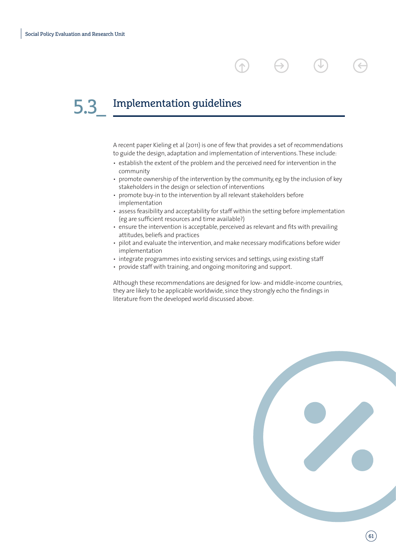### Implementation guidelines 5.3\_

A recent paper Kieling et al (2011) is one of few that provides a set of recommendations to guide the design, adaptation and implementation of interventions. These include:

- establish the extent of the problem and the perceived need for intervention in the community
- promote ownership of the intervention by the community, eg by the inclusion of key stakeholders in the design or selection of interventions
- promote buy-in to the intervention by all relevant stakeholders before implementation
- assess feasibility and acceptability for staff within the setting before implementation (eg are sufficient resources and time available?)
- ensure the intervention is acceptable, perceived as relevant and fits with prevailing attitudes, beliefs and practices
- pilot and evaluate the intervention, and make necessary modifications before wider implementation
- integrate programmes into existing services and settings, using existing staff
- provide staff with training, and ongoing monitoring and support.

Although these recommendations are designed for low- and middle-income countries, they are likely to be applicable worldwide, since they strongly echo the findings in literature from the developed world discussed above.

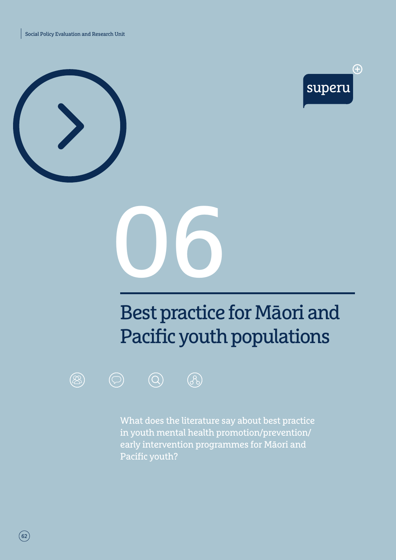Social Policy Evaluation and Research Unit







# Best practice for Māori and Pacific youth populations





What does the literature say about best practice in youth mental health promotion/prevention/ early intervention programmes for Māori and Pacific youth?

 $\boxed{62}$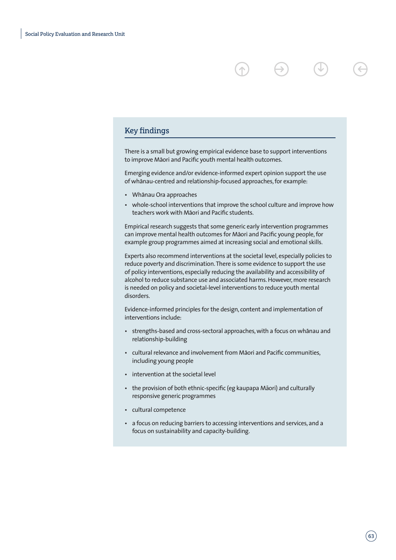### Key findings

There is a small but growing empirical evidence base to support interventions to improve Māori and Pacific youth mental health outcomes.

 $\rightarrow$ 

Emerging evidence and/or evidence-informed expert opinion support the use of whanau-centred and relationship-focused approaches, for example:

- Whānau Ora approaches
- whole-school interventions that improve the school culture and improve how teachers work with Māori and Pacific students.

Empirical research suggests that some generic early intervention programmes can improve mental health outcomes for Maori and Pacific young people, for example group programmes aimed at increasing social and emotional skills.

Experts also recommend interventions at the societal level, especially policies to reduce poverty and discrimination. There is some evidence to support the use of policy interventions, especially reducing the availability and accessibility of alcohol to reduce substance use and associated harms. However, more research is needed on policy and societal-level interventions to reduce youth mental disorders.

Evidence-informed principles for the design, content and implementation of interventions include:

- strengths-based and cross-sectoral approaches, with a focus on whanau and relationship-building
- cultural relevance and involvement from Māori and Pacific communities, including young people
- intervention at the societal level
- the provision of both ethnic-specific (eg kaupapa Māori) and culturally responsive generic programmes
- cultural competence
- a focus on reducing barriers to accessing interventions and services, and a focus on sustainability and capacity-building.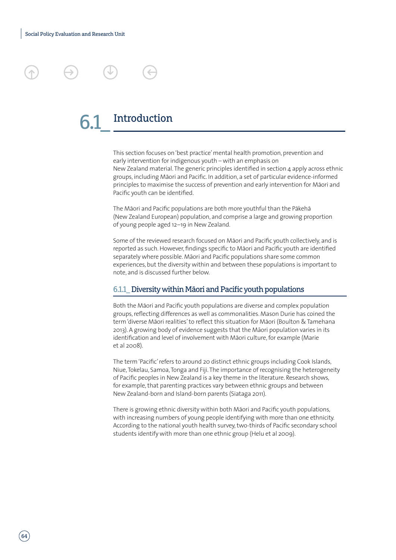

This section focuses on 'best practice' mental health promotion, prevention and early intervention for indigenous youth – with an emphasis on New Zealand material. The generic principles identified in section 4 apply across ethnic groups, including Māori and Pacific. In addition, a set of particular evidence-informed principles to maximise the success of prevention and early intervention for Māori and Pacific youth can be identified.

The Māori and Pacific populations are both more youthful than the Pākehā (New Zealand European) population, and comprise a large and growing proportion of young people aged 12–19 in New Zealand.

Some of the reviewed research focused on Māori and Pacific youth collectively, and is reported as such. However, findings specific to Māori and Pacific youth are identified separately where possible. Māori and Pacific populations share some common experiences, but the diversity within and between these populations is important to note, and is discussed further below.

### 6.1.1\_ Diversity within Māori and Pacific youth populations

Both the Māori and Pacific youth populations are diverse and complex population groups, reflecting differences as well as commonalities. Mason Durie has coined the term 'diverse Māori realities' to reflect this situation for Māori (Boulton & Tamehana 2013). A growing body of evidence suggests that the Māori population varies in its identification and level of involvement with Māori culture, for example (Marie et al 2008).

The term 'Pacific' refers to around 20 distinct ethnic groups including Cook Islands, Niue, Tokelau, Samoa, Tonga and Fiji. The importance of recognising the heterogeneity of Pacific peoples in New Zealand is a key theme in the literature. Research shows, for example, that parenting practices vary between ethnic groups and between New Zealand-born and Island-born parents (Siataga 2011).

There is growing ethnic diversity within both Māori and Pacific youth populations, with increasing numbers of young people identifying with more than one ethnicity. According to the national youth health survey, two-thirds of Pacific secondary school students identify with more than one ethnic group (Helu et al 2009).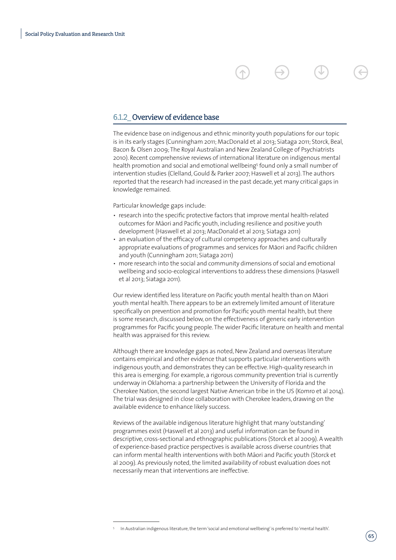### 6.1.2\_ Overview of evidence base

The evidence base on indigenous and ethnic minority youth populations for our topic is in its early stages (Cunningham 2011; MacDonald et al 2013; Siataga 2011; Storck, Beal, Bacon & Olsen 2009; The Royal Australian and New Zealand College of Psychiatrists 2010). Recent comprehensive reviews of international literature on indigenous mental health promotion and social and emotional wellbeing<sup>5</sup> found only a small number of intervention studies (Clelland, Gould & Parker 2007; Haswell et al 2013). The authors reported that the research had increased in the past decade, yet many critical gaps in knowledge remained.

Particular knowledge gaps include:

- research into the specific protective factors that improve mental health-related outcomes for Māori and Pacific youth, including resilience and positive youth development (Haswell et al 2013; MacDonald et al 2013; Siataga 2011)
- an evaluation of the efficacy of cultural competency approaches and culturally appropriate evaluations of programmes and services for Māori and Pacific children and youth (Cunningham 2011; Siataga 2011)
- more research into the social and community dimensions of social and emotional wellbeing and socio-ecological interventions to address these dimensions (Haswell et al 2013; Siataga 2011).

Our review identified less literature on Pacific youth mental health than on Māori youth mental health. There appears to be an extremely limited amount of literature specifically on prevention and promotion for Pacific youth mental health, but there is some research, discussed below, on the effectiveness of generic early intervention programmes for Pacific young people. The wider Pacific literature on health and mental health was appraised for this review.

Although there are knowledge gaps as noted, New Zealand and overseas literature contains empirical and other evidence that supports particular interventions with indigenous youth, and demonstrates they can be effective. High-quality research in this area is emerging. For example, a rigorous community prevention trial is currently underway in Oklahoma: a partnership between the University of Florida and the Cherokee Nation, the second largest Native American tribe in the US (Komro et al 2014). The trial was designed in close collaboration with Cherokee leaders, drawing on the available evidence to enhance likely success.

Reviews of the available indigenous literature highlight that many 'outstanding' programmes exist (Haswell et al 2013) and useful information can be found in descriptive, cross-sectional and ethnographic publications (Storck et al 2009). A wealth of experience-based practice perspectives is available across diverse countries that can inform mental health interventions with both Māori and Pacific youth (Storck et al 2009). As previously noted, the limited availability of robust evaluation does not necessarily mean that interventions are ineffective.

In Australian indigenous literature, the term 'social and emotional wellbeing' is preferred to 'mental health'.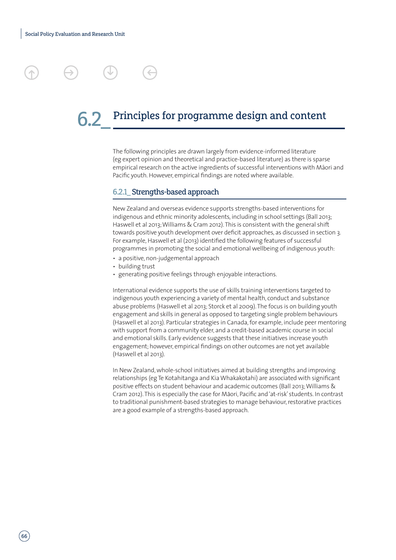### Principles for programme design and content

The following principles are drawn largely from evidence-informed literature (eg expert opinion and theoretical and practice-based literature) as there is sparse empirical research on the active ingredients of successful interventions with Māori and Pacific youth. However, empirical findings are noted where available.

### 6.2.1\_ Strengths-based approach

New Zealand and overseas evidence supports strengths-based interventions for indigenous and ethnic minority adolescents, including in school settings (Ball 2013; Haswell et al 2013; Williams & Cram 2012). This is consistent with the general shift towards positive youth development over deficit approaches, as discussed in section 3. For example, Haswell et al (2013) identified the following features of successful programmes in promoting the social and emotional wellbeing of indigenous youth:

- a positive, non-judgemental approach
- building trust
- generating positive feelings through enjoyable interactions.

International evidence supports the use of skills training interventions targeted to indigenous youth experiencing a variety of mental health, conduct and substance abuse problems (Haswell et al 2013; Storck et al 2009). The focus is on building youth engagement and skills in general as opposed to targeting single problem behaviours (Haswell et al 2013). Particular strategies in Canada, for example, include peer mentoring with support from a community elder, and a credit-based academic course in social and emotional skills. Early evidence suggests that these initiatives increase youth engagement; however, empirical findings on other outcomes are not yet available (Haswell et al 2013).

In New Zealand, whole-school initiatives aimed at building strengths and improving relationships (eg Te Kotahitanga and Kia Whakakotahi) are associated with significant positive effects on student behaviour and academic outcomes (Ball 2013; Williams & Cram 2012). This is especially the case for Māori, Pacific and 'at-risk' students. In contrast to traditional punishment-based strategies to manage behaviour, restorative practices are a good example of a strengths-based approach.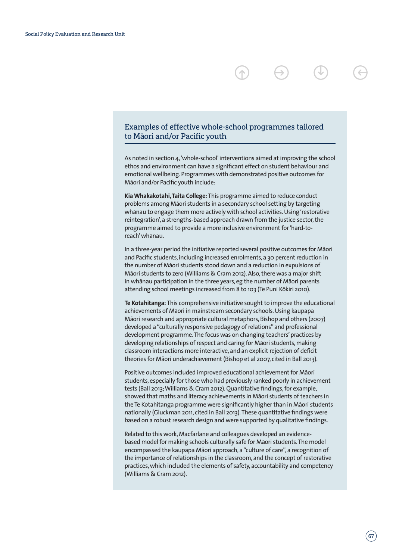### Examples of effective whole-school programmes tailored to Māori and/or Pacific youth

As noted in section 4, 'whole-school' interventions aimed at improving the school ethos and environment can have a significant effect on student behaviour and emotional wellbeing. Programmes with demonstrated positive outcomes for Māori and/or Pacific youth include:

**Kia Whakakotahi, Taita College:** This programme aimed to reduce conduct problems among Māori students in a secondary school setting by targeting whanau to engage them more actively with school activities. Using 'restorative reintegration', a strengths-based approach drawn from the justice sector, the programme aimed to provide a more inclusive environment for 'hard-toreach' whānau.

In a three-year period the initiative reported several positive outcomes for Māori and Pacific students, including increased enrolments, a 30 percent reduction in the number of Māori students stood down and a reduction in expulsions of Māori students to zero (Williams & Cram 2012). Also, there was a major shift in whānau participation in the three years, eg the number of Māori parents attending school meetings increased from 8 to 103 (Te Puni Kōkiri 2010).

**Te Kotahitanga:** This comprehensive initiative sought to improve the educational achievements of Māori in mainstream secondary schools. Using kaupapa Māori research and appropriate cultural metaphors, Bishop and others (2007) developed a "culturally responsive pedagogy of relations" and professional development programme. The focus was on changing teachers' practices by developing relationships of respect and caring for Māori students, making classroom interactions more interactive, and an explicit rejection of deficit theories for Māori underachievement (Bishop et al 2007, cited in Ball 2013).

Positive outcomes included improved educational achievement for Māori students, especially for those who had previously ranked poorly in achievement tests (Ball 2013; Williams & Cram 2012). Quantitative findings, for example, showed that maths and literacy achievements in Māori students of teachers in the Te Kotahitanga programme were significantly higher than in Māori students nationally (Gluckman 2011, cited in Ball 2013). These quantitative findings were based on a robust research design and were supported by qualitative findings.

Related to this work, Macfarlane and colleagues developed an evidencebased model for making schools culturally safe for Maori students. The model encompassed the kaupapa Māori approach, a "culture of care", a recognition of the importance of relationships in the classroom, and the concept of restorative practices, which included the elements of safety, accountability and competency (Williams & Cram 2012).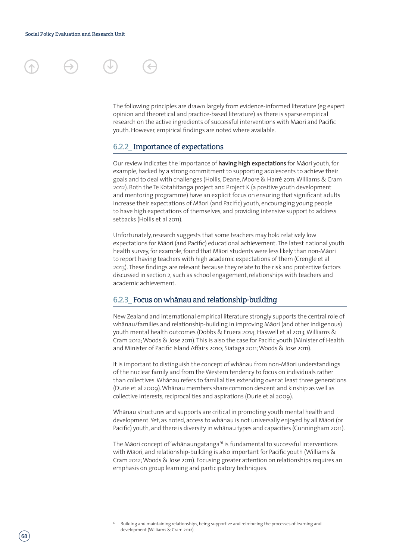### 6.2.2\_ Importance of expectations

youth. However, empirical findings are noted where available.

Our review indicates the importance of having high expectations for Māori youth, for example, backed by a strong commitment to supporting adolescents to achieve their goals and to deal with challenges (Hollis, Deane, Moore & Harré 2011; Williams & Cram 2012). Both the Te Kotahitanga project and Project K (a positive youth development and mentoring programme) have an explicit focus on ensuring that significant adults increase their expectations of Māori (and Pacific) youth, encouraging young people to have high expectations of themselves, and providing intensive support to address setbacks (Hollis et al 2011).

The following principles are drawn largely from evidence-informed literature (eg expert opinion and theoretical and practice-based literature) as there is sparse empirical research on the active ingredients of successful interventions with Māori and Pacific

Unfortunately, research suggests that some teachers may hold relatively low expectations for Māori (and Pacific) educational achievement. The latest national youth health survey, for example, found that Māori students were less likely than non-Māori to report having teachers with high academic expectations of them (Crengle et al 2013). These findings are relevant because they relate to the risk and protective factors discussed in section 2, such as school engagement, relationships with teachers and academic achievement.

### 6.2.3\_ Focus on whānau and relationship-building

New Zealand and international empirical literature strongly supports the central role of whānau/families and relationship-building in improving Māori (and other indigenous) youth mental health outcomes (Dobbs & Eruera 2014; Haswell et al 2013; Williams & Cram 2012; Woods & Jose 2011). This is also the case for Pacific youth (Minister of Health and Minister of Pacific Island Affairs 2010; Siataga 2011; Woods & Jose 2011).

It is important to distinguish the concept of whanau from non-Maori understandings of the nuclear family and from the Western tendency to focus on individuals rather than collectives. Whānau refers to familial ties extending over at least three generations (Durie et al 2009). Whānau members share common descent and kinship as well as collective interests, reciprocal ties and aspirations (Durie et al 2009).

Whanau structures and supports are critical in promoting youth mental health and development. Yet, as noted, access to whānau is not universally enjoyed by all Māori (or Pacific) youth, and there is diversity in whanau types and capacities (Cunningham 2011).

The Māori concept of 'whānaungatanga'<sup>6</sup> is fundamental to successful interventions with Māori, and relationship-building is also important for Pacific youth (Williams & Cram 2012; Woods & Jose 2011). Focusing greater attention on relationships requires an emphasis on group learning and participatory techniques.

<sup>6</sup> Building and maintaining relationships, being supportive and reinforcing the processes of learning and development (Williams & Cram 2012).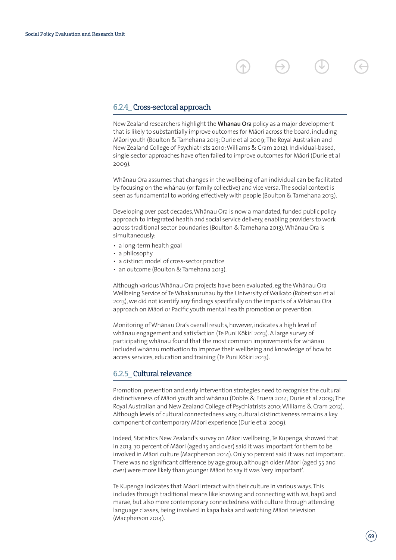### 6.2.4\_ Cross-sectoral approach

New Zealand researchers highlight the **Whānau Ora** policy as a major development that is likely to substantially improve outcomes for Māori across the board, including Māori youth (Boulton & Tamehana 2013; Durie et al 2009; The Royal Australian and New Zealand College of Psychiatrists 2010; Williams & Cram 2012). Individual-based, single-sector approaches have often failed to improve outcomes for Māori (Durie et al 2009).

Whānau Ora assumes that changes in the wellbeing of an individual can be facilitated by focusing on the whanau (or family collective) and vice versa. The social context is seen as fundamental to working effectively with people (Boulton & Tamehana 2013).

Developing over past decades, Whānau Ora is now a mandated, funded public policy approach to integrated health and social service delivery, enabling providers to work across traditional sector boundaries (Boulton & Tamehana 2013). Whānau Ora is simultaneously:

- a long-term health goal
- a philosophy
- a distinct model of cross-sector practice
- an outcome (Boulton & Tamehana 2013).

Although various Whānau Ora projects have been evaluated, eg the Whānau Ora Wellbeing Service of Te Whakaruruhau by the University of Waikato (Robertson et al 2013), we did not identify any findings specifically on the impacts of a Whānau Ora approach on Māori or Pacific youth mental health promotion or prevention.

Monitoring of Whānau Ora's overall results, however, indicates a high level of whānau engagement and satisfaction (Te Puni Kōkiri 2013). A large survey of participating whanau found that the most common improvements for whanau included whānau motivation to improve their wellbeing and knowledge of how to access services, education and training (Te Puni Kōkiri 2013).

### 6.2.5\_ Cultural relevance

Promotion, prevention and early intervention strategies need to recognise the cultural distinctiveness of Māori youth and whānau (Dobbs & Eruera 2014; Durie et al 2009; The Royal Australian and New Zealand College of Psychiatrists 2010; Williams & Cram 2012). Although levels of cultural connectedness vary, cultural distinctiveness remains a key component of contemporary Māori experience (Durie et al 2009).

Indeed, Statistics New Zealand's survey on Māori wellbeing, Te Kupenga, showed that in 2013, 70 percent of Māori (aged 15 and over) said it was important for them to be involved in Māori culture (Macpherson 2014). Only 10 percent said it was not important. There was no significant difference by age group, although older Māori (aged 55 and over) were more likely than younger Māori to say it was 'very important'.

Te Kupenga indicates that Māori interact with their culture in various ways. This includes through traditional means like knowing and connecting with iwi, hapu and marae, but also more contemporary connectedness with culture through attending language classes, being involved in kapa haka and watching Māori television (Macpherson 2014).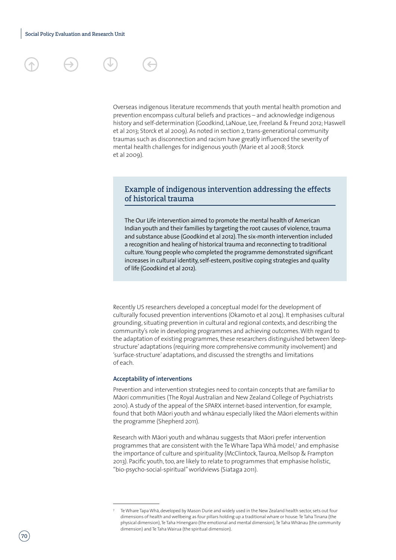

Overseas indigenous literature recommends that youth mental health promotion and prevention encompass cultural beliefs and practices – and acknowledge indigenous history and self-determination (Goodkind, LaNoue, Lee, Freeland & Freund 2012; Haswell et al 2013; Storck et al 2009). As noted in section 2, trans-generational community traumas such as disconnection and racism have greatly influenced the severity of mental health challenges for indigenous youth (Marie et al 2008; Storck et al 2009).

### Example of indigenous intervention addressing the effects of historical trauma

The Our Life intervention aimed to promote the mental health of American Indian youth and their families by targeting the root causes of violence, trauma and substance abuse (Goodkind et al 2012). The six-month intervention included a recognition and healing of historical trauma and reconnecting to traditional culture. Young people who completed the programme demonstrated significant increases in cultural identity, self-esteem, positive coping strategies and quality of life (Goodkind et al 2012).

Recently US researchers developed a conceptual model for the development of culturally focused prevention interventions (Okamoto et al 2014). It emphasises cultural grounding, situating prevention in cultural and regional contexts, and describing the community's role in developing programmes and achieving outcomes. With regard to the adaptation of existing programmes, these researchers distinguished between 'deepstructure' adaptations (requiring more comprehensive community involvement) and 'surface-structure' adaptations, and discussed the strengths and limitations of each.

### **Acceptability of interventions**

Prevention and intervention strategies need to contain concepts that are familiar to Māori communities (The Royal Australian and New Zealand College of Psychiatrists 2010). A study of the appeal of the SPARX internet-based intervention, for example, found that both Māori youth and whānau especially liked the Māori elements within the programme (Shepherd 2011).

Research with Māori youth and whānau suggests that Māori prefer intervention programmes that are consistent with the Te Whare Tapa Wha model,7 and emphasise the importance of culture and spirituality (McClintock, Tauroa, Mellsop & Frampton 2013). Pacific youth, too, are likely to relate to programmes that emphasise holistic, "bio-psycho-social-spiritual" worldviews (Siataga 2011).

Te Whare Tapa Whā, developed by Mason Durie and widely used in the New Zealand health sector, sets out four dimensions of health and wellbeing as four pillars holding up a traditional whare or house: Te Taha Tinana (the physical dimension), Te Taha Hinengaro (the emotional and mental dimension), Te Taha Whānau (the community dimension) and Te Taha Wairua (the spiritual dimension).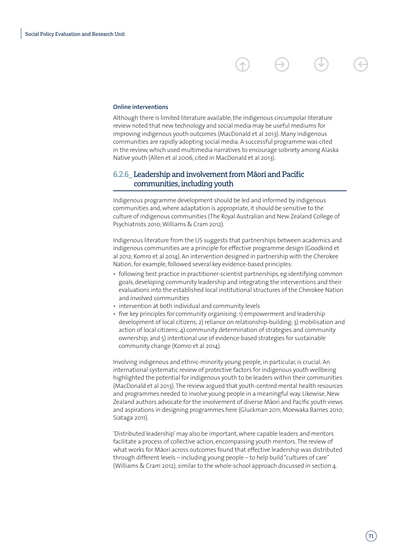### **Online interventions**

Although there is limited literature available, the indigenous circumpolar literature review noted that new technology and social media may be useful mediums for improving indigenous youth outcomes (MacDonald et al 2013). Many indigenous communities are rapidly adopting social media. A successful programme was cited in the review, which used multimedia narratives to encourage sobriety among Alaska Native youth (Allen et al 2006, cited in MacDonald et al 2013).

### 6.2.6 Leadership and involvement from Māori and Pacific communities, including youth

Indigenous programme development should be led and informed by indigenous communities and, where adaptation is appropriate, it should be sensitive to the culture of indigenous communities (The Royal Australian and New Zealand College of Psychiatrists 2010; Williams & Cram 2012).

Indigenous literature from the US suggests that partnerships between academics and indigenous communities are a principle for effective programme design (Goodkind et al 2012; Komro et al 2014). An intervention designed in partnership with the Cherokee Nation, for example, followed several key evidence-based principles:

- following best practice in practitioner-scientist partnerships, eg identifying common goals, developing community leadership and integrating the interventions and their evaluations into the established local institutional structures of the Cherokee Nation and involved communities
- intervention at both individual and community levels
- five key principles for community organising: 1) empowerment and leadership development of local citizens; 2) reliance on relationship-building; 3) mobilisation and action of local citizens; 4) community determination of strategies and community ownership; and 5) intentional use of evidence-based strategies for sustainable community change (Komro et al 2014).

Involving indigenous and ethnic-minority young people, in particular, is crucial. An international systematic review of protective factors for indigenous youth wellbeing highlighted the potential for indigenous youth to be leaders within their communities (MacDonald et al 2013). The review argued that youth-centred mental health resources and programmes needed to involve young people in a meaningful way. Likewise, New Zealand authors advocate for the involvement of diverse Māori and Pacific youth views and aspirations in designing programmes here (Gluckman 2011; Moewaka Barnes 2010; Siataga 2011).

'Distributed leadership' may also be important, where capable leaders and mentors facilitate a process of collective action, encompassing youth mentors. The review of what works for Māori across outcomes found that effective leadership was distributed through different levels – including young people – to help build "cultures of care" (Williams & Cram 2012), similar to the whole-school approach discussed in section 4.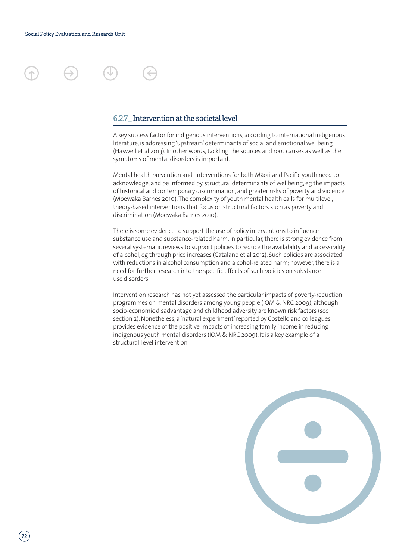

### 6.2.7\_ Intervention at the societal level

A key success factor for indigenous interventions, according to international indigenous literature, is addressing 'upstream' determinants of social and emotional wellbeing (Haswell et al 2013). In other words, tackling the sources and root causes as well as the symptoms of mental disorders is important.

Mental health prevention and interventions for both Māori and Pacific youth need to acknowledge, and be informed by, structural determinants of wellbeing, eg the impacts of historical and contemporary discrimination, and greater risks of poverty and violence (Moewaka Barnes 2010). The complexity of youth mental health calls for multilevel, theory-based interventions that focus on structural factors such as poverty and discrimination (Moewaka Barnes 2010).

There is some evidence to support the use of policy interventions to influence substance use and substance-related harm. In particular, there is strong evidence from several systematic reviews to support policies to reduce the availability and accessibility of alcohol, eg through price increases (Catalano et al 2012). Such policies are associated with reductions in alcohol consumption and alcohol-related harm; however, there is a need for further research into the specific effects of such policies on substance use disorders.

Intervention research has not yet assessed the particular impacts of poverty-reduction programmes on mental disorders among young people (IOM & NRC 2009), although socio-economic disadvantage and childhood adversity are known risk factors (see section 2). Nonetheless, a 'natural experiment' reported by Costello and colleagues provides evidence of the positive impacts of increasing family income in reducing indigenous youth mental disorders (IOM & NRC 2009). It is a key example of a structural-level intervention.

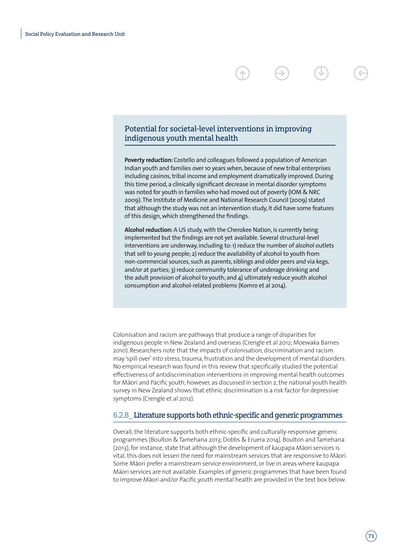### Potential for societal-level interventions in improving indigenous youth mental health

**Poverty reduction:** Costello and colleagues followed a population of American Indian youth and families over 10 years when, because of new tribal enterprises including casinos, tribal income and employment dramatically improved. During this time period, a clinically significant decrease in mental disorder symptoms was noted for youth in families who had moved out of poverty (IOM & NRC 2009). The Institute of Medicine and National Research Council (2009) stated that although the study was not an intervention study, it did have some features of this design, which strengthened the findings.

**Alcohol reduction:** A US study, with the Cherokee Nation, is currently being implemented but the findings are not yet available. Several structural-level interventions are underway, including to: 1) reduce the number of alcohol outlets that sell to young people; 2) reduce the availability of alcohol to youth from non-commercial sources, such as parents, siblings and older peers and via kegs, and/or at parties; 3) reduce community tolerance of underage drinking and the adult provision of alcohol to youth; and 4) ultimately reduce youth alcohol consumption and alcohol-related problems (Komro et al 2014).

Colonisation and racism are pathways that produce a range of disparities for indigenous people in New Zealand and overseas (Crengle et al 2012; Moewaka Barnes 2010). Researchers note that the impacts of colonisation, discrimination and racism may 'spill over' into stress, trauma, frustration and the development of mental disorders. No empirical research was found in this review that specifically studied the potential effectiveness of antidiscrimination interventions in improving mental health outcomes for Māori and Pacific youth; however, as discussed in section 2, the national youth health survey in New Zealand shows that ethnic discrimination is a risk factor for depressive symptoms (Crengle et al 2012).

#### 6.2.8\_ Literature supports both ethnic-specific and generic programmes

Overall, the literature supports both ethnic-specific and culturally-responsive generic programmes (Boulton & Tamehana 2013; Dobbs & Eruera 2014). Boulton and Tamehana (2013), for instance, state that although the development of kaupapa Māori services is vital, this does not lessen the need for mainstream services that are responsive to Māori. Some Māori prefer a mainstream service environment, or live in areas where kaupapa Māori services are not available. Examples of generic programmes that have been found to improve Māori and/or Pacific youth mental health are provided in the text box below.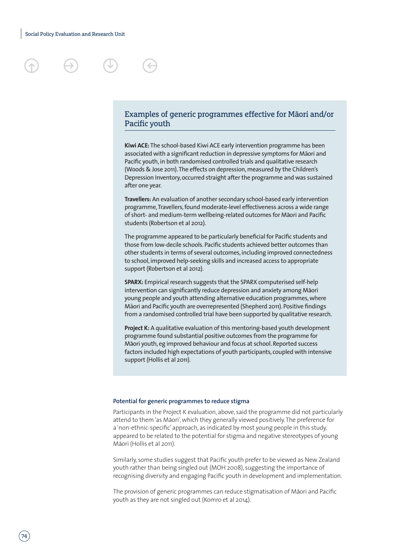

### Examples of generic programmes effective for Māori and/or Pacific youth

**Kiwi ACE:** The school-based Kiwi ACE early intervention programme has been associated with a significant reduction in depressive symptoms for Māori and Pacific youth, in both randomised controlled trials and qualitative research (Woods & Jose 2011). The effects on depression, measured by the Children's Depression Inventory, occurred straight after the programme and was sustained after one year.

**Travellers:** An evaluation of another secondary school-based early intervention programme, Travellers, found moderate-level effectiveness across a wide range of short- and medium-term wellbeing-related outcomes for Māori and Pacific students (Robertson et al 2012).

The programme appeared to be particularly beneficial for Pacific students and those from low-decile schools. Pacific students achieved better outcomes than other students in terms of several outcomes, including improved connectedness to school, improved help-seeking skills and increased access to appropriate support (Robertson et al 2012).

**SPARX:** Empirical research suggests that the SPARX computerised self-help intervention can significantly reduce depression and anxiety among Māori young people and youth attending alternative education programmes, where Māori and Pacific youth are overrepresented (Shepherd 2011). Positive findings from a randomised controlled trial have been supported by qualitative research.

**Project K:** A qualitative evaluation of this mentoring-based youth development programme found substantial positive outcomes from the programme for Māori youth, eg improved behaviour and focus at school. Reported success factors included high expectations of youth participants, coupled with intensive support (Hollis et al 2011).

#### **Potential for generic programmes to reduce stigma**

Participants in the Project K evaluation, above, said the programme did not particularly attend to them 'as Māori', which they generally viewed positively. The preference for a 'non-ethnic-specific' approach, as indicated by most young people in this study, appeared to be related to the potential for stigma and negative stereotypes of young Māori (Hollis et al 2011).

Similarly, some studies suggest that Pacific youth prefer to be viewed as New Zealand youth rather than being singled out (MOH 2008), suggesting the importance of recognising diversity and engaging Pacific youth in development and implementation.

The provision of generic programmes can reduce stigmatisation of Māori and Pacific youth as they are not singled out (Komro et al 2014).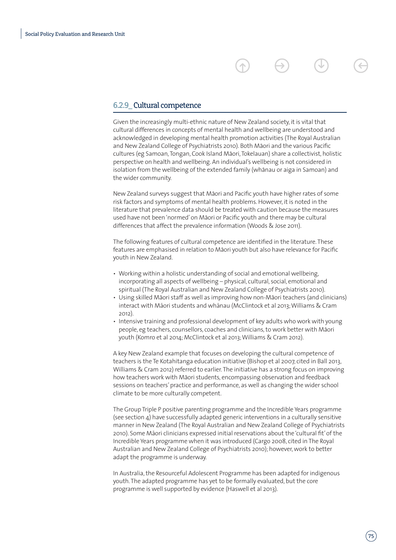### 6.2.9\_ Cultural competence

Given the increasingly multi-ethnic nature of New Zealand society, it is vital that cultural differences in concepts of mental health and wellbeing are understood and acknowledged in developing mental health promotion activities (The Royal Australian and New Zealand College of Psychiatrists 2010). Both Māori and the various Pacific cultures (eg Samoan, Tongan, Cook Island Māori, Tokelauan) share a collectivist, holistic perspective on health and wellbeing. An individual's wellbeing is not considered in isolation from the wellbeing of the extended family (whanau or aiga in Samoan) and the wider community.

New Zealand surveys suggest that Māori and Pacific youth have higher rates of some risk factors and symptoms of mental health problems. However, it is noted in the literature that prevalence data should be treated with caution because the measures used have not been 'normed' on Māori or Pacific youth and there may be cultural differences that affect the prevalence information (Woods & Jose 2011).

The following features of cultural competence are identified in the literature. These features are emphasised in relation to Māori youth but also have relevance for Pacific youth in New Zealand.

- Working within a holistic understanding of social and emotional wellbeing, incorporating all aspects of wellbeing – physical, cultural, social, emotional and spiritual (The Royal Australian and New Zealand College of Psychiatrists 2010).
- Using skilled Māori staff as well as improving how non-Māori teachers (and clinicians) interact with Māori students and whānau (McClintock et al 2013; Williams & Cram 2012).
- Intensive training and professional development of key adults who work with young people, eg teachers, counsellors, coaches and clinicians, to work better with Māori youth (Komro et al 2014; McClintock et al 2013; Williams & Cram 2012).

A key New Zealand example that focuses on developing the cultural competence of teachers is the Te Kotahitanga education initiative (Bishop et al 2007, cited in Ball 2013, Williams & Cram 2012) referred to earlier. The initiative has a strong focus on improving how teachers work with Māori students, encompassing observation and feedback sessions on teachers' practice and performance, as well as changing the wider school climate to be more culturally competent.

The Group Triple P positive parenting programme and the Incredible Years programme (see section 4) have successfully adapted generic interventions in a culturally sensitive manner in New Zealand (The Royal Australian and New Zealand College of Psychiatrists 2010). Some Māori clinicians expressed initial reservations about the 'cultural fit' of the Incredible Years programme when it was introduced (Cargo 2008, cited in The Royal Australian and New Zealand College of Psychiatrists 2010); however, work to better adapt the programme is underway.

In Australia, the Resourceful Adolescent Programme has been adapted for indigenous youth. The adapted programme has yet to be formally evaluated, but the core programme is well supported by evidence (Haswell et al 2013).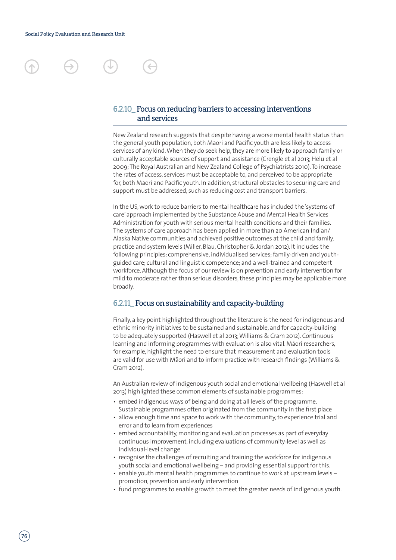### 6.2.10\_ Focus on reducing barriers to accessing interventions and services

New Zealand research suggests that despite having a worse mental health status than the general youth population, both Māori and Pacific youth are less likely to access services of any kind. When they do seek help, they are more likely to approach family or culturally acceptable sources of support and assistance (Crengle et al 2013; Helu et al 2009; The Royal Australian and New Zealand College of Psychiatrists 2010). To increase the rates of access, services must be acceptable to, and perceived to be appropriate for, both Māori and Pacific youth. In addition, structural obstacles to securing care and support must be addressed, such as reducing cost and transport barriers.

In the US, work to reduce barriers to mental healthcare has included the 'systems of care' approach implemented by the Substance Abuse and Mental Health Services Administration for youth with serious mental health conditions and their families. The systems of care approach has been applied in more than 20 American Indian/ Alaska Native communities and achieved positive outcomes at the child and family, practice and system levels (Miller, Blau, Christopher & Jordan 2012). It includes the following principles: comprehensive, individualised services; family-driven and youthguided care; cultural and linguistic competence; and a well-trained and competent workforce. Although the focus of our review is on prevention and early intervention for mild to moderate rather than serious disorders, these principles may be applicable more broadly.

#### 6.2.11\_ Focus on sustainability and capacity-building

Finally, a key point highlighted throughout the literature is the need for indigenous and ethnic minority initiatives to be sustained and sustainable, and for capacity-building to be adequately supported (Haswell et al 2013; Williams & Cram 2012). Continuous learning and informing programmes with evaluation is also vital. Māori researchers, for example, highlight the need to ensure that measurement and evaluation tools are valid for use with Māori and to inform practice with research findings (Williams & Cram 2012).

An Australian review of indigenous youth social and emotional wellbeing (Haswell et al 2013) highlighted these common elements of sustainable programmes:

- embed indigenous ways of being and doing at all levels of the programme. Sustainable programmes often originated from the community in the first place
- allow enough time and space to work with the community, to experience trial and error and to learn from experiences
- embed accountability, monitoring and evaluation processes as part of everyday continuous improvement, including evaluations of community-level as well as individual-level change
- recognise the challenges of recruiting and training the workforce for indigenous youth social and emotional wellbeing – and providing essential support for this.
- enable youth mental health programmes to continue to work at upstream levels promotion, prevention and early intervention
- fund programmes to enable growth to meet the greater needs of indigenous youth.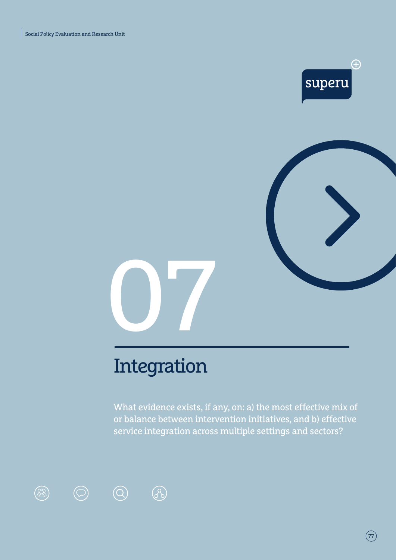$\circledR$ 

 $\bigodot$ 



 $\left(\overline{77}\right)$ 



# Integration

8

 $\bigcirc$ 

What evidence exists, if any, on: a) the most effective mix of or balance between intervention initiatives, and b) effective service integration across multiple settings and sectors?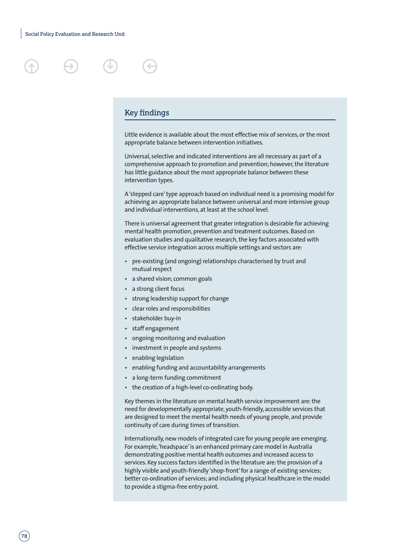





#### Key findings

Little evidence is available about the most effective mix of services, or the most appropriate balance between intervention initiatives.

Universal, selective and indicated interventions are all necessary as part of a comprehensive approach to promotion and prevention; however, the literature has little guidance about the most appropriate balance between these intervention types.

A 'stepped care' type approach based on individual need is a promising model for achieving an appropriate balance between universal and more intensive group and individual interventions, at least at the school level.

There is universal agreement that greater integration is desirable for achieving mental health promotion, prevention and treatment outcomes. Based on evaluation studies and qualitative research, the key factors associated with effective service integration across multiple settings and sectors are:

- pre-existing (and ongoing) relationships characterised by trust and mutual respect
- a shared vision; common goals
- a strong client focus
- strong leadership support for change
- clear roles and responsibilities
- stakeholder buy-in
- staff engagement
- ongoing monitoring and evaluation
- investment in people and systems
- enabling legislation
- enabling funding and accountability arrangements
- a long-term funding commitment
- the creation of a high-level co-ordinating body.

Key themes in the literature on mental health service improvement are: the need for developmentally appropriate, youth-friendly, accessible services that are designed to meet the mental health needs of young people, and provide continuity of care during times of transition.

Internationally, new models of integrated care for young people are emerging. For example, 'headspace' is an enhanced primary care model in Australia demonstrating positive mental health outcomes and increased access to services. Key success factors identified in the literature are: the provision of a highly visible and youth-friendly 'shop-front' for a range of existing services; better co-ordination of services; and including physical healthcare in the model to provide a stigma-free entry point.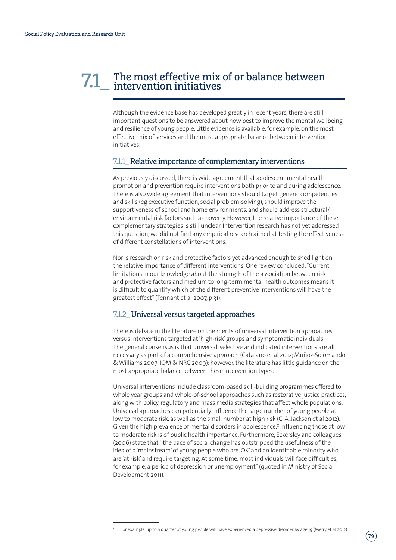# The most effective mix of or balance between 7.1\_ intervention initiatives

Although the evidence base has developed greatly in recent years, there are still important questions to be answered about how best to improve the mental wellbeing and resilience of young people. Little evidence is available, for example, on the most effective mix of services and the most appropriate balance between intervention initiatives.

#### 7.1.1\_ Relative importance of complementary interventions

As previously discussed, there is wide agreement that adolescent mental health promotion and prevention require interventions both prior to and during adolescence. There is also wide agreement that interventions should target generic competencies and skills (eg executive function, social problem-solving), should improve the supportiveness of school and home environments, and should address structural/ environmental risk factors such as poverty. However, the relative importance of these complementary strategies is still unclear. Intervention research has not yet addressed this question; we did not find any empirical research aimed at testing the effectiveness of different constellations of interventions.

Nor is research on risk and protective factors yet advanced enough to shed light on the relative importance of different interventions. One review concluded, "Current limitations in our knowledge about the strength of the association between risk and protective factors and medium to long-term mental health outcomes means it is difficult to quantify which of the different preventive interventions will have the greatest effect" (Tennant et al 2007, p 31).

#### 7.1.2\_ Universal versus targeted approaches

There is debate in the literature on the merits of universal intervention approaches versus interventions targeted at 'high-risk' groups and symptomatic individuals. The general consensus is that universal, selective and indicated interventions are all necessary as part of a comprehensive approach (Catalano et al 2012; Muñoz-Solomando & Williams 2007; IOM & NRC 2009); however, the literature has little guidance on the most appropriate balance between these intervention types.

Universal interventions include classroom-based skill-building programmes offered to whole year groups and whole-of-school approaches such as restorative justice practices, along with policy, regulatory and mass media strategies that affect whole populations. Universal approaches can potentially influence the large number of young people at low to moderate risk, as well as the small number at high risk (C. A. Jackson et al 2012). Given the high prevalence of mental disorders in adolescence,<sup>8</sup> influencing those at low to moderate risk is of public health importance. Furthermore, Eckersley and colleagues (2006) state that, "the pace of social change has outstripped the usefulness of the idea of a 'mainstream' of young people who are 'OK' and an identifiable minority who are 'at risk' and require targeting. At some time, most individuals will face difficulties, for example, a period of depression or unemployment" (quoted in Ministry of Social Development 2011).

<sup>8</sup> For example, up to a quarter of young people will have experienced a depressive disorder by age 19 (Merry et al 2012).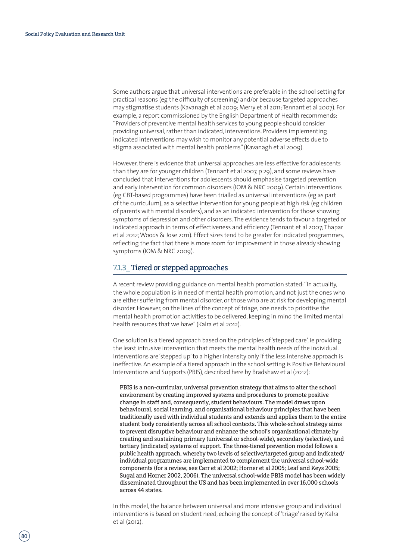Some authors argue that universal interventions are preferable in the school setting for practical reasons (eg the difficulty of screening) and/or because targeted approaches may stigmatise students (Kavanagh et al 2009; Merry et al 2011; Tennant et al 2007). For example, a report commissioned by the English Department of Health recommends: "Providers of preventive mental health services to young people should consider providing universal, rather than indicated, interventions. Providers implementing indicated interventions may wish to monitor any potential adverse effects due to stigma associated with mental health problems" (Kavanagh et al 2009).

However, there is evidence that universal approaches are less effective for adolescents than they are for younger children (Tennant et al 2007, p 29), and some reviews have concluded that interventions for adolescents should emphasise targeted prevention and early intervention for common disorders (IOM & NRC 2009). Certain interventions (eg CBT-based programmes) have been trialled as universal interventions (eg as part of the curriculum), as a selective intervention for young people at high risk (eg children of parents with mental disorders), and as an indicated intervention for those showing symptoms of depression and other disorders. The evidence tends to favour a targeted or indicated approach in terms of effectiveness and efficiency (Tennant et al 2007; Thapar et al 2012; Woods & Jose 2011). Effect sizes tend to be greater for indicated programmes, reflecting the fact that there is more room for improvement in those already showing symptoms (IOM & NRC 2009).

#### 7.1.3\_ Tiered or stepped approaches

A recent review providing guidance on mental health promotion stated: "In actuality, the whole population is in need of mental health promotion, and not just the ones who are either suffering from mental disorder, or those who are at risk for developing mental disorder. However, on the lines of the concept of triage, one needs to prioritise the mental health promotion activities to be delivered, keeping in mind the limited mental health resources that we have" (Kalra et al 2012).

One solution is a tiered approach based on the principles of 'stepped care', ie providing the least intrusive intervention that meets the mental health needs of the individual. Interventions are 'stepped up' to a higher intensity only if the less intensive approach is ineffective. An example of a tiered approach in the school setting is Positive Behavioural Interventions and Supports (PBIS), described here by Bradshaw et al (2012):

PBIS is a non-curricular, universal prevention strategy that aims to alter the school environment by creating improved systems and procedures to promote positive change in staff and, consequently, student behaviours. The model draws upon behavioural, social learning, and organisational behaviour principles that have been traditionally used with individual students and extends and applies them to the entire student body consistently across all school contexts. This whole-school strategy aims to prevent disruptive behaviour and enhance the school's organisational climate by creating and sustaining primary (universal or school-wide), secondary (selective), and tertiary (indicated) systems of support. The three-tiered prevention model follows a public health approach, whereby two levels of selective/targeted group and indicated/ individual programmes are implemented to complement the universal school-wide components (for a review, see Carr et al 2002; Horner et al 2005; Leaf and Keys 2005; Sugai and Horner 2002, 2006). The universal school-wide PBIS model has been widely disseminated throughout the US and has been implemented in over 16,000 schools across 44 states.

In this model, the balance between universal and more intensive group and individual interventions is based on student need, echoing the concept of 'triage' raised by Kalra et al (2012).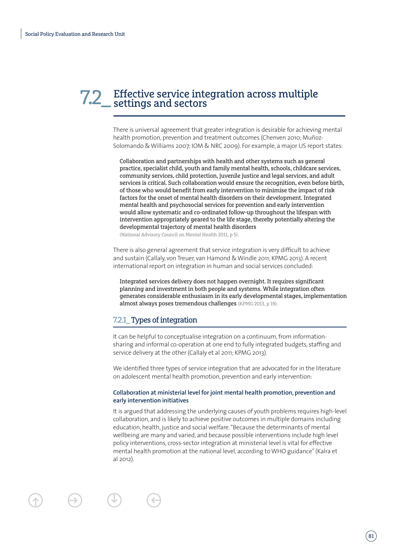# 7.2\_ Effective service integration across multiple settings and sectors

There is universal agreement that greater integration is desirable for achieving mental health promotion, prevention and treatment outcomes (Chenven 2010; Muñoz-Solomando & Williams 2007; IOM & NRC 2009). For example, a major US report states:

Collaboration and partnerships with health and other systems such as general practice, specialist child, youth and family mental health, schools, childcare services, community services, child protection, juvenile justice and legal services, and adult services is critical. Such collaboration would ensure the recognition, even before birth, of those who would benefit from early intervention to minimise the impact of risk factors for the onset of mental health disorders on their development. Integrated mental health and psychosocial services for prevention and early intervention would allow systematic and co-ordinated follow-up throughout the lifespan with intervention appropriately geared to the life stage, thereby potentially altering the developmental trajectory of mental health disorders

(National Advisory Council on Mental Health 2011, p 5).

There is also general agreement that service integration is very difficult to achieve and sustain (Callaly, von Treuer, van Hamond & Windle 2011; KPMG 2013). A recent international report on integration in human and social services concluded:

Integrated services delivery does not happen overnight. It requires significant planning and investment in both people and systems. While integration often generates considerable enthusiasm in its early developmental stages, implementation almost always poses tremendous challenges (KPMG 2013, p 19).

#### 7.2.1\_ Types of integration

It can be helpful to conceptualise integration on a continuum, from informationsharing and informal co-operation at one end to fully integrated budgets, staffing and service delivery at the other (Callaly et al 2011; KPMG 2013).

We identified three types of service integration that are advocated for in the literature on adolescent mental health promotion, prevention and early intervention:

#### **Collaboration at ministerial level for joint mental health promotion, prevention and early intervention initiatives**

It is argued that addressing the underlying causes of youth problems requires high-level collaboration, and is likely to achieve positive outcomes in multiple domains including education, health, justice and social welfare. "Because the determinants of mental wellbeing are many and varied, and because possible interventions include high level policy interventions, cross-sector integration at ministerial level is vital for effective mental health promotion at the national level, according to WHO guidance" (Kalra et al 2012).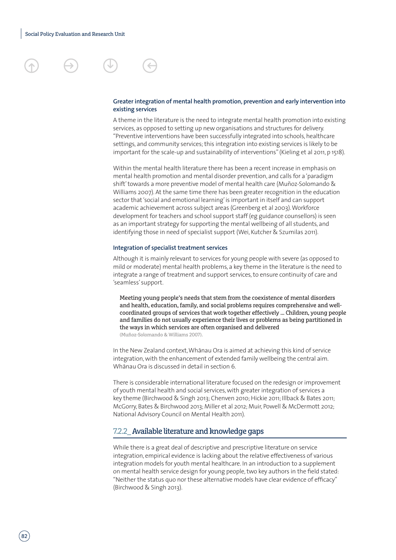

#### **Greater integration of mental health promotion, prevention and early intervention into existing services**

A theme in the literature is the need to integrate mental health promotion into existing services, as opposed to setting up new organisations and structures for delivery. "Preventive interventions have been successfully integrated into schools, healthcare settings, and community services; this integration into existing services is likely to be important for the scale-up and sustainability of interventions" (Kieling et al 2011, p 1518).

Within the mental health literature there has been a recent increase in emphasis on mental health promotion and mental disorder prevention, and calls for a 'paradigm shift' towards a more preventive model of mental health care (Muñoz-Solomando & Williams 2007). At the same time there has been greater recognition in the education sector that 'social and emotional learning' is important in itself and can support academic achievement across subject areas (Greenberg et al 2003). Workforce development for teachers and school support staff (eg guidance counsellors) is seen as an important strategy for supporting the mental wellbeing of all students, and identifying those in need of specialist support (Wei, Kutcher & Szumilas 2011).

#### **Integration of specialist treatment services**

Although it is mainly relevant to services for young people with severe (as opposed to mild or moderate) mental health problems, a key theme in the literature is the need to integrate a range of treatment and support services, to ensure continuity of care and 'seamless' support.

Meeting young people's needs that stem from the coexistence of mental disorders and health, education, family, and social problems requires comprehensive and wellcoordinated groups of services that work together effectively … Children, young people and families do not usually experience their lives or problems as being partitioned in the ways in which services are often organised and delivered (Muñoz-Solomando & Williams 2007).

In the New Zealand context, Whānau Ora is aimed at achieving this kind of service integration, with the enhancement of extended family wellbeing the central aim. Whānau Ora is discussed in detail in section 6.

There is considerable international literature focused on the redesign or improvement of youth mental health and social services, with greater integration of services a key theme (Birchwood & Singh 2013; Chenven 2010; Hickie 2011; Illback & Bates 2011; McGorry, Bates & Birchwood 2013; Miller et al 2012; Muir, Powell & McDermott 2012; National Advisory Council on Mental Health 2011).

#### 7.2.2\_ Available literature and knowledge gaps

While there is a great deal of descriptive and prescriptive literature on service integration, empirical evidence is lacking about the relative effectiveness of various integration models for youth mental healthcare. In an introduction to a supplement on mental health service design for young people, two key authors in the field stated: "Neither the status quo nor these alternative models have clear evidence of efficacy" (Birchwood & Singh 2013).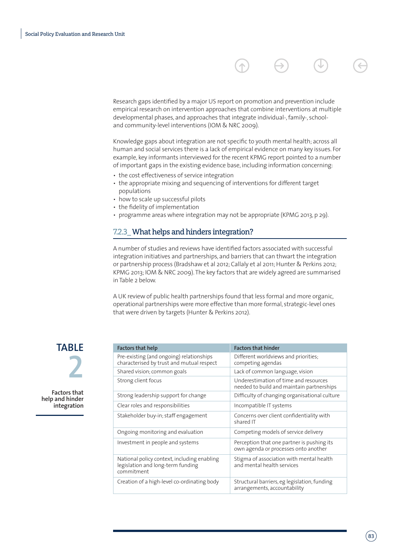Research gaps identified by a major US report on promotion and prevention include empirical research on intervention approaches that combine interventions at multiple developmental phases, and approaches that integrate individual-, family-, schooland community-level interventions (IOM & NRC 2009).

Knowledge gaps about integration are not specific to youth mental health; across all human and social services there is a lack of empirical evidence on many key issues. For example, key informants interviewed for the recent KPMG report pointed to a number of important gaps in the existing evidence base, including information concerning:

- the cost effectiveness of service integration
- the appropriate mixing and sequencing of interventions for different target populations
- how to scale up successful pilots
- the fidelity of implementation
- programme areas where integration may not be appropriate (KPMG 2013, p 29).

#### 7.2.3 What helps and hinders integration?

A number of studies and reviews have identified factors associated with successful integration initiatives and partnerships, and barriers that can thwart the integration or partnership process (Bradshaw et al 2012; Callaly et al 2011; Hunter & Perkins 2012; KPMG 2013; IOM & NRC 2009). The key factors that are widely agreed are summarised in Table 2 below.

A UK review of public health partnerships found that less formal and more organic, operational partnerships were more effective than more formal, strategic-level ones that were driven by targets (Hunter & Perkins 2012).

**TABLE 2**

**Factors that help and hinder integration**

| <b>Factors that help</b>                                                                       | <b>Factors that hinder</b>                                                         |
|------------------------------------------------------------------------------------------------|------------------------------------------------------------------------------------|
| Pre-existing (and ongoing) relationships<br>characterised by trust and mutual respect          | Different worldviews and priorities;<br>competing agendas                          |
| Shared vision; common goals                                                                    | Lack of common language, vision                                                    |
| Strong client focus                                                                            | Underestimation of time and resources<br>needed to build and maintain partnerships |
| Strong leadership support for change                                                           | Difficulty of changing organisational culture                                      |
| Clear roles and responsibilities                                                               | Incompatible IT systems                                                            |
| Stakeholder buy-in; staff engagement                                                           | Concerns over client confidentiality with<br>shared IT                             |
| Ongoing monitoring and evaluation                                                              | Competing models of service delivery                                               |
| Investment in people and systems                                                               | Perception that one partner is pushing its<br>own agenda or processes onto another |
| National policy context, including enabling<br>legislation and long-term funding<br>commitment | Stigma of association with mental health<br>and mental health services             |
| Creation of a high-level co-ordinating body                                                    | Structural barriers, eg legislation, funding<br>arrangements, accountability       |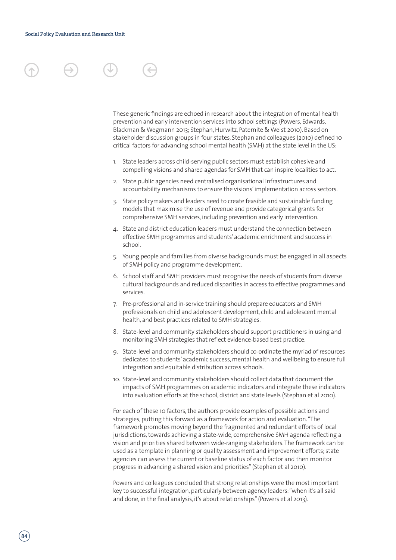These generic findings are echoed in research about the integration of mental health prevention and early intervention services into school settings (Powers, Edwards, Blackman & Wegmann 2013; Stephan, Hurwitz, Paternite & Weist 2010). Based on stakeholder discussion groups in four states, Stephan and colleagues (2010) defined 10 critical factors for advancing school mental health (SMH) at the state level in the US:

- 1. State leaders across child-serving public sectors must establish cohesive and compelling visions and shared agendas for SMH that can inspire localities to act.
- 2. State public agencies need centralised organisational infrastructures and accountability mechanisms to ensure the visions' implementation across sectors.
- 3. State policymakers and leaders need to create feasible and sustainable funding models that maximise the use of revenue and provide categorical grants for comprehensive SMH services, including prevention and early intervention.
- 4. State and district education leaders must understand the connection between effective SMH programmes and students' academic enrichment and success in school.
- 5. Young people and families from diverse backgrounds must be engaged in all aspects of SMH policy and programme development.
- 6. School staff and SMH providers must recognise the needs of students from diverse cultural backgrounds and reduced disparities in access to effective programmes and services.
- 7. Pre-professional and in-service training should prepare educators and SMH professionals on child and adolescent development, child and adolescent mental health, and best practices related to SMH strategies.
- 8. State-level and community stakeholders should support practitioners in using and monitoring SMH strategies that reflect evidence-based best practice.
- 9. State-level and community stakeholders should co-ordinate the myriad of resources dedicated to students' academic success, mental health and wellbeing to ensure full integration and equitable distribution across schools.
- 10. State-level and community stakeholders should collect data that document the impacts of SMH programmes on academic indicators and integrate these indicators into evaluation efforts at the school, district and state levels (Stephan et al 2010).

For each of these 10 factors, the authors provide examples of possible actions and strategies, putting this forward as a framework for action and evaluation. "The framework promotes moving beyond the fragmented and redundant efforts of local jurisdictions, towards achieving a state-wide, comprehensive SMH agenda reflecting a vision and priorities shared between wide-ranging stakeholders. The framework can be used as a template in planning or quality assessment and improvement efforts; state agencies can assess the current or baseline status of each factor and then monitor progress in advancing a shared vision and priorities" (Stephan et al 2010).

Powers and colleagues concluded that strong relationships were the most important key to successful integration, particularly between agency leaders: "when it's all said and done, in the final analysis, it's about relationships" (Powers et al 2013).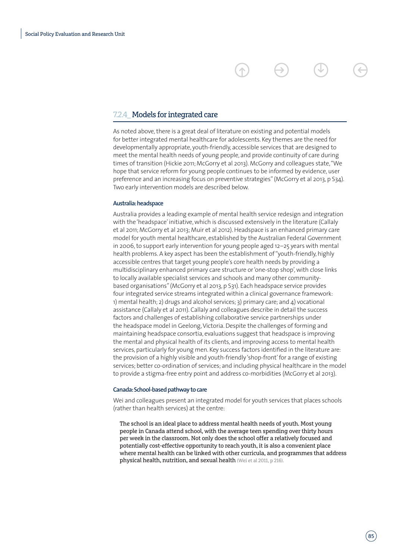#### 7.2.4\_ Models for integrated care

As noted above, there is a great deal of literature on existing and potential models for better integrated mental healthcare for adolescents. Key themes are the need for developmentally appropriate, youth-friendly, accessible services that are designed to meet the mental health needs of young people, and provide continuity of care during times of transition (Hickie 2011; McGorry et al 2013). McGorry and colleagues state, "We hope that service reform for young people continues to be informed by evidence, user preference and an increasing focus on preventive strategies" (McGorry et al 2013, p S34). Two early intervention models are described below.

#### **Australia: headspace**

Australia provides a leading example of mental health service redesign and integration with the 'headspace' initiative, which is discussed extensively in the literature (Callaly et al 2011; McGorry et al 2013; Muir et al 2012). Headspace is an enhanced primary care model for youth mental healthcare, established by the Australian Federal Government in 2006, to support early intervention for young people aged 12–25 years with mental health problems. A key aspect has been the establishment of "youth-friendly, highly accessible centres that target young people's core health needs by providing a multidisciplinary enhanced primary care structure or 'one-stop shop', with close links to locally available specialist services and schools and many other communitybased organisations" (McGorry et al 2013, p S31). Each headspace service provides four integrated service streams integrated within a clinical governance framework: 1) mental health; 2) drugs and alcohol services; 3) primary care; and 4) vocational assistance (Callaly et al 2011). Callaly and colleagues describe in detail the success factors and challenges of establishing collaborative service partnerships under the headspace model in Geelong, Victoria. Despite the challenges of forming and maintaining headspace consortia, evaluations suggest that headspace is improving the mental and physical health of its clients, and improving access to mental health services, particularly for young men. Key success factors identified in the literature are: the provision of a highly visible and youth-friendly 'shop-front' for a range of existing services; better co-ordination of services; and including physical healthcare in the model to provide a stigma-free entry point and address co-morbidities (McGorry et al 2013).

#### **Canada: School-based pathway to care**

Wei and colleagues present an integrated model for youth services that places schools (rather than health services) at the centre:

The school is an ideal place to address mental health needs of youth. Most young people in Canada attend school, with the average teen spending over thirty hours per week in the classroom. Not only does the school offer a relatively focused and potentially cost-effective opportunity to reach youth, it is also a convenient place where mental health can be linked with other curricula, and programmes that address physical health, nutrition, and sexual health (Wei et al 2011, p 216).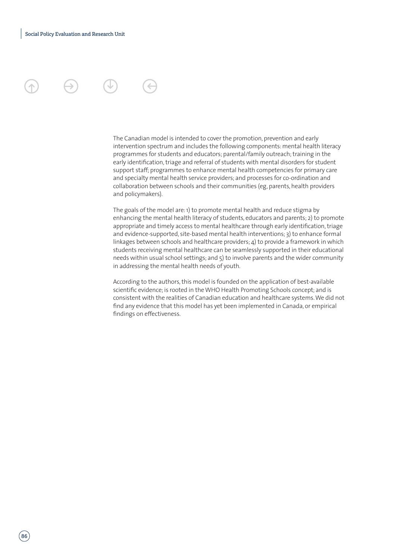The Canadian model is intended to cover the promotion, prevention and early intervention spectrum and includes the following components: mental health literacy programmes for students and educators; parental/family outreach; training in the early identification, triage and referral of students with mental disorders for student support staff; programmes to enhance mental health competencies for primary care and specialty mental health service providers; and processes for co-ordination and collaboration between schools and their communities (eg, parents, health providers and policymakers).

The goals of the model are: 1) to promote mental health and reduce stigma by enhancing the mental health literacy of students, educators and parents; 2) to promote appropriate and timely access to mental healthcare through early identification, triage and evidence-supported, site-based mental health interventions; 3) to enhance formal linkages between schools and healthcare providers; 4) to provide a framework in which students receiving mental healthcare can be seamlessly supported in their educational needs within usual school settings; and 5) to involve parents and the wider community in addressing the mental health needs of youth.

According to the authors, this model is founded on the application of best-available scientific evidence; is rooted in the WHO Health Promoting Schools concept; and is consistent with the realities of Canadian education and healthcare systems. We did not find any evidence that this model has yet been implemented in Canada, or empirical findings on effectiveness.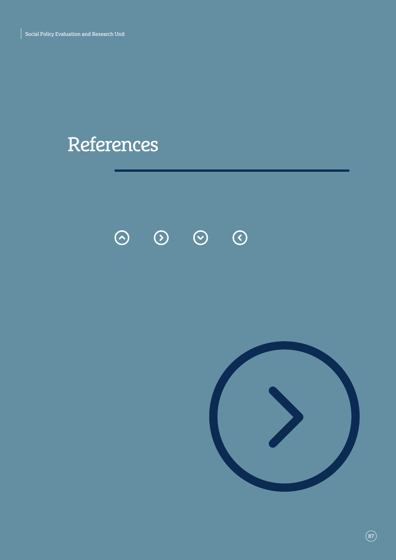# References

 $\odot$   $\odot$   $\odot$  $\odot$ 

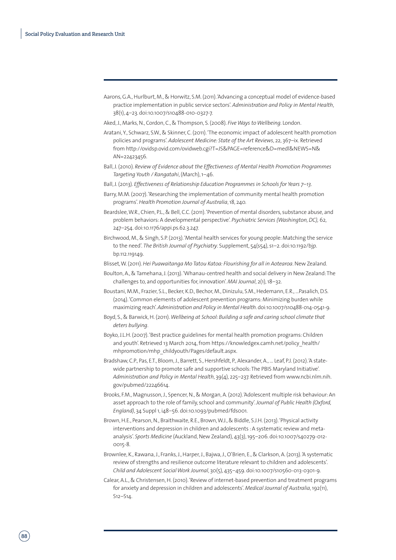Aarons, G.A., Hurlburt, M., & Horwitz, S.M. (2011). 'Advancing a conceptual model of evidence-based practice implementation in public service sectors'. *Administration and Policy in Mental Health*, 38(1), 4–23. doi:10.1007/s10488-010-0327-7.

Aked, J., Marks, N., Cordon, C., & Thompson, S. (2008). *Five Ways to Wellbeing*. London.

- Aratani, Y., Schwarz, S.W., & Skinner, C. (2011). 'The economic impact of adolescent health promotion policies and programs'. *Adolescent Medicine: State of the Art Reviews*, 22, 367–ix. Retrieved from http://ovidsp.ovid.com/ovidweb.cgi?T=JS&PAGE=reference&D=medl&NEWS=N& AN=22423456.
- Ball, J. (2010). *Review of Evidence about the Effectiveness of Mental Health Promotion Programmes Targeting Youth / Rangatahi*, (March), 1–46.
- Ball, J. (2013). *Effectiveness of Relationship Education Programmes in Schools for Years 7–13*.
- Barry, M.M. (2007). 'Researching the implementation of community mental health promotion programs'. *Health Promotion Journal of Australia*, 18, 240.
- Beardslee, W.R., Chien, P.L., & Bell, C.C. (2011). 'Prevention of mental disorders, substance abuse, and problem behaviors: A developmental perspective'. *Psychiatric Services (Washington, DC),* 62, 247–254. doi:10.1176/appi.ps.62.3.247.
- Birchwood, M., & Singh, S.P. (2013). 'Mental health services for young people: Matching the service to the need'. *The British Journal of Psychiatry*. Supplement, 54(s54), s1–2. doi:10.1192/bjp. bp.112.119149.

Blisset, W. (2011). *Hei Puawaitanga Mo Tatou Katoa: Flourishing for all in Aotearoa*. New Zealand.

- Boulton, A., & Tamehana, J. (2013). 'Whanau-centred health and social delivery in New Zealand: The challenges to, and opportunities for, innovation'. *MAI Journal*, 2(1), 18–32.
- Boustani, M.M., Frazier, S.L., Becker, K.D., Bechor, M., Dinizulu, S.M., Hedemann, E.R., ...Pasalich, D.S. (2014). 'Common elements of adolescent prevention programs: Minimizing burden while maximizing reach'. *Administration and Policy in Mental Health*. doi:10.1007/s10488-014-0541-9.
- Boyd, S., & Barwick, H. (2011). *Wellbeing at School: Building a safe and caring school climate that deters bullying*.
- Boyko, J.L.H. (2007). 'Best practice guidelines for mental health promotion programs: Children and youth'. Retrieved 13 March 2014, from https://knowledgex.camh.net/policy health/ mhpromotion/mhp\_childyouth/Pages/default.aspx.
- Bradshaw, C.P., Pas, E.T., Bloom, J., Barrett, S., Hershfeldt, P., Alexander, A., … Leaf, P.J. (2012). 'A statewide partnership to promote safe and supportive schools: The PBIS Maryland Initiative'. *Administration and Policy in Mental Health*, 39(4), 225–237. Retrieved from www.ncbi.nlm.nih. gov/pubmed/22246614.
- Brooks, F.M., Magnusson, J., Spencer, N., & Morgan, A. (2012). 'Adolescent multiple risk behaviour: An asset approach to the role of family, school and community'. *Journal of Public Health (Oxford, England)*, 34 Suppl 1, i48–56. doi:10.1093/pubmed/fds001.
- Brown, H.E., Pearson, N., Braithwaite, R.E., Brown, W.J., & Biddle, S.J.H. (2013). 'Physical activity interventions and depression in children and adolescents : A systematic review and metaanalysis'. *Sports Medicine* (Auckland, New Zealand), 43(3), 195–206. doi:10.1007/s40279-012- 0015-8.
- Brownlee, K., Rawana, J., Franks, J., Harper, J., Bajwa, J., O'Brien, E., & Clarkson, A. (2013). 'A systematic review of strengths and resilience outcome literature relevant to children and adolescents'. *Child and Adolescent Social Work Journal*, 30(5), 435–459. doi:10.1007/s10560-013-0301-9.
- Calear, A.L., & Christensen, H. (2010). 'Review of internet-based prevention and treatment programs for anxiety and depression in children and adolescents'. *Medical Journal of Australia*, 192(11), S12–S14.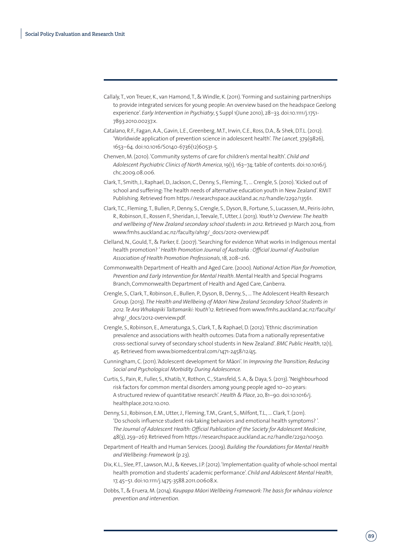- Callaly, T., von Treuer, K., van Hamond, T., & Windle, K. (2011). 'Forming and sustaining partnerships to provide integrated services for young people: An overview based on the headspace Geelong experience'. *Early Intervention in Psychiatry*, 5 Suppl 1(June 2010), 28–33. doi:10.1111/j.1751- 7893.2010.00237.x.
- Catalano, R.F., Fagan, A.A., Gavin, L.E., Greenberg, M.T., Irwin, C.E., Ross, D.A., & Shek, D.T.L. (2012). 'Worldwide application of prevention science in adolescent health'. *The Lancet*, 379(9826), 1653–64. doi:10.1016/S0140-6736(12)60531-5.
- Chenven, M. (2010). 'Community systems of care for children's mental health'. *Child and Adolescent Psychiatric Clinics of North America*, 19(1), 163–74; table of contents. doi:10.1016/j. chc.2009.08.006.
- Clark, T., Smith, J., Raphael, D., Jackson, C., Denny, S., Fleming, T., … Crengle, S. (2010). 'Kicked out of school and suffering: The health needs of alternative education youth in New Zealand'. RMIT Publishing. Retrieved from https://researchspace.auckland.ac.nz/handle/2292/13561.
- Clark, T.C., Fleming, T., Bullen, P., Denny, S., Crengle, S., Dyson, B., Fortune, S., Lucassen, M., Peiris-John, R., Robinson, E., Rossen F., Sheridan, J., Teevale, T., Utter, J. (2013). *Youth'12 Overview: The health and wellbeing of New Zealand secondary school students in 2012*. Retrieved 31 March 2014, from www.fmhs.auckland.ac.nz/faculty/ahrg/\_docs/2012-overview.pdf.
- Clelland, N., Gould, T., & Parker, E. (2007). 'Searching for evidence: What works in Indigenous mental health promotion? ' *Health Promotion Journal of Australia : Official Journal of Australian Association of Health Promotion Professionals*, 18, 208–216.
- Commonwealth Department of Health and Aged Care. (2000). *National Action Plan for Promotion, Prevention and Early Intervention for Mental Health*. Mental Health and Special Programs Branch, Commonwealth Department of Health and Aged Care, Canberra.
- Crengle, S., Clark, T., Robinson, E., Bullen, P., Dyson, B., Denny, S., … The Adolescent Health Research Group. (2013). The Health and Wellbeing of Māori New Zealand Secondary School Students in *2012. Te Ara Whakapiki Taitamariki: Youth'12*. Retrieved from www.fmhs.auckland.ac.nz/faculty/ ahrg/\_docs/2012-overview.pdf.
- Crengle, S., Robinson, E., Ameratunga, S., Clark, T., & Raphael, D. (2012). 'Ethnic discrimination prevalence and associations with health outcomes: Data from a nationally representative cross-sectional survey of secondary school students in New Zealand'. *BMC Public Health*, 12(1), 45. Retrieved from www.biomedcentral.com/1471-2458/12/45.
- Cunningham, C. (2011). 'Adolescent development for Māori'. In *Improving the Transition; Reducing Social and Psychological Morbidity During Adolescence*.
- Curtis, S., Pain, R., Fuller, S., Khatib, Y., Rothon, C., Stansfeld, S. A., & Daya, S. (2013). 'Neighbourhood risk factors for common mental disorders among young people aged 10–20 years: A structured review of quantitative research'. *Health & Place*, 20, 81–90. doi:10.1016/j. healthplace.2012.10.010.
- Denny, S.J., Robinson, E.M., Utter, J., Fleming, T.M., Grant, S., Milfont, T.L., ... Clark, T. (2011). 'Do schools influence student risk-taking behaviors and emotional health symptoms? '. *The Journal of Adolescent Health: Official Publication of the Society for Adolescent Medicine*, 48(3), 259–267. Retrieved from https://researchspace.auckland.ac.nz/handle/2292/10050.
- Department of Health and Human Services. (2009). *Building the Foundations for Mental Health and Wellbeing: Framework* (p 23).
- Dix, K.L., Slee, P.T., Lawson, M.J., & Keeves, J.P. (2012). 'Implementation quality of whole-school mental health promotion and students' academic performance'. *Child and Adolescent Mental Health*, 17, 45–51. doi:10.1111/j.1475-3588.2011.00608.x.
- Dobbs, T., & Eruera, M. (2014). *Kaupapa Māori Wellbeing Framework: The basis for whānau violence prevention and intervention*.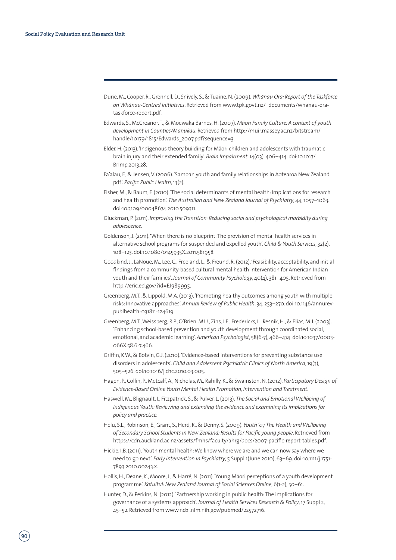- Durie, M., Cooper, R., Grennell, D., Snively, S., & Tuaine, N. (2009). Whānau Ora: Report of the Taskforce *on Wha-nau-Centred Initiatives*. Retrieved from www.tpk.govt.nz/\_documents/whanau-orataskforce-report.pdf.
- Edwards, S., McCreanor, T., & Moewaka Barnes, H. (2007). Māori Family Culture: A context of youth *development in Counties/Manukau*. Retrieved from http://muir.massey.ac.nz/bitstream/ handle/10179/1815/Edwards\_2007.pdf?sequence=3.
- Elder, H. (2013). 'Indigenous theory building for Māori children and adolescents with traumatic brain injury and their extended family'. *Brain Impairment*, 14(03), 406–414. doi:10.1017/ BrImp.2013.28.
- Fa'alau, F., & Jensen, V. (2006). 'Samoan youth and family relationships in Aotearoa New Zealand. pdf'. *Pacific Public Health*, 13(2).
- Fisher, M., & Baum, F. (2010). 'The social determinants of mental health: Implications for research and health promotion'. *The Australian and New Zealand Journal of Psychiatry*, 44, 1057–1063. doi:10.3109/00048674.2010.509311.
- Gluckman, P. (2011). *Improving the Transition: Reducing social and psychological morbidity during adolescence.*
- Goldenson, J. (2011). 'When there is no blueprint: The provision of mental health services in alternative school programs for suspended and expelled youth'. *Child & Youth Services*, 32(2), 108–123. doi:10.1080/0145935X.2011.581958.
- Goodkind, J., LaNoue, M., Lee, C., Freeland, L., & Freund, R. (2012). 'Feasibility, acceptability, and initial findings from a community-based cultural mental health intervention for American Indian youth and their families'. *Journal of Community Psychology*, 40(4), 381–405. Retrieved from http://eric.ed.gov/?id=EJ989995.
- Greenberg, M.T., & Lippold, M.A. (2013). 'Promoting healthy outcomes among youth with multiple risks: Innovative approaches'. *Annual Review of Public Health*, 34, 253–270. doi:10.1146/annurevpublhealth-031811-124619.
- Greenberg, M.T., Weissberg, R.P., O'Brien, M.U., Zins, J.E., Fredericks, L., Resnik, H., & Elias, M.J. (2003). 'Enhancing school-based prevention and youth development through coordinated social, emotional, and academic learning'. *American Psychologist*, 58(6-7), 466–474. doi:10.1037/0003- 066X.58.6-7.466.
- Griffin, K.W., & Botvin, G.J. (2010). 'Evidence-based interventions for preventing substance use disorders in adolescents'. *Child and Adolescent Psychiatric Clinics of North America*, 19(3), 505–526. doi:10.1016/j.chc.2010.03.005.
- Hagen, P., Collin, P., Metcalf, A., Nicholas, M., Rahilly, K., & Swainston, N. (2012). *Participatory Design of Evidence-Based Online Youth Mental Health Promotion, Intervention and Treatment.*
- Haswell, M., Blignault, I., Fitzpatrick, S., & Pulver, L. (2013). *The Social and Emotional Wellbeing of Indigenous Youth: Reviewing and extending the evidence and examining its implications for policy and practice.*
- Helu, S.L., Robinson, E., Grant, S., Herd, R., & Denny, S. (2009). *Youth '07 The Health and Wellbeing of Secondary School Students in New Zealand: Results for Pacific young people*. Retrieved from https://cdn.auckland.ac.nz/assets/fmhs/faculty/ahrg/docs/2007-pacific-report-tables.pdf.
- Hickie, I.B. (2011). 'Youth mental health: We know where we are and we can now say where we need to go next'. *Early Intervention in Psychiatry*, 5 Suppl 1(June 2010), 63–69. doi:10.1111/j.1751- 7893.2010.00243.x.
- Hollis, H., Deane, K., Moore, J., & Harré, N. (2011). 'Young Māori perceptions of a youth development programme'. *Kotuitui: New Zealand Journal of Social Sciences Online*, 6(1-2), 50–61.
- Hunter, D., & Perkins, N. (2012). 'Partnership working in public health: The implications for governance of a systems approach'. *Journal of Health Services Research & Policy*, 17 Suppl 2, 45–52. Retrieved from www.ncbi.nlm.nih.gov/pubmed/22572716.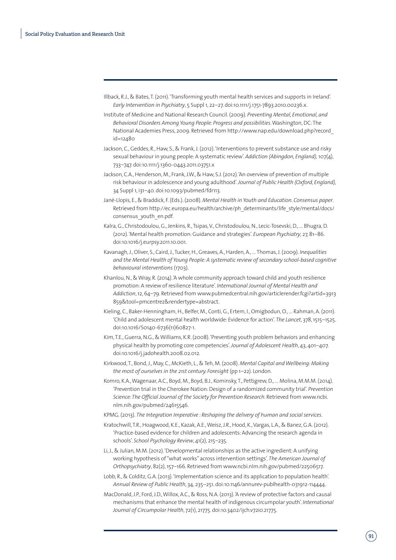- Illback, R.J., & Bates, T. (2011). 'Transforming youth mental health services and supports in Ireland'. *Early Intervention in Psychiatry*, 5 Suppl 1, 22–27. doi:10.1111/j.1751-7893.2010.00236.x.
- Institute of Medicine and National Research Council. (2009). *Preventing Mental, Emotional, and Behavioral Disorders Among Young People: Progress and possibilities*. Washington, DC: The National Academies Press, 2009. Retrieved from http://www.nap.edu/download.php?record\_  $id = 12480$
- Jackson, C., Geddes, R., Haw, S., & Frank, J. (2012). 'Interventions to prevent substance use and risky sexual behaviour in young people: A systematic review'. *Addiction (Abingdon, England),* 107(4), 733–747. doi:10.1111/j.1360-0443.2011.03751.x
- Jackson, C.A., Henderson, M., Frank, J.W., & Haw, S.J. (2012). 'An overview of prevention of multiple risk behaviour in adolescence and young adulthood'. *Journal of Public Health (Oxford, England),* 34 Suppl 1, i31–40. doi:10.1093/pubmed/fdr113.
- Jané-Llopis, E., & Braddick, F. (Eds.). (2008). *Mental Health in Youth and Education. Consensus paper*. Retrieved from http://ec.europa.eu/health/archive/ph\_determinants/life\_style/mental/docs/ consensus\_youth\_en.pdf.
- Kalra, G., Christodoulou, G., Jenkins, R., Tsipas, V., Christodoulou, N., Lecic-Tosevski, D., … Bhugra, D. (2012). 'Mental health promotion: Guidance and strategies'. *European Psychiatry*, 27, 81–86. doi:10.1016/j.eurpsy.2011.10.001.
- Kavanagh, J., Oliver, S., Caird, J., Tucker, H., Greaves, A., Harden, A., … Thomas, J. (2009). *Inequalities and the Mental Health of Young People: A systematic review of secondary school-based cognitive behavioural interventions* (1703).
- Khanlou, N., & Wray, R. (2014). 'A whole community approach toward child and youth resilience promotion: A review of resilience literature'. *International Journal of Mental Health and Addiction*, 12, 64–79. Retrieved from www.pubmedcentral.nih.gov/articlerender.fcgi?artid=3913 859&tool=pmcentrez&rendertype=abstract.
- Kieling, C., Baker-Henningham, H., Belfer, M., Conti, G., Ertem, I., Omigbodun, O., … Rahman, A. (2011). 'Child and adolescent mental health worldwide: Evidence for action'. *The Lancet*, 378, 1515–1525. doi:10.1016/S0140-6736(11)60827-1.
- Kim, T.E., Guerra, N.G., & Williams, K.R. (2008). 'Preventing youth problem behaviors and enhancing physical health by promoting core competencies'. *Journal of Adolescent Health*, 43, 401–407. doi:10.1016/j.jadohealth.2008.02.012.
- Kirkwood, T., Bond, J., May, C., McKieth, L., & Teh, M. (2008). *Mental Capital and Wellbeing: Making the most of ourselves in the 21st century. Foresight* (pp 1–22). London.
- Komro, K.A., Wagenaar, A.C., Boyd, M., Boyd, B.J., Kominsky, T., Pettigrew, D., … Molina, M.M.M. (2014). 'Prevention trial in the Cherokee Nation: Design of a randomized community trial'. *Prevention Science: The Official Journal of the Society for Prevention Research*. Retrieved from www.ncbi. nlm.nih.gov/pubmed/24615546.
- KPMG. (2013). *The Integration Imperative : Reshaping the delivery of human and social services*.
- Kratochwill, T.R., Hoagwood, K.E., Kazak, A.E., Weisz, J.R., Hood, K., Vargas, L.A., & Banez, G.A. (2012). 'Practice-based evidence for children and adolescents: Advancing the research agenda in schools'. *School Psychology Review*, 41(2), 215–235.
- Li, J., & Julian, M.M. (2012). 'Developmental relationships as the active ingredient: A unifying working hypothesis of "what works" across intervention settings'. *The American Journal of Orthopsychiatry*, 82(2), 157–166. Retrieved from www.ncbi.nlm.nih.gov/pubmed/22506517.
- Lobb, R., & Colditz, G.A. (2013). 'Implementation science and its application to population health'. *Annual Review of Public Health*, 34, 235–251. doi:10.1146/annurev-publhealth-031912-114444.
- MacDonald, J.P., Ford, J.D., Willox, A.C., & Ross, N.A. (2013). 'A review of protective factors and causal mechanisms that enhance the mental health of indigenous circumpolar youth'. *International Journal of Circumpolar Health*, 72(1), 21775. doi:10.3402/ijch.v72i0.21775.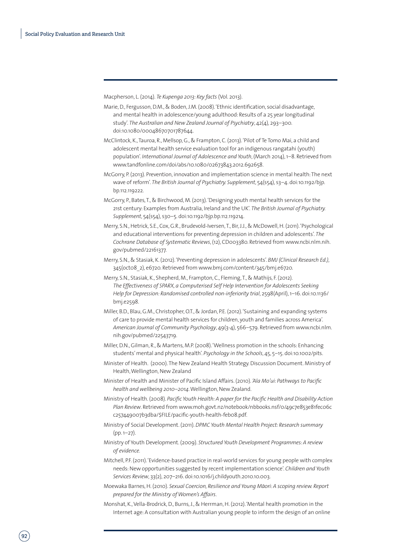Macpherson, L. (2014). *Te Kupenga 2013: Key facts* (Vol. 2013).

- Marie, D., Fergusson, D.M., & Boden, J.M. (2008). 'Ethnic identification, social disadvantage, and mental health in adolescence/young adulthood: Results of a 25 year longitudinal study'. *The Australian and New Zealand Journal of Psychiatry*, 42(4), 293–300. doi:10.1080/00048670701787644.
- McClintock, K., Tauroa, R., Mellsop, G., & Frampton, C. (2013). 'Pilot of Te Tomo Mai, a child and adolescent mental health service evaluation tool for an indigenous rangatahi (youth) population'. *International Journal of Adolescence and Youth*, (March 2014), 1–8. Retrieved from www.tandfonline.com/doi/abs/10.1080/02673843.2012.692658.
- McGorry, P. (2013). Prevention, innovation and implementation science in mental health: The next wave of reform'. *The British Journal of Psychiatry. Supplement*, 54(s54), s3-4. doi:10.1192/bjp. bp.112.119222.
- McGorry, P., Bates, T., & Birchwood, M. (2013). 'Designing youth mental health services for the 21st century: Examples from Australia, Ireland and the UK'. *The British Journal of Psychiatry. Supplement*, 54(s54), s30–5. doi:10.1192/bjp.bp.112.119214.
- Merry, S.N., Hetrick, S.E., Cox, G.R., Brudevold-Iversen, T., Bir, J.J., & McDowell, H. (2011). 'Psychological and educational interventions for preventing depression in children and adolescents'. *The Cochrane Database of Systematic Reviews*, (12), CD003380. Retrieved from www.ncbi.nlm.nih. gov/pubmed/22161377.
- Merry, S.N., & Stasiak, K. (2012). 'Preventing depression in adolescents'. *BMJ (Clinical Research Ed.)*, 345(octo8\_2), e6720. Retrieved from www.bmj.com/content/345/bmj.e6720.
- Merry, S.N., Stasiak, K., Shepherd, M., Frampton, C., Fleming, T., & Mathijs, F. (2012). *The Effectiveness of SPARX, a Computerised Self Help Intervention for Adolescents Seeking Help for Depression: Randomised controlled non-inferiority trial*, 2598(April), 1–16. doi:10.1136/ bmj.e2598.
- Miller, B.D., Blau, G.M., Christopher, O.T., & Jordan, P.E. (2012). 'Sustaining and expanding systems of care to provide mental health services for children, youth and families across America'. *American Journal of Community Psychology*, 49(3-4), 566–579. Retrieved from www.ncbi.nlm. nih.gov/pubmed/22543719.
- Miller, D.N., Gilman, R., & Martens, M.P. (2008). 'Wellness promotion in the schools: Enhancing students' mental and physical health'. *Psychology in the Schools*, 45, 5–15. doi:10.1002/pits.
- Minister of Health. (2000). The New Zealand Health Strategy. Discussion Document. Ministry of Health, Wellington, New Zealand
- Minister of Health and Minister of Pacific Island Affairs. (2010). *'Ala Mo'ui: Pathways to Pacific health and wellbeing 2010–2014*. Wellington, New Zealand.
- Ministry of Health. (2008). *Pacific Youth Health: A paper for the Pacific Health and Disability Action*  Plan Review. Retrieved from www.moh.govt.nz/notebook/nbbooks.nsf/0/49c7e853e81fec06c c257449007b3dba/\$FILE/pacific-youth-health-feb08.pdf.
- Ministry of Social Development. (2011). *DPMC Youth Mental Health Project: Research summary* (pp. 1–27).
- Ministry of Youth Development. (2009). *Structured Youth Development Programmes: A review of evidence.*
- Mitchell, P.F. (2011). 'Evidence-based practice in real-world services for young people with complex needs: New opportunities suggested by recent implementation science'. *Children and Youth Services Review*, 33(2), 207–216. doi:10.1016/j.childyouth.2010.10.003.
- Moewaka Barnes, H. (2010). Sexual Coercion, Resilience and Young Māori: A scoping review. Report *prepared for the Ministry of Women's Affairs*.
- Monshat, K., Vella-Brodrick, D., Burns, J., & Herrman, H. (2012). 'Mental health promotion in the Internet age: A consultation with Australian young people to inform the design of an online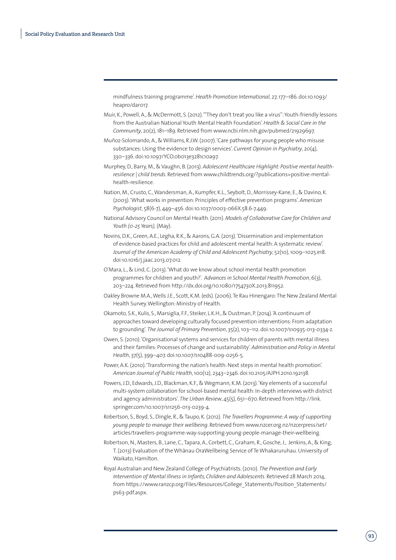mindfulness training programme'. *Health Promotion International*, 27, 177–186. doi:10.1093/ heapro/dar017.

- Muir, K., Powell, A., & McDermott, S. (2012). '"They don't treat you like a virus": Youth-friendly lessons from the Australian National Youth Mental Health Foundation'. *Health & Social Care in the Community*, 20(2), 181–189. Retrieved from www.ncbi.nlm.nih.gov/pubmed/21929697.
- Muñoz-Solomando, A., & Williams, R.J.W. (2007). 'Care pathways for young people who misuse substances: Using the evidence to design services'. *Current Opinion in Psychiatry*, 20(4), 330–336. doi:10.1097/YCO.0b013e3281c10a97.
- Murphey, D., Barry, M., & Vaughn, B. (2013). *Adolescent Healthcare Highlight: Positive mental healthresilience | child trends*. Retrieved from www.childtrends.org/?publications=positive-mentalhealth-resilience.
- Nation, M., Crusto, C., Wandersman, A., Kumpfer, K.L., Seybolt, D., Morrissey-Kane, E., & Davino, K. (2003). 'What works in prevention: Principles of effective prevention programs'. *American Psychologist*, 58(6-7), 449–456. doi:10.1037/0003-066X.58.6-7.449.
- National Advisory Council on Mental Health. (2011). *Models of Collaborative Care for Children and Youth (0-25 Years),* (May).
- Novins, D.K., Green, A.E., Legha, R.K., & Aarons, G.A. (2013). 'Dissemination and implementation of evidence-based practices for child and adolescent mental health: A systematic review'. *Journal of the American Academy of Child and Adolescent Psychiatry*, 52(10), 1009–1025.e18. doi:10.1016/j.jaac.2013.07.012.
- O'Mara, L., & Lind, C. (2013). 'What do we know about school mental health promotion programmes for children and youth?'. *Advances in School Mental Health Promotion*, 6(3), 203–224. Retrieved from http://dx.doi.org/10.1080/1754730X.2013.811952.
- Oakley Browne M.A., Wells J.E., Scott, K.M. (eds). (2006). Te Rau Hinengaro: The New Zealand Mental Health Survey. Wellington: Ministry of Health.
- Okamoto, S.K., Kulis, S., Marsiglia, F.F., Steiker, L.K.H., & Dustman, P. (2014). 'A continuum of approaches toward developing culturally focused prevention interventions: From adaptation to grounding'. *The Journal of Primary Prevention*, 35(2), 103–112. doi:10.1007/s10935-013-0334-z.
- Owen, S. (2010). 'Organisational systems and services for children of parents with mental illness and their families: Processes of change and sustainability'. *Administration and Policy in Mental Health*, 37(5), 399–407. doi:10.1007/s10488-009-0256-5.
- Power, A.K. (2010). 'Transforming the nation's health: Next steps in mental health promotion'. *American Journal of Public Health*, 100(12), 2343–2346. doi:10.2105/AJPH.2010.192138.
- Powers, J.D., Edwards, J.D., Blackman, K.F., & Wegmann, K.M. (2013). 'Key elements of a successful multi-system collaboration for school-based mental health: In-depth interviews with district and agency administrators'. *The Urban Review*, 45(5), 651–670. Retrieved from http://link. springer.com/10.1007/s11256-013-0239-4.
- Robertson, S., Boyd, S., Dingle, R., & Taupo, K. (2012). *The Travellers Programme: A way of supporting young people to manage their wellbeing*. Retrieved from www.nzcer.org.nz/nzcerpress/set/ articles/travellers-programme-way-supporting-young-people-manage-their-wellbeing.
- Robertson, N., Masters, B., Lane, C., Tapara, A., Corbett, C., Graham, R., Gosche, J., Jenkins, A., & King, T. (2013) Evaluation of the Whānau OraWellbeing Service of Te Whakaruruhau. University of Waikato, Hamilton.
- Royal Australian and New Zealand College of Psychiatrists. (2010). *The Prevention and Early Intervention of Mental Illness in Infants, Children and Adolescents*. Retrieved 28 March 2014, from https://www.ranzcp.org/Files/Resources/College\_Statements/Position\_Statements/ ps63-pdf.aspx.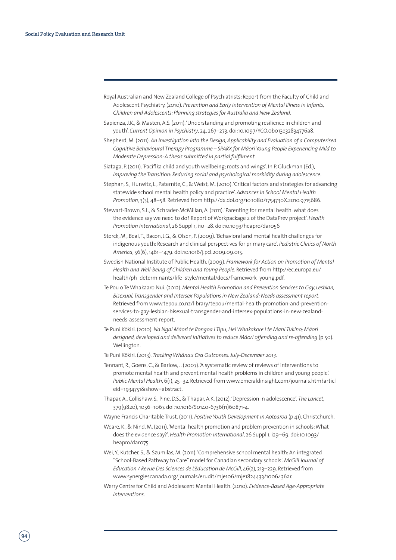- Royal Australian and New Zealand College of Psychiatrists: Report from the Faculty of Child and Adolescent Psychiatry. (2010). *Prevention and Early Intervention of Mental Illness in Infants, Children and Adolescents: Planning strategies for Australia and New Zealand.*
- Sapienza, J.K., & Masten, A.S. (2011). 'Understanding and promoting resilience in children and youth'. *Current Opinion in Psychiatry*, 24, 267–273. doi:10.1097/YCO.0b013e32834776a8.
- Shepherd, M. (2011). *An Investigation into the Design, Applicability and Evaluation of a Computerised*  Cognitive Behavioural Therapy Programme - SPARX for Māori Young People Experiencing Mild to *Moderate Depression: A thesis submitted in partial fulfilment.*
- Siataga, P. (2011). 'Pacifika child and youth wellbeing; roots and wings'. In P. Gluckman (Ed.), *Improving the Transition: Reducing social and psychological morbidity during adolescence*.
- Stephan, S., Hurwitz, L., Paternite, C., & Weist, M. (2010). 'Critical factors and strategies for advancing statewide school mental health policy and practice'. *Advances in School Mental Health Promotion*, 3(3), 48–58. Retrieved from http://dx.doi.org/10.1080/1754730X.2010.9715686.
- Stewart-Brown, S.L., & Schrader-McMillan, A. (2011). 'Parenting for mental health: what does the evidence say we need to do? Report of Workpackage 2 of the DataPrev project'. *Health Promotion International*, 26 Suppl 1, i10–28. doi:10.1093/heapro/dar056
- Storck, M., Beal, T., Bacon, J.G., & Olsen, P. (2009). 'Behavioral and mental health challenges for indigenous youth: Research and clinical perspectives for primary care'. *Pediatric Clinics of North America*, 56(6), 1461–1479. doi:10.1016/j.pcl.2009.09.015.
- Swedish National Institute of Public Health. (2009). *Framework for Action on Promotion of Mental Health and Well-being of Children and Young People*. Retrieved from http://ec.europa.eu/ health/ph\_determinants/life\_style/mental/docs/framework\_young.pdf.
- Te Pou o Te Whakaaro Nui. (2012). *Mental Health Promotion and Prevention Services to Gay, Lesbian, Bisexual, Transgender and Intersex Populations in New Zealand: Needs assessment report*. Retrieved from www.tepou.co.nz/library/tepou/mental-health-promotion-and-preventionservices-to-gay-lesbian-bisexual-transgender-and-intersex-populations-in-new-zealandneeds-assessment-report.
- Te Puni Kōkiri. (2010). *Na Ngai Māori te Rongoa i Tipu, Hei Whakakore i te Mahi Tukino; Māori* designed, developed and delivered initiatives to reduce Māori offending and re-offending (p 50). Wellington.
- Te Puni Ko-kiri. (2013). *Tracking Wha-nau Ora Outcomes: July-December 2013*.
- Tennant, R., Goens, C., & Barlow, J. (2007). 'A systematic review of reviews of interventions to promote mental health and prevent mental health problems in children and young people'. *Public Mental Health*, 6(1), 25–32. Retrieved from www.emeraldinsight.com/journals.htm?articl eid=1934751&show=abstract.
- Thapar, A., Collishaw, S., Pine, D.S., & Thapar, A.K. (2012). 'Depression in adolescence'. *The Lancet*, 379(9820), 1056–1067. doi:10.1016/S0140-6736(11)60871-4.
- Wayne Francis Charitable Trust. (2011). *Positive Youth Development in Aotearoa* (p 41). Christchurch.
- Weare, K., & Nind, M. (2011). 'Mental health promotion and problem prevention in schools: What does the evidence say?'. *Health Promotion International*, 26 Suppl 1, i29–69. doi:10.1093/ heapro/dar075.
- Wei, Y., Kutcher, S., & Szumilas, M. (2011). 'Comprehensive school mental health: An integrated "School-Based Pathway to Care" model for Canadian secondary schools'. *McGill Journal of Education / Revue Des Sciences de L'éducation de McGill*, 46(2), 213–229. Retrieved from www.synergiescanada.org/journals/erudit/mje106/mje1824433/1006436ar.
- Werry Centre for Child and Adolescent Mental Health. (2010). *Evidence-Based Age-Appropriate Interventions.*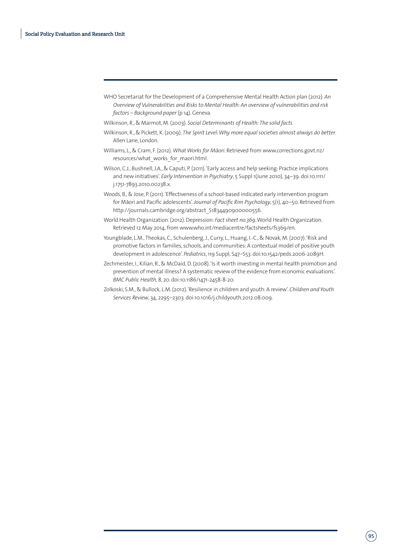- WHO Secretariat for the Development of a Comprehensive Mental Health Action plan (2012). *An Overview of Vulnerabilities and Risks to Mental Health: An overview of vulnerabilities and risk factors – Background paper* (p 14). Geneva.
- Wilkinson, R., & Marmot, M. (2003). *Social Determinants of Health: The solid facts*.
- Wilkinson, R., & Pickett, K. (2009). *The Spirit Level: Why more equal societies almost always do better*. Allen Lane, London.
- Williams, L., & Cram, F. (2012). What Works for Māori. Retrieved from www.corrections.govt.nz/ resources/what\_works\_for\_maori.html.
- Wilson, C.J., Bushnell, J.A., & Caputi, P. (2011). 'Early access and help seeking: Practice implications and new initiatives'. *Early Intervention in Psychiatry*, 5 Suppl 1(June 2010), 34–39. doi:10.1111/ j.1751-7893.2010.00238.x.
- Woods, B., & Jose, P. (2011). 'Effectiveness of a school-based indicated early intervention program for Māori and Pacific adolescents'. *Journal of Pacific Rim Psychology*, 5(1), 40–50. Retrieved from http://journals.cambridge.org/abstract\_S1834490900000556.
- World Health Organization. (2012). Depression: *Fact sheet no.369*. World Health Organization. Retrieved 12 May 2014, from www.who.int/mediacentre/factsheets/fs369/en.
- Youngblade, L.M., Theokas, C., Schulenberg, J., Curry, L., Huang, I.-C., & Novak, M. (2007). 'Risk and promotive factors in families, schools, and communities: A contextual model of positive youth development in adolescence'. *Pediatrics*, 119 Suppl, S47–S53. doi:10.1542/peds.2006-2089H.
- Zechmeister, I., Kilian, R., & McDaid, D. (2008). 'Is it worth investing in mental health promotion and prevention of mental illness? A systematic review of the evidence from economic evaluations'. *BMC Public Health*, 8, 20. doi:10.1186/1471-2458-8-20.
- Zolkoski, S.M., & Bullock, L.M. (2012). 'Resilience in children and youth: A review'. *Children and Youth Services Review*, 34, 2295–2303. doi:10.1016/j.childyouth.2012.08.009.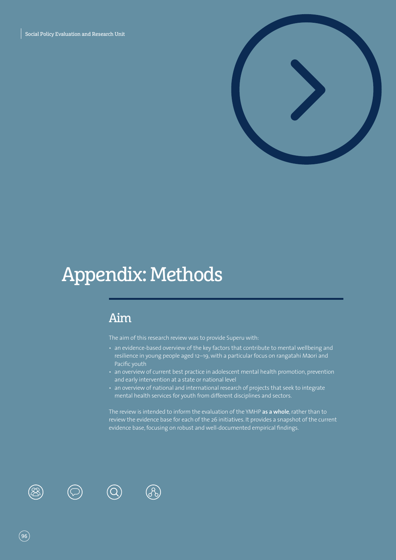Social Policy Evaluation and Research Unit



# Appendix: Methods

# Aim

The aim of this research review was to provide Superu with:

- an evidence-based overview of the key factors that contribute to mental wellbeing and resilience in young people aged 12-19, with a particular focus on rangatahi Māori and Pacific youth
- an overview of current best practice in adolescent mental health promotion, prevention and early intervention at a state or national level
- an overview of national and international research of projects that seek to integrate mental health services for youth from different disciplines and sectors.

The review is intended to inform the evaluation of the YMHP **as a whole**, rather than to review the evidence base for each of the 26 initiatives. It provides a snapshot of the current evidence base, focusing on robust and well-documented empirical findings.





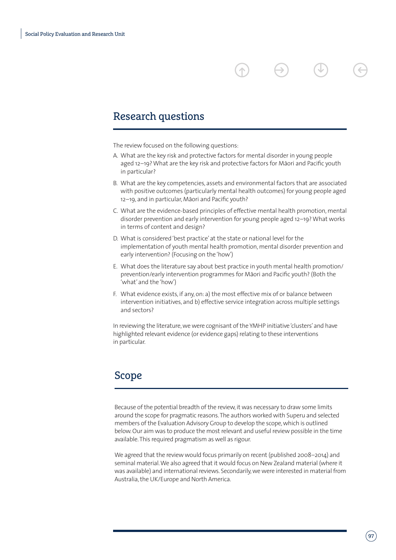## Research questions

The review focused on the following questions:

- A. What are the key risk and protective factors for mental disorder in young people aged 12-19? What are the key risk and protective factors for Māori and Pacific youth in particular?
- B. What are the key competencies, assets and environmental factors that are associated with positive outcomes (particularly mental health outcomes) for young people aged 12-19, and in particular, Māori and Pacific youth?
- C. What are the evidence-based principles of effective mental health promotion, mental disorder prevention and early intervention for young people aged 12–19? What works in terms of content and design?
- D. What is considered 'best practice' at the state or national level for the implementation of youth mental health promotion, mental disorder prevention and early intervention? (Focusing on the 'how')
- E. What does the literature say about best practice in youth mental health promotion/ prevention/early intervention programmes for Māori and Pacific youth? (Both the 'what' and the 'how')
- F. What evidence exists, if any, on: a) the most effective mix of or balance between intervention initiatives, and b) effective service integration across multiple settings and sectors?

In reviewing the literature, we were cognisant of the YMHP initiative 'clusters' and have highlighted relevant evidence (or evidence gaps) relating to these interventions in particular.

### Scope

Because of the potential breadth of the review, it was necessary to draw some limits around the scope for pragmatic reasons. The authors worked with Superu and selected members of the Evaluation Advisory Group to develop the scope, which is outlined below. Our aim was to produce the most relevant and useful review possible in the time available. This required pragmatism as well as rigour.

We agreed that the review would focus primarily on recent (published 2008–2014) and seminal material. We also agreed that it would focus on New Zealand material (where it was available) and international reviews. Secondarily, we were interested in material from Australia, the UK/Europe and North America.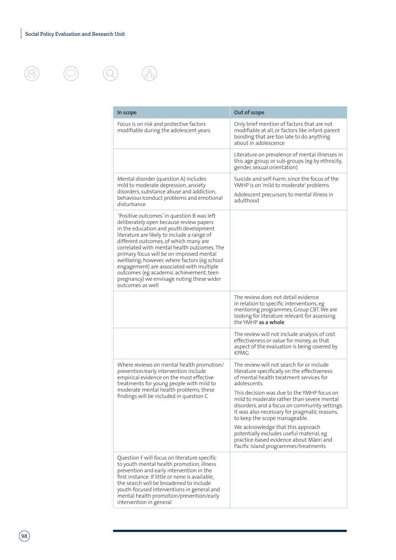$\circledcirc$ 





| In scope                                                                                                                                                                                                                                                                                                                                                                                                                                                                                                                   | Out of scope                                                                                                                                                                                                               |
|----------------------------------------------------------------------------------------------------------------------------------------------------------------------------------------------------------------------------------------------------------------------------------------------------------------------------------------------------------------------------------------------------------------------------------------------------------------------------------------------------------------------------|----------------------------------------------------------------------------------------------------------------------------------------------------------------------------------------------------------------------------|
| Focus is on risk and protective factors<br>modifiable during the adolescent years                                                                                                                                                                                                                                                                                                                                                                                                                                          | Only brief mention of factors that are not<br>modifiable at all, or factors like infant-parent<br>bonding that are too late to do anything<br>about in adolescence                                                         |
|                                                                                                                                                                                                                                                                                                                                                                                                                                                                                                                            | Literature on prevalence of mental illnesses in<br>this age group, or sub-groups (eg by ethnicity,<br>gender, sexual orientation)                                                                                          |
| Mental disorder (question A) includes<br>mild to moderate depression, anxiety<br>disorders, substance abuse and addiction,<br>behaviour/conduct problems and emotional<br>disturbance                                                                                                                                                                                                                                                                                                                                      | Suicide and self-harm, since the focus of the<br>YMHP is on 'mild to moderate' problems<br>Adolescent precursors to mental illness in<br>adulthood                                                                         |
| 'Positive outcomes' in question B was left<br>deliberately open because review papers<br>in the education and youth development<br>literature are likely to include a range of<br>different outcomes, of which many are<br>correlated with mental health outcomes. The<br>primary focus will be on improved mental<br>wellbeing; however, where factors (eg school<br>engagement) are associated with multiple<br>outcomes (eg academic achievement, teen<br>pregnancy) we envisage noting these wider<br>outcomes as well |                                                                                                                                                                                                                            |
|                                                                                                                                                                                                                                                                                                                                                                                                                                                                                                                            | The review does not detail evidence<br>in relation to specific interventions, eg<br>mentoring programmes, Group CBT. We are<br>looking for literature relevant for assessing<br>the YMHP as a whole                        |
|                                                                                                                                                                                                                                                                                                                                                                                                                                                                                                                            | The review will not include analysis of cost<br>effectiveness or value for money, as that<br>aspect of the evaluation is being covered by<br><b>KPMG</b>                                                                   |
| Where reviews on mental health promotion/<br>prevention/early intervention include<br>empirical evidence on the most effective<br>treatments for young people with mild to<br>moderate mental health problems, these<br>findings will be included in question C                                                                                                                                                                                                                                                            | The review will not search for or include<br>literature specifically on the effectiveness<br>of mental health treatment services for<br>adolescents.                                                                       |
|                                                                                                                                                                                                                                                                                                                                                                                                                                                                                                                            | This decision was due to the YMHP focus on<br>mild to moderate rather than severe mental<br>disorders, and a focus on community settings.<br>It was also necessary for pragmatic reasons,<br>to keep the scope manageable. |
|                                                                                                                                                                                                                                                                                                                                                                                                                                                                                                                            | We acknowledge that this approach<br>potentially excludes useful material, eg<br>practice-based evidence about Māori and<br>Pacific Island programmes/treatments                                                           |
| Question F will focus on literature specific<br>to youth mental health promotion, illness<br>prevention and early intervention in the<br>first instance. If little or none is available,<br>the search will be broadened to include<br>youth-focused interventions in general and<br>mental health promotion/prevention/early<br>intervention in general                                                                                                                                                                   |                                                                                                                                                                                                                            |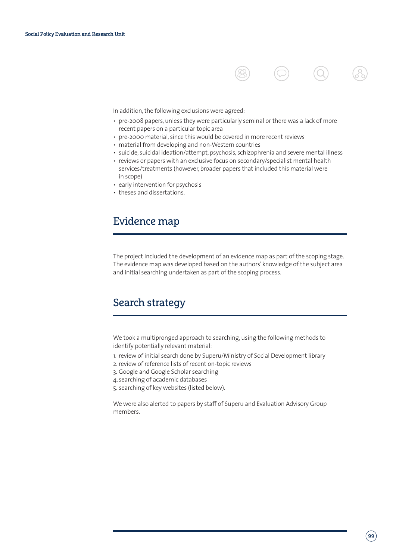

In addition, the following exclusions were agreed:

- pre-2008 papers, unless they were particularly seminal or there was a lack of more recent papers on a particular topic area
- pre-2000 material, since this would be covered in more recent reviews
- material from developing and non-Western countries
- suicide, suicidal ideation/attempt, psychosis, schizophrenia and severe mental illness
- reviews or papers with an exclusive focus on secondary/specialist mental health services/treatments (however, broader papers that included this material were in scope)
- early intervention for psychosis
- theses and dissertations.

## Evidence map

The project included the development of an evidence map as part of the scoping stage. The evidence map was developed based on the authors' knowledge of the subject area and initial searching undertaken as part of the scoping process.

# Search strategy

We took a multipronged approach to searching, using the following methods to identify potentially relevant material:

- 1. review of initial search done by Superu/Ministry of Social Development library
- 2. review of reference lists of recent on-topic reviews
- 3. Google and Google Scholar searching
- 4. searching of academic databases
- 5. searching of key websites (listed below).

We were also alerted to papers by staff of Superu and Evaluation Advisory Group members.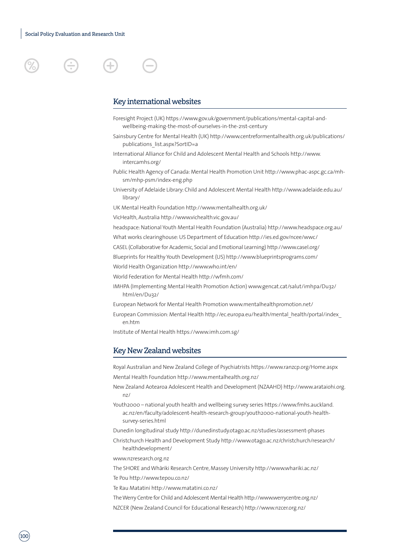

### Key international websites

- Foresight Project (UK) https://www.gov.uk/government/publications/mental-capital-andwellbeing-making-the-most-of-ourselves-in-the-21st-century
- Sainsbury Centre for Mental Health (UK) http://www.centreformentalhealth.org.uk/publications/ publications\_list.aspx?SortID=a
- International Alliance for Child and Adolescent Mental Health and Schools http://www. intercamhs.org/
- Public Health Agency of Canada: Mental Health Promotion Unit http://www.phac-aspc.gc.ca/mhsm/mhp-psm/index-eng.php
- University of Adelaide Library: Child and Adolescent Mental Health http://www.adelaide.edu.au/ library/
- UK Mental Health Foundation http://www.mentalhealth.org.uk/

VicHealth, Australia http://www.vichealth.vic.gov.au/

- headspace: National Youth Mental Health Foundation (Australia) http://www.headspace.org.au/
- What works clearinghouse: US Department of Education http://ies.ed.gov/ncee/wwc/
- CASEL (Collaborative for Academic, Social and Emotional Learning) http://www.casel.org/
- Blueprints for Healthy Youth Development (US) http://www.blueprintsprograms.com/
- World Health Organization http://www.who.int/en/
- World Federation for Mental Health http://wfmh.com/
- IMHPA (Implementing Mental Health Promotion Action) www.gencat.cat/salut/imhpa/Du32/ html/en/Du32/
- European Network for Mental Health Promotion www.mentalhealthpromotion.net/
- European Commission: Mental Health http://ec.europa.eu/health/mental\_health/portal/index\_ en.htm
- Institute of Mental Health https://www.imh.com.sg/

#### Key New Zealand websites

Royal Australian and New Zealand College of Psychiatrists https://www.ranzcp.org/Home.aspx Mental Health Foundation http://www.mentalhealth.org.nz/

- New Zealand Aotearoa Adolescent Health and Development (NZAAHD) http://www.arataiohi.org. nz/
- Youth2000 national youth health and wellbeing survey series https://www.fmhs.auckland. ac.nz/en/faculty/adolescent-health-research-group/youth2000-national-youth-healthsurvey-series.html
- Dunedin longitudinal study http://dunedinstudy.otago.ac.nz/studies/assessment-phases Christchurch Health and Development Study http://www.otago.ac.nz/christchurch/research/ healthdevelopment/

www.nzresearch.org.nz

The SHORE and Whāriki Research Centre, Massey University http://www.whariki.ac.nz/ Te Pou http://www.tepou.co.nz/

Te Rau Matatini http://www.matatini.co.nz/

- The Werry Centre for Child and Adolescent Mental Health http://www.werrycentre.org.nz/
- NZCER (New Zealand Council for Educational Research) http://www.nzcer.org.nz/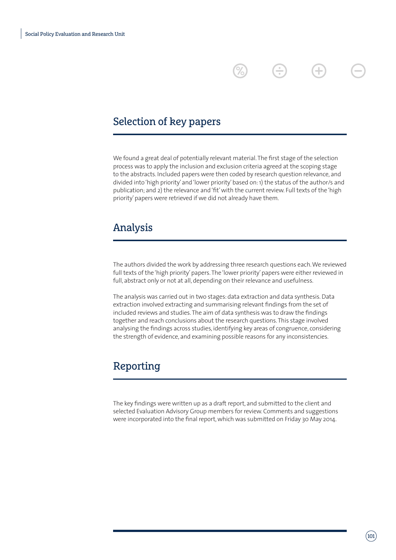# Selection of key papers

We found a great deal of potentially relevant material. The first stage of the selection process was to apply the inclusion and exclusion criteria agreed at the scoping stage to the abstracts. Included papers were then coded by research question relevance, and divided into 'high priority' and 'lower priority' based on: 1) the status of the author/s and publication; and 2) the relevance and 'fit' with the current review. Full texts of the 'high priority' papers were retrieved if we did not already have them.

Ð

Ŧ

## Analysis

The authors divided the work by addressing three research questions each. We reviewed full texts of the 'high priority' papers. The 'lower priority' papers were either reviewed in full, abstract only or not at all, depending on their relevance and usefulness.

The analysis was carried out in two stages: data extraction and data synthesis. Data extraction involved extracting and summarising relevant findings from the set of included reviews and studies. The aim of data synthesis was to draw the findings together and reach conclusions about the research questions. This stage involved analysing the findings across studies, identifying key areas of congruence, considering the strength of evidence, and examining possible reasons for any inconsistencies.

## Reporting

The key findings were written up as a draft report, and submitted to the client and selected Evaluation Advisory Group members for review. Comments and suggestions were incorporated into the final report, which was submitted on Friday 30 May 2014.